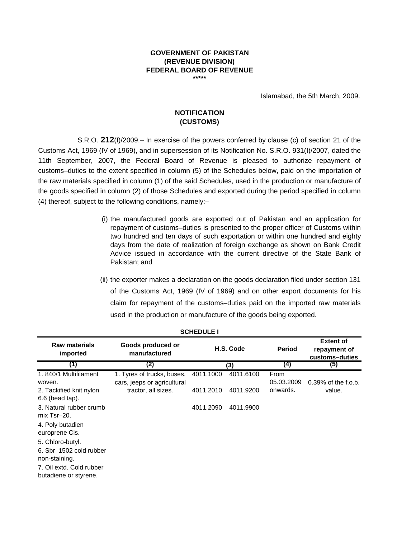#### **GOVERNMENT OF PAKISTAN (REVENUE DIVISION) FEDERAL BOARD OF REVENUE \*\*\*\*\***

Islamabad, the 5th March, 2009.

## **NOTIFICATION (CUSTOMS)**

S.R.O. **212**(I)/2009.– In exercise of the powers conferred by clause (c) of section 21 of the Customs Act, 1969 (IV of 1969), and in supersession of its Notification No. S.R.O. 931(I)/2007, dated the 11th September, 2007, the Federal Board of Revenue is pleased to authorize repayment of customs–duties to the extent specified in column (5) of the Schedules below, paid on the importation of the raw materials specified in column (1) of the said Schedules, used in the production or manufacture of the goods specified in column (2) of those Schedules and exported during the period specified in column (4) thereof, subject to the following conditions, namely:–

- (i) the manufactured goods are exported out of Pakistan and an application for repayment of customs–duties is presented to the proper officer of Customs within two hundred and ten days of such exportation or within one hundred and eighty days from the date of realization of foreign exchange as shown on Bank Credit Advice issued in accordance with the current directive of the State Bank of Pakistan; and
- (ii) the exporter makes a declaration on the goods declaration filed under section 131 of the Customs Act, 1969 (IV of 1969) and on other export documents for his claim for repayment of the customs–duties paid on the imported raw materials used in the production or manufacture of the goods being exported.

|                                                                                          | --------                                                  |           |           |                    |                                                    |  |  |  |  |
|------------------------------------------------------------------------------------------|-----------------------------------------------------------|-----------|-----------|--------------------|----------------------------------------------------|--|--|--|--|
| <b>Raw materials</b><br>imported                                                         | Goods produced or<br>manufactured                         |           | H.S. Code | <b>Period</b>      | <b>Extent of</b><br>repayment of<br>customs-duties |  |  |  |  |
| (1)                                                                                      | (2)                                                       |           | (3)       | (4)                | (5)                                                |  |  |  |  |
| 1.840/1 Multifilament<br>woven.                                                          | 1. Tyres of trucks, buses,<br>cars, jeeps or agricultural | 4011.1000 | 4011.6100 | From<br>05.03.2009 | $0.39\%$ of the f.o.b.                             |  |  |  |  |
| 2. Tackified knit nylon<br>6.6 (bead tap).                                               | tractor, all sizes.                                       | 4011.2010 | 4011.9200 | onwards.           | value.                                             |  |  |  |  |
| 3. Natural rubber crumb<br>mix Tsr-20.                                                   |                                                           | 4011.2090 | 4011.9900 |                    |                                                    |  |  |  |  |
| 4. Poly butadien<br>europrene Cis.                                                       |                                                           |           |           |                    |                                                    |  |  |  |  |
| 5. Chloro-butyl.<br>6. Sbr-1502 cold rubber<br>non-staining.<br>7. Oil extd. Cold rubber |                                                           |           |           |                    |                                                    |  |  |  |  |
| butadiene or styrene.                                                                    |                                                           |           |           |                    |                                                    |  |  |  |  |

| <b>SCHEDULE I</b> |  |
|-------------------|--|
|-------------------|--|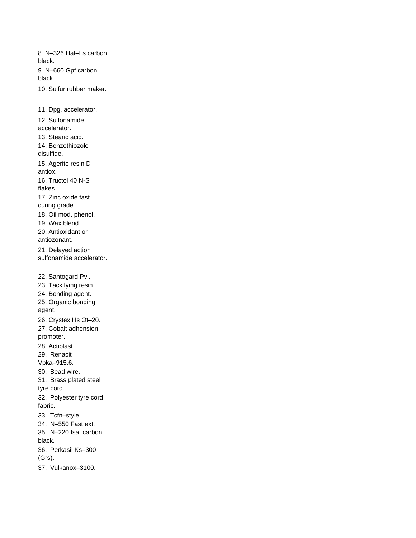8. N–326 Haf–Ls carbon black. 9. N–660 Gpf carbon black.

10. Sulfur rubber maker.

11. Dpg. accelerator. 12. Sulfonamide accelerator. 13. Stearic acid. 14. Benzothiozole disulfide. 15. Agerite resin Dantiox. 16. Tructol 40 N-S flakes. 17. Zinc oxide fast curing grade. 18. Oil mod. phenol. 19. Wax blend. 20. Antioxidant or antiozonant. 21. Delayed action sulfonamide accelerator. 22. Santogard Pvi. 23. Tackifying resin. 24. Bonding agent. 25. Organic bonding agent. 26. Crystex Hs Ot–20. 27. Cobalt adhension promoter. 28. Actiplast. 29. Renacit Vpka–915.6. 30. Bead wire. 31. Brass plated steel tyre cord. 32. Polyester tyre cord fabric. 33. Tcfn–style. 34. N–550 Fast ext. 35. N–220 Isaf carbon black. 36. Perkasil Ks–300 (Grs).

37. Vulkanox–3100.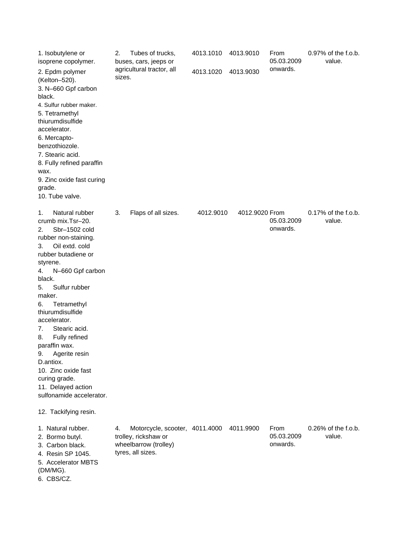| 1. Isobutylene or<br>isoprene copolymer.                                                                                                                                                                                                                                                                                                                                                                                                                                                                | Tubes of trucks,<br>2.<br>buses, cars, jeeps or                                                            | 4013.1010 | 4013.9010      | From<br>05.03.2009             | 0.97% of the f.o.b.<br>value. |
|---------------------------------------------------------------------------------------------------------------------------------------------------------------------------------------------------------------------------------------------------------------------------------------------------------------------------------------------------------------------------------------------------------------------------------------------------------------------------------------------------------|------------------------------------------------------------------------------------------------------------|-----------|----------------|--------------------------------|-------------------------------|
| 2. Epdm polymer<br>(Kelton-520).<br>3. N-660 Gpf carbon<br>black.<br>4. Sulfur rubber maker.<br>5. Tetramethyl<br>thiurumdisulfide<br>accelerator.<br>6. Mercapto-<br>benzothiozole.<br>7. Stearic acid.<br>8. Fully refined paraffin<br>wax.<br>9. Zinc oxide fast curing<br>grade.<br>10. Tube valve.                                                                                                                                                                                                 | agricultural tractor, all<br>sizes.                                                                        | 4013.1020 | 4013.9030      | onwards.                       |                               |
| Natural rubber<br>1.<br>crumb mix.Tsr-20.<br>Sbr-1502 cold<br>2.<br>rubber non-staining.<br>Oil extd. cold<br>3.<br>rubber butadiene or<br>styrene.<br>4.<br>N-660 Gpf carbon<br>black.<br>Sulfur rubber<br>5.<br>maker.<br>Tetramethyl<br>6.<br>thiurumdisulfide<br>accelerator.<br>Stearic acid.<br>7.<br>Fully refined<br>8.<br>paraffin wax.<br>Agerite resin<br>9.<br>D.antiox.<br>10. Zinc oxide fast<br>curing grade.<br>11. Delayed action<br>sulfonamide accelerator.<br>12. Tackifying resin. | 3.<br>Flaps of all sizes.                                                                                  | 4012.9010 | 4012.9020 From | 05.03.2009<br>onwards.         | 0.17% of the f.o.b.<br>value. |
| 1. Natural rubber.<br>2. Bormo butyl.<br>3. Carbon black.<br>4. Resin SP 1045.<br>5. Accelerator MBTS<br>(DM/MG).<br>6. CBS/CZ.                                                                                                                                                                                                                                                                                                                                                                         | Motorcycle, scooter, 4011.4000<br>4.<br>trolley, rickshaw or<br>wheelbarrow (trolley)<br>tyres, all sizes. |           | 4011.9900      | From<br>05.03.2009<br>onwards. | 0.26% of the f.o.b.<br>value. |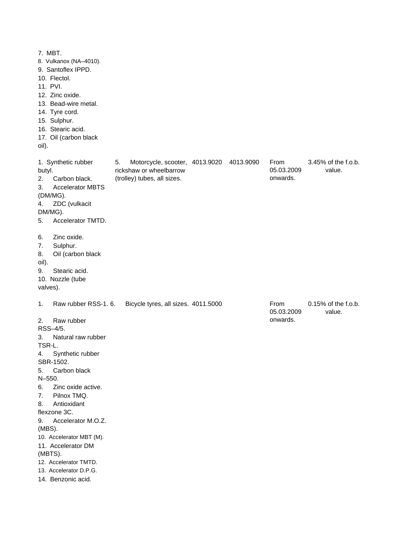7. MBT. 8. Vulkanox (NA–4010). 9. Santoflex IPPD. 10. Flectol. 11. PVI. 12. Zinc oxide. 13. Bead-wire metal. 14. Tyre cord. 15. Sulphur. 16. Stearic acid. 17. Oil (carbon black oil). 1. Synthetic rubber butyl. 5. Motorcycle, scooter, 4013.9020 4013.9090 2. Carbon black. 3. Accelerator MBTS (DM/MG). 4. ZDC (vulkacit DM/MG). 5. Accelerator TMTD. 6. Zinc oxide. 7. Sulphur. 8. Oil (carbon black oil). 9. Stearic acid. 10. Nozzle (tube valves). 1. Raw rubber RSS-1. 6. Bicycle tyres, all sizes. 4011.5000 **From** 2. Raw rubber RSS–4/5. 3. Natural raw rubber TSR-L. 4. Synthetic rubber SBR-1502. 5. Carbon black N–550. 6. Zinc oxide active. 7. Pilnox TMQ. 8. Antioxidant flexzone 3C. 9. Accelerator M.O.Z. (MBS). 10. Accelerator MBT (M). 11. Accelerator DM (MBTS). 12. Accelerator TMTD. 13. Accelerator D.P.G. 14. Benzonic acid. 05.03.2009 onwards. From 05.03.2009 onwards. 0.15% of the f.o.b. value. 3.45% of the f.o.b. value. rickshaw or wheelbarrow (trolley) tubes, all sizes.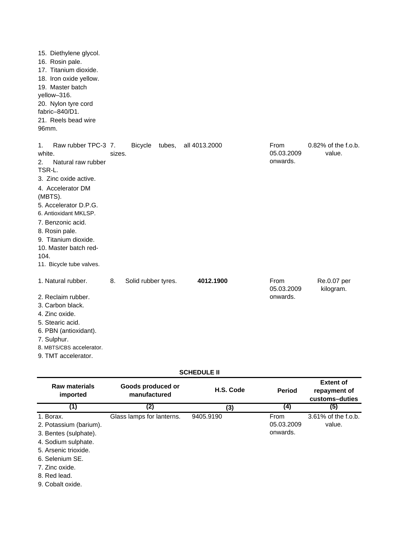| 15. Diethylene glycol.<br>16. Rosin pale.<br>17. Titanium dioxide.<br>18. Iron oxide yellow.<br>19. Master batch<br>yellow-316.<br>20. Nylon tyre cord<br>fabric-840/D1.<br>21. Reels bead wire<br>96mm.                                                                                                         |        |                     |        |                    |                                |                               |
|------------------------------------------------------------------------------------------------------------------------------------------------------------------------------------------------------------------------------------------------------------------------------------------------------------------|--------|---------------------|--------|--------------------|--------------------------------|-------------------------------|
| Raw rubber TPC-3 7.<br>1.<br>white.<br>2.<br>Natural raw rubber<br>TSR-L.<br>3. Zinc oxide active.<br>4. Accelerator DM<br>(MBTS).<br>5. Accelerator D.P.G.<br>6. Antioxidant MKLSP.<br>7. Benzonic acid.<br>8. Rosin pale.<br>9. Titanium dioxide.<br>10. Master batch red-<br>104.<br>11. Bicycle tube valves. | sizes. | <b>Bicycle</b>      | tubes, | all 4013.2000      | From<br>05.03.2009<br>onwards. | 0.82% of the f.o.b.<br>value. |
| 1. Natural rubber.<br>2. Reclaim rubber.<br>3. Carbon black.<br>4. Zinc oxide.<br>5. Stearic acid.<br>6. PBN (antioxidant).<br>7. Sulphur.<br>8. MBTS/CBS accelerator.<br>9. TMT accelerator.                                                                                                                    | 8.     | Solid rubber tyres. |        | 4012.1900          | From<br>05.03.2009<br>onwards. | Re.0.07 per<br>kilogram.      |
|                                                                                                                                                                                                                                                                                                                  |        |                     |        | <b>SCHEDULE II</b> |                                |                               |

| Raw materials<br>imported                                                                                                                                                            | Goods produced or<br>manufactured | H.S. Code | <b>Period</b>                  | <b>Extent of</b><br>repayment of<br>customs-duties |
|--------------------------------------------------------------------------------------------------------------------------------------------------------------------------------------|-----------------------------------|-----------|--------------------------------|----------------------------------------------------|
| (1)                                                                                                                                                                                  | (2)                               | (3)       | (4)                            | (5)                                                |
| 1. Borax.<br>2. Potassium (barium).<br>3. Bentes (sulphate).<br>4. Sodium sulphate.<br>5. Arsenic trioxide.<br>6. Selenium SE.<br>7. Zinc oxide.<br>8. Red lead.<br>9. Cobalt oxide. | Glass lamps for lanterns.         | 9405.9190 | From<br>05.03.2009<br>onwards. | 3.61% of the f.o.b.<br>value.                      |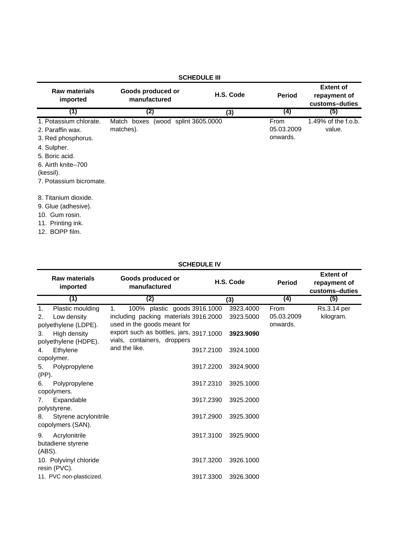| <b>SCHEDULE III</b>                                                                                                                                             |                                                 |           |                                |                                                    |  |  |
|-----------------------------------------------------------------------------------------------------------------------------------------------------------------|-------------------------------------------------|-----------|--------------------------------|----------------------------------------------------|--|--|
| <b>Raw materials</b><br>imported                                                                                                                                | Goods produced or<br>manufactured               | H.S. Code | <b>Period</b>                  | <b>Extent of</b><br>repayment of<br>customs-duties |  |  |
| (1)                                                                                                                                                             | (2)                                             | (3)       | (4)                            | (5)                                                |  |  |
| 1. Potassium chlorate.<br>2. Paraffin wax.<br>3. Red phosphorus.<br>4. Sulpher.<br>5. Boric acid.<br>6. Airth knite-700<br>(kessil).<br>7. Potassium bicromate. | Match boxes (wood splint 3605.0000<br>matches). |           | From<br>05.03.2009<br>onwards. | 1.49% of the f.o.b.<br>value.                      |  |  |
| 8. Titanium dioxide.<br>9. Glue (adhesive).<br>10. Gum rosin.<br>11. Printing ink.<br>12. BOPP film.                                                            |                                                 |           |                                |                                                    |  |  |

## **SCHEDULE IV**

|        | <b>Raw materials</b><br>imported     | Goods produced or<br>manufactured                                      |           | H.S. Code |                        | <b>Extent of</b><br>repayment of<br>customs-duties |
|--------|--------------------------------------|------------------------------------------------------------------------|-----------|-----------|------------------------|----------------------------------------------------|
|        | (1)                                  | (2)                                                                    |           | (3)       | (4)                    | (5)                                                |
| 1.     | Plastic moulding                     | 100% plastic goods 3916.1000<br>1.                                     |           | 3923.4000 | From                   | Rs.3.14 per                                        |
| 2.     | Low density<br>polyethylene (LDPE).  | including packing materials 3916.2000<br>used in the goods meant for   |           | 3923.5000 | 05.03.2009<br>onwards. | kilogram.                                          |
| 3.     | High density<br>polyethylene (HDPE). | export such as bottles, jars, 3917.1000<br>vials, containers, droppers |           | 3923.9090 |                        |                                                    |
| 4.     | Ethylene                             | and the like.                                                          | 3917.2100 | 3924.1000 |                        |                                                    |
|        | copolymer.                           |                                                                        |           |           |                        |                                                    |
| 5.     | Polypropylene                        |                                                                        | 3917.2200 | 3924.9000 |                        |                                                    |
| (PP).  |                                      |                                                                        |           |           |                        |                                                    |
| 6.     | Polypropylene                        |                                                                        | 3917.2310 | 3925.1000 |                        |                                                    |
|        | copolymers.                          |                                                                        |           |           |                        |                                                    |
| 7.     | Expandable                           |                                                                        | 3917.2390 | 3925.2000 |                        |                                                    |
|        | polystyrene.                         |                                                                        |           |           |                        |                                                    |
| 8.     | Styrene acrylonitrile                |                                                                        | 3917.2900 | 3925.3000 |                        |                                                    |
|        | copolymers (SAN).                    |                                                                        |           |           |                        |                                                    |
| 9.     | Acrylonitrile                        |                                                                        | 3917.3100 | 3925,9000 |                        |                                                    |
|        | butadiene styrene                    |                                                                        |           |           |                        |                                                    |
| (ABS). |                                      |                                                                        |           |           |                        |                                                    |
|        | 10. Polyvinyl chloride               |                                                                        | 3917.3200 | 3926.1000 |                        |                                                    |
|        | resin (PVC).                         |                                                                        |           |           |                        |                                                    |
|        | 11. PVC non-plasticized.             |                                                                        | 3917.3300 | 3926.3000 |                        |                                                    |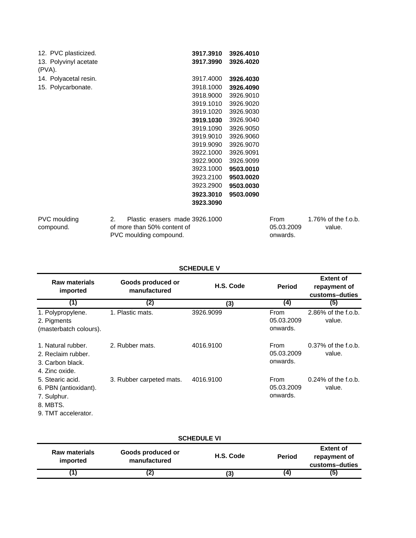| 12. PVC plasticized.            |    |  | 3917.3910                      | 3926.4010 |  |
|---------------------------------|----|--|--------------------------------|-----------|--|
| 13. Polyvinyl acetate<br>(PVA). |    |  | 3917.3990                      | 3926.4020 |  |
| 14. Polyacetal resin.           |    |  | 3917.4000                      | 3926.4030 |  |
| 15. Polycarbonate.              |    |  | 3918.1000                      | 3926.4090 |  |
|                                 |    |  | 3918.9000                      | 3926.9010 |  |
|                                 |    |  | 3919.1010                      | 3926.9020 |  |
|                                 |    |  | 3919.1020                      | 3926.9030 |  |
|                                 |    |  | 3919.1030                      | 3926.9040 |  |
|                                 |    |  | 3919.1090                      | 3926.9050 |  |
|                                 |    |  | 3919.9010                      | 3926.9060 |  |
|                                 |    |  | 3919.9090                      | 3926.9070 |  |
|                                 |    |  | 3922.1000                      | 3926.9091 |  |
|                                 |    |  | 3922.9000                      | 3926.9099 |  |
|                                 |    |  | 3923.1000                      | 9503.0010 |  |
|                                 |    |  | 3923.2100                      | 9503.0020 |  |
|                                 |    |  | 3923.2900                      | 9503.0030 |  |
|                                 |    |  | 3923.3010                      | 9503.0090 |  |
|                                 |    |  | 3923.3090                      |           |  |
| PVC moulding                    | 2. |  | Plastic erasers made 3926.1000 |           |  |
|                                 |    |  |                                |           |  |

compound.

of more than 50% content of PVC moulding compound.

| 1.76% of the f.o.b. |
|---------------------|
| value.              |
|                     |
|                     |

## **SCHEDULE V**

| <b>Raw materials</b><br>imported                                                            | Goods produced or<br>manufactured | H.S. Code | <b>Period</b>                  | <b>Extent of</b><br>repayment of<br>customs-duties |
|---------------------------------------------------------------------------------------------|-----------------------------------|-----------|--------------------------------|----------------------------------------------------|
| (1)                                                                                         | (2)                               | (3)       | (4)                            | (5)                                                |
| 1. Polypropylene.<br>2. Pigments<br>(masterbatch colours).                                  | 1. Plastic mats.                  | 3926.9099 | From<br>05.03.2009<br>onwards. | 2.86% of the f.o.b.<br>value.                      |
| 1. Natural rubber.<br>2. Reclaim rubber.<br>3. Carbon black.<br>4. Zinc oxide.              | 2. Rubber mats.                   | 4016.9100 | From<br>05.03.2009<br>onwards. | $0.37\%$ of the f.o.b.<br>value.                   |
| 5. Stearic acid.<br>6. PBN (antioxidant).<br>7. Sulphur.<br>8. MBTS.<br>9. TMT accelerator. | 3. Rubber carpeted mats.          | 4016.9100 | From<br>05.03.2009<br>onwards. | $0.24\%$ of the f.o.b.<br>value.                   |

| <b>SCHEDULE VI</b>               |                                   |           |               |                                                    |  |  |  |
|----------------------------------|-----------------------------------|-----------|---------------|----------------------------------------------------|--|--|--|
| <b>Raw materials</b><br>imported | Goods produced or<br>manufactured | H.S. Code | <b>Period</b> | <b>Extent of</b><br>repayment of<br>customs-duties |  |  |  |
|                                  |                                   | '3)       | (4)           | (5)                                                |  |  |  |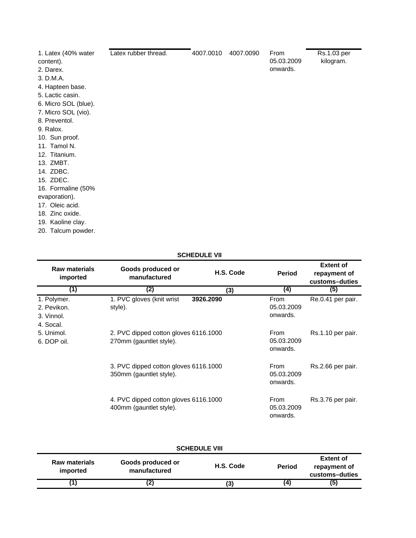| 1. Latex (40% water<br>content). | Latex rubber thread. | 4007.0010 | 4007.0090 | From<br>05.03.2009 | Rs.1.03 per<br>kilogram. |
|----------------------------------|----------------------|-----------|-----------|--------------------|--------------------------|
| 2. Darex.                        |                      |           |           | onwards.           |                          |
| 3. D.M.A.                        |                      |           |           |                    |                          |
| 4. Hapteen base.                 |                      |           |           |                    |                          |
| 5. Lactic casin.                 |                      |           |           |                    |                          |
| 6. Micro SOL (blue).             |                      |           |           |                    |                          |
| 7. Micro SOL (vio).              |                      |           |           |                    |                          |
| 8. Preventol.                    |                      |           |           |                    |                          |
| 9. Ralox.                        |                      |           |           |                    |                          |
| 10. Sun proof.                   |                      |           |           |                    |                          |
| 11. Tamol N.                     |                      |           |           |                    |                          |
| 12. Titanium.                    |                      |           |           |                    |                          |
| 13. ZMBT.                        |                      |           |           |                    |                          |
| 14. ZDBC.                        |                      |           |           |                    |                          |
| 15. ZDEC.                        |                      |           |           |                    |                          |
| 16. Formaline (50%               |                      |           |           |                    |                          |
| evaporation).                    |                      |           |           |                    |                          |
| 17. Oleic acid.                  |                      |           |           |                    |                          |
| 18. Zinc oxide.                  |                      |           |           |                    |                          |
| 19. Kaoline clay.                |                      |           |           |                    |                          |
| 20. Talcum powder.               |                      |           |           |                    |                          |
|                                  |                      |           |           |                    |                          |

## **SCHEDULE VII**

| <b>Raw materials</b><br>imported                                 | Goods produced or<br>manufactured                                | H.S. Code | <b>Period</b>                         | <b>Extent of</b><br>repayment of<br>customs-duties |
|------------------------------------------------------------------|------------------------------------------------------------------|-----------|---------------------------------------|----------------------------------------------------|
| (1)                                                              | (2)                                                              | (3)       | (4)                                   | (5)                                                |
| 1. Polymer.<br>2. Pevikon.<br>3. Vinnol.<br>4. Socal.            | 1. PVC gloves (knit wrist<br>style).                             | 3926.2090 | From<br>05.03.2009<br>onwards.        | Re.0.41 per pair.                                  |
| 5. Unimol.<br>6. DOP oil.                                        | 2. PVC dipped cotton gloves 6116.1000<br>270mm (gauntlet style). |           | <b>From</b><br>05.03.2009<br>onwards. | Rs.1.10 per pair.                                  |
| 3. PVC dipped cotton gloves 6116.1000<br>350mm (gauntlet style). |                                                                  |           | From<br>05.03.2009<br>onwards.        | Rs.2.66 per pair.                                  |
|                                                                  | 4. PVC dipped cotton gloves 6116.1000<br>400mm (gauntlet style). |           | <b>From</b><br>05.03.2009<br>onwards. | Rs.3.76 per pair.                                  |

| <b>SCHEDULE VIII</b>             |                                   |           |               |                                                    |  |
|----------------------------------|-----------------------------------|-----------|---------------|----------------------------------------------------|--|
| <b>Raw materials</b><br>imported | Goods produced or<br>manufactured | H.S. Code | <b>Period</b> | <b>Extent of</b><br>repayment of<br>customs-duties |  |
|                                  | (2)                               | (3)       | 4             | (5)                                                |  |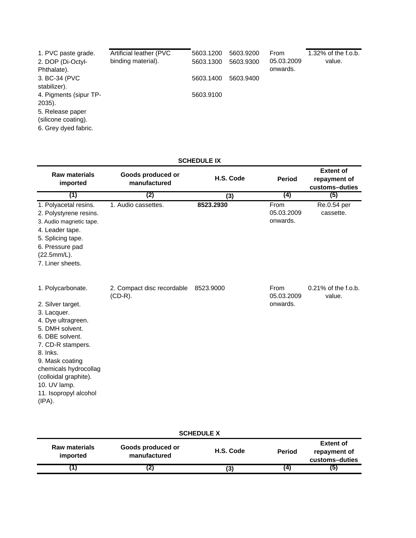| 1. PVC paste grade.    | Artificial leather (PVC | 5603.1200 | 5603.9200 | <b>From</b> | $1.32\%$ of the f.o.b. |
|------------------------|-------------------------|-----------|-----------|-------------|------------------------|
| 2. DOP (Di-Octyl-      | binding material).      | 5603.1300 | 5603.9300 | 05.03.2009  | value.                 |
| Phthalate).            |                         |           |           | onwards.    |                        |
| 3. BC-34 (PVC          |                         | 5603.1400 | 5603.9400 |             |                        |
| stabilizer).           |                         |           |           |             |                        |
| 4. Pigments (sipur TP- |                         | 5603.9100 |           |             |                        |
| 2035).                 |                         |           |           |             |                        |
| 5. Release paper       |                         |           |           |             |                        |
| (silicone coating).    |                         |           |           |             |                        |
| 6. Grey dyed fabric.   |                         |           |           |             |                        |
|                        |                         |           |           |             |                        |

## **SCHEDULE IX**

| <b>Raw materials</b><br>imported                                                                                                                                                                                                                                           | Goods produced or<br>manufactured        | H.S. Code | <b>Period</b>                  | <b>Extent of</b><br>repayment of<br>customs-duties |
|----------------------------------------------------------------------------------------------------------------------------------------------------------------------------------------------------------------------------------------------------------------------------|------------------------------------------|-----------|--------------------------------|----------------------------------------------------|
| (1)                                                                                                                                                                                                                                                                        | (2)                                      | (3)       | (4)                            | (5)                                                |
| 1. Polyacetal resins.<br>2. Polystyrene resins.<br>3. Audio magnetic tape.<br>4. Leader tape.<br>5. Splicing tape.<br>6. Pressure pad<br>(22.5mm/L).<br>7. Liner sheets.                                                                                                   | 1. Audio cassettes.                      | 8523.2930 | From<br>05.03.2009<br>onwards. | Re.0.54 per<br>cassette.                           |
| 1. Polycarbonate.<br>2. Silver target.<br>3. Lacquer.<br>4. Dye ultragreen.<br>5. DMH solvent.<br>6. DBE solvent.<br>7. CD-R stampers.<br>8. Inks.<br>9. Mask coating<br>chemicals hydrocollag<br>(colloidal graphite).<br>10. UV lamp.<br>11. Isopropyl alcohol<br>(IPA). | 2. Compact disc recordable<br>$(CD-R)$ . | 8523,9000 | From<br>05.03.2009<br>onwards. | $0.21\%$ of the f.o.b.<br>value.                   |

| <b>SCHEDULE X</b>                |                                   |           |               |                                                    |  |
|----------------------------------|-----------------------------------|-----------|---------------|----------------------------------------------------|--|
| <b>Raw materials</b><br>imported | Goods produced or<br>manufactured | H.S. Code | <b>Period</b> | <b>Extent of</b><br>repayment of<br>customs-duties |  |
|                                  | (Z)                               | (3)       | (4            | (5)                                                |  |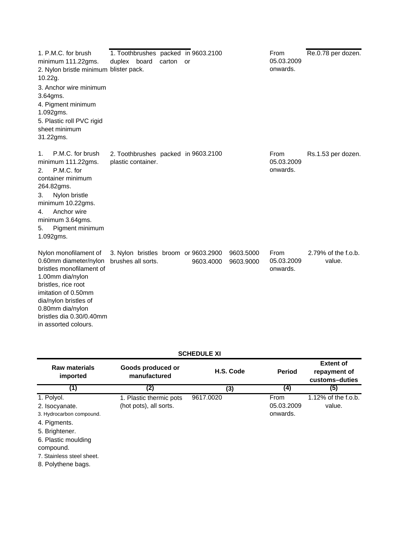| 1. P.M.C. for brush<br>minimum 111.22gms.<br>2. Nylon bristle minimum blister pack.<br>10.22g.<br>3. Anchor wire minimum<br>3.64gms.<br>4. Pigment minimum<br>1.092gms.<br>5. Plastic roll PVC rigid<br>sheet minimum<br>31.22gms.            | 1. Toothbrushes packed in 9603.2100<br>duplex board        | carton | or        |                        | From<br>05.03.2009<br>onwards. | Re.0.78 per dozen.            |
|-----------------------------------------------------------------------------------------------------------------------------------------------------------------------------------------------------------------------------------------------|------------------------------------------------------------|--------|-----------|------------------------|--------------------------------|-------------------------------|
| P.M.C. for brush<br>1.<br>minimum 111.22gms.<br>P.M.C. for<br>2.<br>container minimum<br>264.82gms.<br>Nylon bristle<br>3.<br>minimum 10.22gms.<br>Anchor wire<br>4.<br>minimum 3.64gms.<br>Pigment minimum<br>5.<br>1.092gms.                | 2. Toothbrushes packed in 9603.2100<br>plastic container.  |        |           |                        | From<br>05.03.2009<br>onwards. | Rs.1.53 per dozen.            |
| Nylon monofilament of<br>0.60mm diameter/nylon<br>bristles monofilament of<br>1.00mm dia/nylon<br>bristles, rice root<br>imitation of 0.50mm<br>dia/nylon bristles of<br>0.80mm dia/nylon<br>bristles dia 0.30/0.40mm<br>in assorted colours. | 3. Nylon bristles broom or 9603.2900<br>brushes all sorts. |        | 9603.4000 | 9603.5000<br>9603.9000 | From<br>05.03.2009<br>onwards. | 2.79% of the f.o.b.<br>value. |

| <b>SCHEDULE XI</b>               |                                   |           |               |                                                    |  |  |
|----------------------------------|-----------------------------------|-----------|---------------|----------------------------------------------------|--|--|
| <b>Raw materials</b><br>imported | Goods produced or<br>manufactured | H.S. Code | <b>Period</b> | <b>Extent of</b><br>repayment of<br>customs-duties |  |  |
| (1)                              | (2)                               | (3)       | (4)           | (5)                                                |  |  |
| 1. Polyol.                       | 1. Plastic thermic pots           | 9617.0020 | <b>From</b>   | 1.12% of the f.o.b.                                |  |  |
| 2. Isocyanate.                   | (hot pots), all sorts.            |           | 05.03.2009    | value.                                             |  |  |
| 3. Hydrocarbon compound.         |                                   |           | onwards.      |                                                    |  |  |
| 4. Pigments.                     |                                   |           |               |                                                    |  |  |
| 5. Brightener.                   |                                   |           |               |                                                    |  |  |
| 6. Plastic moulding              |                                   |           |               |                                                    |  |  |
| compound.                        |                                   |           |               |                                                    |  |  |
| 7. Stainless steel sheet.        |                                   |           |               |                                                    |  |  |

8. Polythene bags.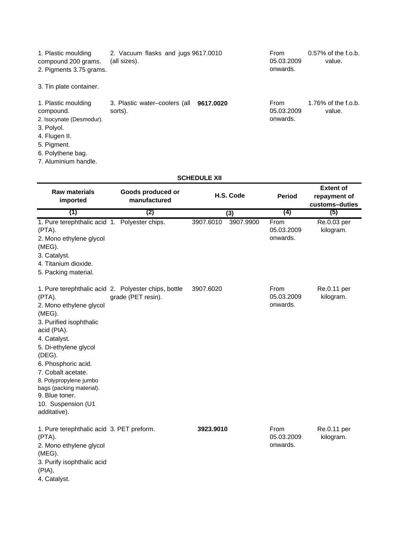| 1. Plastic moulding<br>compound 200 grams.<br>2. Pigments 3.75 grams. | 2. Vacuum flasks and jugs 9617.0010<br>(all sizes). | From<br>05.03.2009<br>onwards. | $0.57\%$ of the f.o.b.<br>value.   |
|-----------------------------------------------------------------------|-----------------------------------------------------|--------------------------------|------------------------------------|
| 3. Tin plate container.                                               |                                                     |                                |                                    |
| 1. Plastic moulding                                                   | 3. Plastic water-coolers (all 9617,0020             | From                           | 1.76% of the f.o.b. $\overline{a}$ |

| 1. Plastic moulding      | 3. Plastic water-coolers (all 9617.0020 | From       | 1.76% of the f.o.b. |
|--------------------------|-----------------------------------------|------------|---------------------|
| compound.                | sorts).                                 | 05.03.2009 | value.              |
| 2. Isocynate (Desmodur). |                                         | onwards.   |                     |
| 3. Polyol.               |                                         |            |                     |
| 4. Flugen II.            |                                         |            |                     |
| 5. Pigment.              |                                         |            |                     |
| 6. Polythene bag.        |                                         |            |                     |

7. Aluminium handle.

## **SCHEDULE XII**

| <b>Raw materials</b><br>imported                                                                                                                                                                                                                                                                       | Goods produced or<br>H.S. Code<br>manufactured                             |           |           |                                | <b>Period</b>            |  |  |  | <b>Extent of</b><br>repayment of<br>customs-duties |  |
|--------------------------------------------------------------------------------------------------------------------------------------------------------------------------------------------------------------------------------------------------------------------------------------------------------|----------------------------------------------------------------------------|-----------|-----------|--------------------------------|--------------------------|--|--|--|----------------------------------------------------|--|
| (1)                                                                                                                                                                                                                                                                                                    | (2)                                                                        | (3)       |           | (4)                            | (5)                      |  |  |  |                                                    |  |
| 1. Pure terephthalic acid 1. Polyester chips.<br>(PTA).<br>2. Mono ethylene glycol<br>(MEG).<br>3. Catalyst.<br>4. Titanium dioxide.<br>5. Packing material.                                                                                                                                           |                                                                            | 3907.6010 | 3907.9900 | From<br>05.03.2009<br>onwards. | Re.0.03 per<br>kilogram. |  |  |  |                                                    |  |
| (PTA).<br>2. Mono ethylene glycol<br>$(MEG)$ .<br>3. Purified isophthalic<br>acid (PIA).<br>4. Catalyst.<br>5. Di-ethylene glycol<br>(DEG).<br>6. Phosphoric acid.<br>7. Cobalt acetate.<br>8. Polypropylene jumbo<br>bags (packing material).<br>9. Blue toner.<br>10. Suspension (U1<br>additative). | 1. Pure terephthalic acid 2. Polyester chips, bottle<br>grade (PET resin). | 3907.6020 |           | From<br>05.03.2009<br>onwards. | Re.0.11 per<br>kilogram. |  |  |  |                                                    |  |
| 1. Pure terephthalic acid 3. PET preform.<br>(PTA).<br>2. Mono ethylene glycol<br>(MEG).<br>3. Purify isophthalic acid<br>(PIA),<br>4. Catalyst.                                                                                                                                                       |                                                                            | 3923.9010 |           | From<br>05.03.2009<br>onwards. | Re.0.11 per<br>kilogram. |  |  |  |                                                    |  |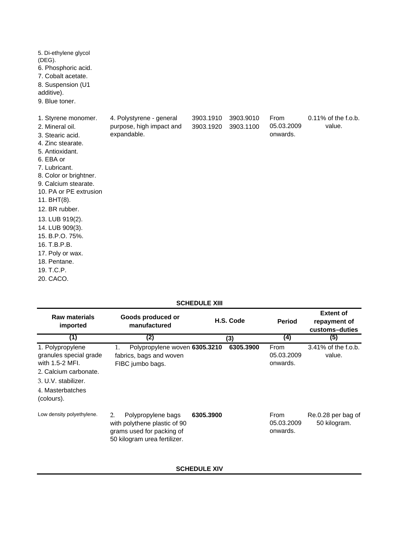| 5. Di-ethylene glycol<br>(DEG).<br>6. Phosphoric acid.<br>7. Cobalt acetate.<br>8. Suspension (U1<br>additive).<br>9. Blue toner.                                                                                                                                                                                      |                                                                     |                        |                        |                                |                               |
|------------------------------------------------------------------------------------------------------------------------------------------------------------------------------------------------------------------------------------------------------------------------------------------------------------------------|---------------------------------------------------------------------|------------------------|------------------------|--------------------------------|-------------------------------|
| 1. Styrene monomer.<br>2. Mineral oil.<br>3. Stearic acid.<br>4. Zinc stearate.<br>5. Antioxidant.<br>6. EBA or<br>7. Lubricant.<br>8. Color or brightner.<br>9. Calcium stearate.<br>10. PA or PE extrusion<br>11. BHT(8).<br>12. BR rubber.<br>13. LUB 919(2).<br>14. LUB 909(3).<br>15. B.P.O. 75%.<br>16. T.B.P.B. | 4. Polystyrene - general<br>purpose, high impact and<br>expandable. | 3903.1910<br>3903.1920 | 3903.9010<br>3903.1100 | From<br>05.03.2009<br>onwards. | 0.11% of the f.o.b.<br>value. |
| 17. Poly or wax.                                                                                                                                                                                                                                                                                                       |                                                                     |                        |                        |                                |                               |
| 18. Pentane.                                                                                                                                                                                                                                                                                                           |                                                                     |                        |                        |                                |                               |
| 19. T.C.P.                                                                                                                                                                                                                                                                                                             |                                                                     |                        |                        |                                |                               |
| 20. CACO.                                                                                                                                                                                                                                                                                                              |                                                                     |                        |                        |                                |                               |

| <b>SCHEDULE XIII</b>                                                                                                                            |                                                                                                                       |           |           |                                       |                                                    |
|-------------------------------------------------------------------------------------------------------------------------------------------------|-----------------------------------------------------------------------------------------------------------------------|-----------|-----------|---------------------------------------|----------------------------------------------------|
| <b>Raw materials</b><br>imported                                                                                                                | Goods produced or<br>manufactured                                                                                     |           | H.S. Code | <b>Period</b>                         | <b>Extent of</b><br>repayment of<br>customs-duties |
| (1)                                                                                                                                             | (2)                                                                                                                   |           | (3)       | (4)                                   | (5)                                                |
| 1. Polypropylene<br>granules special grade<br>with 1.5-2 MFI.<br>2. Calcium carbonate.<br>3. U.V. stabilizer.<br>4. Masterbatches<br>(colours). | 1.<br>Polypropylene woven 6305.3210<br>fabrics, bags and woven<br>FIBC jumbo bags.                                    |           | 6305.3900 | From<br>05.03.2009<br>onwards.        | 3.41% of the f.o.b.<br>value.                      |
| Low density polyethylene.                                                                                                                       | Polypropylene bags<br>2.<br>with polythene plastic of 90<br>grams used for packing of<br>50 kilogram urea fertilizer. | 6305.3900 |           | <b>From</b><br>05.03.2009<br>onwards. | Re.0.28 per bag of<br>50 kilogram.                 |

## **SCHEDULE XIV**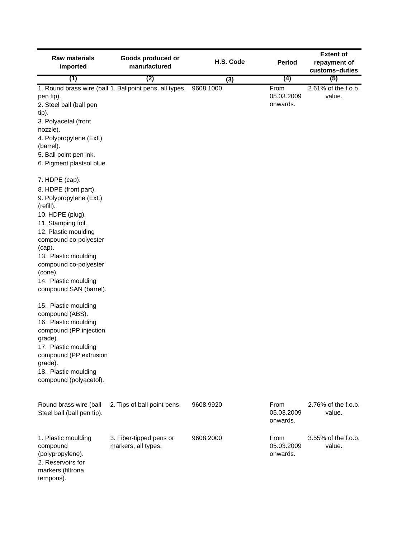| <b>Raw materials</b><br>imported                                                                                                                                                                                                                                                                                                                                                                                                                                                                                          | Goods produced or<br>manufactured                       | H.S. Code | <b>Period</b>                  | <b>Extent of</b><br>repayment of<br>customs-duties |
|---------------------------------------------------------------------------------------------------------------------------------------------------------------------------------------------------------------------------------------------------------------------------------------------------------------------------------------------------------------------------------------------------------------------------------------------------------------------------------------------------------------------------|---------------------------------------------------------|-----------|--------------------------------|----------------------------------------------------|
| (1)                                                                                                                                                                                                                                                                                                                                                                                                                                                                                                                       | (2)                                                     | (3)       | (4)                            | (5)                                                |
| pen tip).<br>2. Steel ball (ball pen<br>tip).<br>3. Polyacetal (front<br>nozzle).                                                                                                                                                                                                                                                                                                                                                                                                                                         | 1. Round brass wire (ball 1. Ballpoint pens, all types. | 9608.1000 | From<br>05.03.2009<br>onwards. | 2.61% of the f.o.b.<br>value.                      |
| 4. Polypropylene (Ext.)<br>(barrel).                                                                                                                                                                                                                                                                                                                                                                                                                                                                                      |                                                         |           |                                |                                                    |
| 5. Ball point pen ink.<br>6. Pigment plastsol blue.                                                                                                                                                                                                                                                                                                                                                                                                                                                                       |                                                         |           |                                |                                                    |
| 7. HDPE (cap).<br>8. HDPE (front part).<br>9. Polypropylene (Ext.)<br>(refill).<br>10. HDPE (plug).<br>11. Stamping foil.<br>12. Plastic moulding<br>compound co-polyester<br>(cap).<br>13. Plastic moulding<br>compound co-polyester<br>(cone).<br>14. Plastic moulding<br>compound SAN (barrel).<br>15. Plastic moulding<br>compound (ABS).<br>16. Plastic moulding<br>compound (PP injection<br>grade).<br>17. Plastic moulding<br>compound (PP extrusion<br>grade).<br>18. Plastic moulding<br>compound (polyacetol). |                                                         |           |                                |                                                    |
| Round brass wire (ball<br>Steel ball (ball pen tip).                                                                                                                                                                                                                                                                                                                                                                                                                                                                      | 2. Tips of ball point pens.                             | 9608.9920 | From<br>05.03.2009<br>onwards. | 2.76% of the f.o.b.<br>value.                      |
| 1. Plastic moulding<br>compound<br>(polypropylene).<br>2. Reservoirs for<br>markers (filtrona<br>tempons).                                                                                                                                                                                                                                                                                                                                                                                                                | 3. Fiber-tipped pens or<br>markers, all types.          | 9608.2000 | From<br>05.03.2009<br>onwards. | 3.55% of the f.o.b.<br>value.                      |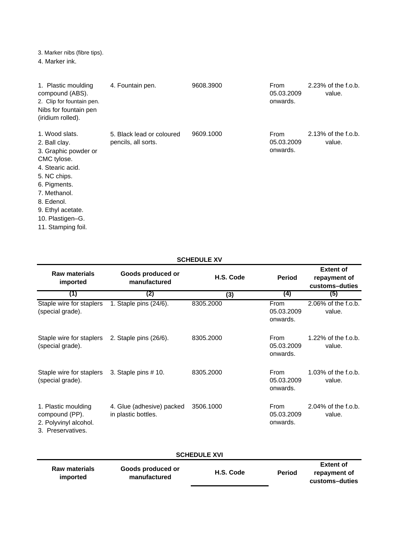3. Marker nibs (fibre tips).

**imported**

4. Marker ink.

| 1. Plastic moulding<br>compound (ABS).<br>2. Clip for fountain pen.<br>Nibs for fountain pen<br>(iridium rolled).                                                                                                       | 4. Fountain pen.                                 | 9608.3900 | From<br>05.03.2009<br>onwards. | 2.23% of the f.o.b.<br>value. |
|-------------------------------------------------------------------------------------------------------------------------------------------------------------------------------------------------------------------------|--------------------------------------------------|-----------|--------------------------------|-------------------------------|
| 1. Wood slats.<br>2. Ball clay.<br>3. Graphic powder or<br>CMC tylose.<br>4. Stearic acid.<br>5. NC chips.<br>6. Pigments.<br>7. Methanol.<br>8. Edenol.<br>9. Ethyl acetate.<br>10. Plastigen-G.<br>11. Stamping foil. | 5. Black lead or coloured<br>pencils, all sorts. | 9609.1000 | From<br>05.03.2009<br>onwards. | 2.13% of the f.o.b.<br>value. |

## **SCHEDULE XV**

| <b>Raw materials</b><br>imported                                                    | Goods produced or<br>manufactured                | H.S. Code           | <b>Period</b>                  | <b>Extent of</b><br>repayment of<br>customs-duties          |
|-------------------------------------------------------------------------------------|--------------------------------------------------|---------------------|--------------------------------|-------------------------------------------------------------|
| (1)                                                                                 | (2)                                              | (3)                 | (4)                            | (5)                                                         |
| Staple wire for staplers<br>(special grade).                                        | 1. Staple pins (24/6).                           | 8305.2000           | From<br>05.03.2009<br>onwards. | 2.06% of the f.o.b.<br>value.                               |
| Staple wire for staplers<br>(special grade).                                        | 2. Staple pins (26/6).                           | 8305.2000           | From<br>05.03.2009<br>onwards. | 1.22% of the f.o.b.<br>value.                               |
| Staple wire for staplers<br>(special grade).                                        | 3. Staple pins $# 10$ .                          | 8305.2000           | From<br>05.03.2009<br>onwards. | $1.03\%$ of the f.o.b.<br>value.                            |
| 1. Plastic moulding<br>compound (PP).<br>2. Polyvinyl alcohol.<br>3. Preservatives. | 4. Glue (adhesive) packed<br>in plastic bottles. | 3506.1000           | From<br>05.03.2009<br>onwards. | 2.04% of the f.o.b.<br>value.                               |
|                                                                                     |                                                  | <b>SCHEDULE XVI</b> |                                |                                                             |
| <b>Raw materials</b><br>imported                                                    | Goods produced or<br>manufactured                | H.S. Code           | <b>Period</b>                  | <b>Extent of</b><br>repayment of<br>بمثلبته استمدمه والمرور |

**customs–duties**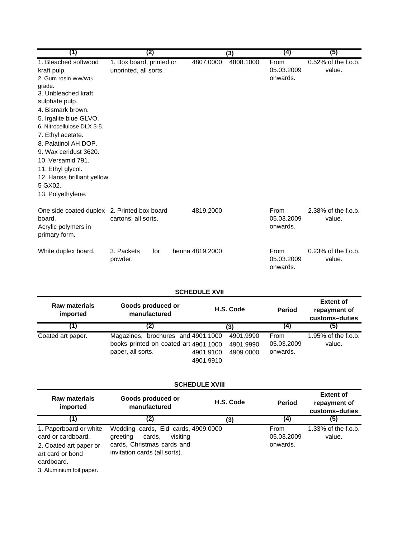| (1)                                                                                                                                                                                                                                                                                                                                                                     | (2)                                               |                 | (3)       | (4)                            | (5)                              |
|-------------------------------------------------------------------------------------------------------------------------------------------------------------------------------------------------------------------------------------------------------------------------------------------------------------------------------------------------------------------------|---------------------------------------------------|-----------------|-----------|--------------------------------|----------------------------------|
| 1. Bleached softwood<br>kraft pulp.<br>2. Gum rosin WW/WG<br>grade.<br>3. Unbleached kraft<br>sulphate pulp.<br>4. Bismark brown.<br>5. Irgalite blue GLVO.<br>6. Nitrocellulose DLX 3-5.<br>7. Ethyl acetate.<br>8. Palatinol AH DOP.<br>9. Wax ceridust 3620.<br>10. Versamid 791.<br>11. Ethyl glycol.<br>12. Hansa brilliant yellow<br>5 GX02.<br>13. Polyethylene. | 1. Box board, printed or<br>unprinted, all sorts. | 4807.0000       | 4808.1000 | From<br>05.03.2009<br>onwards. | $0.52\%$ of the f.o.b.<br>value. |
| One side coated duplex<br>board.<br>Acrylic polymers in<br>primary form.                                                                                                                                                                                                                                                                                                | 2. Printed box board<br>cartons, all sorts.       | 4819.2000       |           | From<br>05.03.2009<br>onwards. | 2.38% of the f.o.b.<br>value.    |
| White duplex board.                                                                                                                                                                                                                                                                                                                                                     | 3. Packets<br>for<br>powder.                      | henna 4819,2000 |           | From<br>05.03.2009<br>onwards. | 0.23% of the f.o.b.<br>value.    |

**SCHEDULE XVII**

| <b>Raw materials</b><br>imported | Goods produced or<br>manufactured                                                                |                        | H.S. Code                           | <b>Period</b>                  | <b>Extent of</b><br>repayment of<br>customs-duties |
|----------------------------------|--------------------------------------------------------------------------------------------------|------------------------|-------------------------------------|--------------------------------|----------------------------------------------------|
|                                  |                                                                                                  |                        | (3)                                 | (4)                            | (5)                                                |
| Coated art paper.                | Magazines, brochures and 4901.1000<br>books printed on coated art 4901.1000<br>paper, all sorts. | 4901.9100<br>4901.9910 | 4901.9990<br>4901.9990<br>4909.0000 | From<br>05.03.2009<br>onwards. | 1.95% of the f.o.b.<br>value.                      |

## **SCHEDULE XVIII**

| <b>Raw materials</b><br>imported                                                                         | Goods produced or<br>manufactured                                                                                                    | H.S. Code | <b>Period</b>                         | <b>Extent of</b><br>repayment of<br>customs-duties |
|----------------------------------------------------------------------------------------------------------|--------------------------------------------------------------------------------------------------------------------------------------|-----------|---------------------------------------|----------------------------------------------------|
| (1)                                                                                                      | (2)                                                                                                                                  | (3)       | (4)                                   | (5)                                                |
| 1. Paperboard or white<br>card or cardboard.<br>2. Coated art paper or<br>art card or bond<br>cardboard. | Wedding cards, Eid cards, 4909.0000<br>visiting<br>cards.<br>greeting<br>cards, Christmas cards and<br>invitation cards (all sorts). |           | <b>From</b><br>05.03.2009<br>onwards. | 1.33% of the f.o.b.<br>value.                      |

3. Aluminium foil paper.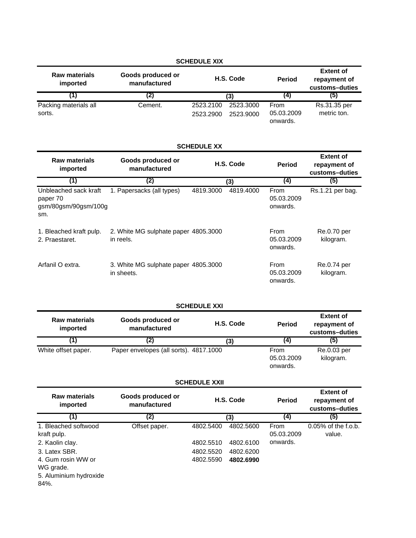| <b>SCHEDULE XIX</b>              |                                                |                        |                        |                                |                                                    |  |
|----------------------------------|------------------------------------------------|------------------------|------------------------|--------------------------------|----------------------------------------------------|--|
| <b>Raw materials</b><br>imported | Goods produced or<br>H.S. Code<br>manufactured |                        |                        | <b>Period</b>                  | <b>Extent of</b><br>repayment of<br>customs-duties |  |
| 1)                               | (2)                                            |                        | (3)                    | (4)                            | (5)                                                |  |
| Packing materials all<br>sorts.  | Cement.                                        | 2523.2100<br>2523.2900 | 2523.3000<br>2523.9000 | From<br>05.03.2009<br>onwards. | Rs.31.35 per<br>metric ton.                        |  |

## **SCHEDULE XX**

| <b>Raw materials</b><br>imported                                 | Goods produced or<br>manufactured                  | H.S. Code |           | <b>Period</b>                  | <b>Extent of</b><br>repayment of<br>customs-duties |
|------------------------------------------------------------------|----------------------------------------------------|-----------|-----------|--------------------------------|----------------------------------------------------|
| (1)                                                              | (2)                                                | (3)       |           | $\left( 4\right)$              | (5)                                                |
| Unbleached sack kraft<br>paper 70<br>gsm/80gsm/90gsm/100g<br>sm. | 1. Papersacks (all types)                          | 4819.3000 | 4819.4000 | From<br>05.03.2009<br>onwards. | Rs.1.21 per bag.                                   |
| 1. Bleached kraft pulp.<br>2. Praestaret.                        | 2. White MG sulphate paper 4805.3000<br>in reels.  |           |           | From<br>05.03.2009<br>onwards. | Re.0.70 per<br>kilogram.                           |
| Arfanil O extra.                                                 | 3. White MG sulphate paper 4805.3000<br>in sheets. |           |           | From<br>05.03.2009<br>onwards. | Re.0.74 per<br>kilogram.                           |

## **SCHEDULE XXI**

| <b>Raw materials</b><br>imported | Goods produced or<br>manufactured      | H.S. Code | <b>Period</b>                  | <b>Extent of</b><br>repayment of<br>customs-duties |
|----------------------------------|----------------------------------------|-----------|--------------------------------|----------------------------------------------------|
|                                  | (2)                                    | (3)       | (4)                            | (5)                                                |
| White offset paper.              | Paper envelopes (all sorts). 4817.1000 |           | From<br>05.03.2009<br>onwards. | Re.0.03 per<br>kilogram.                           |

## **SCHEDULE XXII**

| <b>Raw materials</b><br>imported                                  | Goods produced or<br>manufactured | H.S. Code |           | <b>Period</b>      | <b>Extent of</b><br>repayment of<br>customs-duties |
|-------------------------------------------------------------------|-----------------------------------|-----------|-----------|--------------------|----------------------------------------------------|
| (1)                                                               | (2)                               |           | (3)       | (4)                | (5)                                                |
| 1. Bleached softwood<br>kraft pulp.                               | Offset paper.                     | 4802.5400 | 4802.5600 | From<br>05.03.2009 | $0.05\%$ of the f.o.b.<br>value.                   |
| 2. Kaolin clay.                                                   |                                   | 4802.5510 | 4802.6100 | onwards.           |                                                    |
| 3. Latex SBR.                                                     |                                   | 4802.5520 | 4802.6200 |                    |                                                    |
| 4. Gum rosin WW or<br>WG grade.<br>5. Aluminium hydroxide<br>84%. |                                   | 4802.5590 | 4802.6990 |                    |                                                    |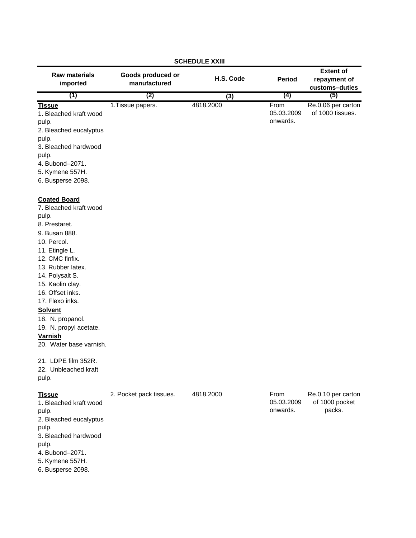| <b>SCHEDULE XXIII</b>                                                                                                                                                                                                                                                                                                                                        |                                   |           |                                |                                                    |  |  |
|--------------------------------------------------------------------------------------------------------------------------------------------------------------------------------------------------------------------------------------------------------------------------------------------------------------------------------------------------------------|-----------------------------------|-----------|--------------------------------|----------------------------------------------------|--|--|
| <b>Raw materials</b><br>imported                                                                                                                                                                                                                                                                                                                             | Goods produced or<br>manufactured | H.S. Code | <b>Period</b>                  | <b>Extent of</b><br>repayment of<br>customs-duties |  |  |
| (1)                                                                                                                                                                                                                                                                                                                                                          | (2)                               | (3)       | (4)                            | (5)                                                |  |  |
| <b>Tissue</b><br>1. Bleached kraft wood<br>pulp.<br>2. Bleached eucalyptus<br>pulp.<br>3. Bleached hardwood<br>pulp.<br>4. Bubond-2071.<br>5. Kymene 557H.                                                                                                                                                                                                   | 1. Tissue papers.                 | 4818.2000 | From<br>05.03.2009<br>onwards. | Re.0.06 per carton<br>of 1000 tissues.             |  |  |
| 6. Busperse 2098.                                                                                                                                                                                                                                                                                                                                            |                                   |           |                                |                                                    |  |  |
| <b>Coated Board</b><br>7. Bleached kraft wood<br>pulp.<br>8. Prestaret.<br>9. Busan 888.<br>10. Percol.<br>11. Etingle L.<br>12. CMC finfix.<br>13. Rubber latex.<br>14. Polysalt S.<br>15. Kaolin clay.<br>16. Offset inks.<br>17. Flexo inks.<br><b>Solvent</b><br>18. N. propanol.<br>19. N. propyl acetate.<br><b>Varnish</b><br>20. Water base varnish. |                                   |           |                                |                                                    |  |  |
| 21. LDPE film 352R.                                                                                                                                                                                                                                                                                                                                          |                                   |           |                                |                                                    |  |  |
| 22. Unbleached kraft                                                                                                                                                                                                                                                                                                                                         |                                   |           |                                |                                                    |  |  |
| pulp.                                                                                                                                                                                                                                                                                                                                                        |                                   |           |                                |                                                    |  |  |
| <b>Tissue</b><br>1. Bleached kraft wood<br>pulp.<br>2. Bleached eucalyptus<br>pulp.<br>3. Bleached hardwood<br>pulp.<br>4. Bubond-2071.<br>5. Kymene 557H.<br>6. Busperse 2098.                                                                                                                                                                              | 2. Pocket pack tissues.           | 4818.2000 | From<br>05.03.2009<br>onwards. | Re.0.10 per carton<br>of 1000 pocket<br>packs.     |  |  |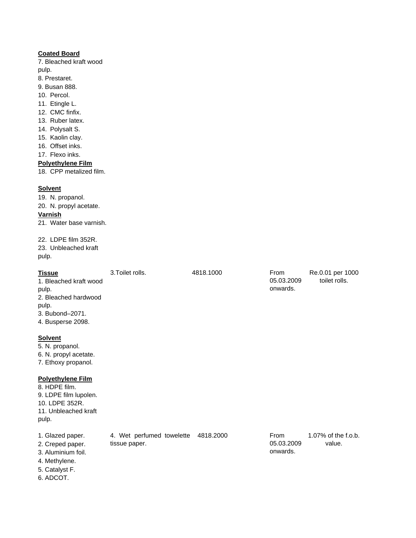## **Coated Board**

7. Bleached kraft wood pulp.

8. Prestaret.

- 9. Busan 888.
- 10. Percol.
- 11. Etingle L.
- 12. CMC finfix.
- 13. Ruber latex.
- 14. Polysalt S.
- 15. Kaolin clay.
- 16. Offset inks.
- 17. Flexo inks.

#### **Polyethylene Film**

18. CPP metalized film.

## **Solvent**

19. N. propanol.

20. N. propyl acetate.

#### **Varnish**

21. Water base varnish.

22. LDPE film 352R. 23. Unbleached kraft pulp.

# **Tissue** 3.Toilet rolls. 4818.1000 1. Bleached kraft wood pulp. 2. Bleached hardwood pulp. 3. Bubond–2071. 4. Busperse 2098. **Solvent** 5. N. propanol. 6. N. propyl acetate. 7. Ethoxy propanol.

## **Polyethylene Film**

pulp.

4. Methylene. 5. Catalyst F. 6. ADCOT.

1. Glazed paper. 4. Wet perfumed towelette 4818.2000 2. Creped paper. 3. Aluminium foil. tissue paper.

From 05.03.2009 onwards. 1.07% of the f.o.b. value.

From 05.03.2009 onwards.

Re.0.01 per 1000 toilet rolls.

# 8. HDPE film.

9. LDPE film lupolen. 10. LDPE 352R. 11. Unbleached kraft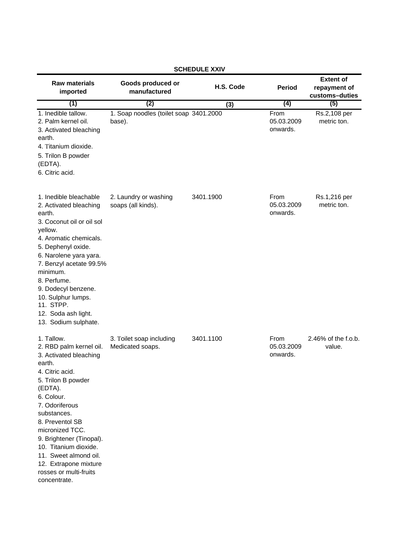| <b>Raw materials</b><br>imported                                                                                                                                                                                                                                                                                                                                    | Goods produced or<br>manufactured                | H.S. Code | <b>Period</b>                  | <b>Extent of</b><br>repayment of<br>customs-duties |
|---------------------------------------------------------------------------------------------------------------------------------------------------------------------------------------------------------------------------------------------------------------------------------------------------------------------------------------------------------------------|--------------------------------------------------|-----------|--------------------------------|----------------------------------------------------|
| (1)                                                                                                                                                                                                                                                                                                                                                                 | (2)                                              | (3)       | (4)                            | (5)                                                |
| 1. Inedible tallow.<br>2. Palm kernel oil.<br>3. Activated bleaching<br>earth.<br>4. Titanium dioxide.<br>5. Trilon B powder<br>(EDTA).<br>6. Citric acid.                                                                                                                                                                                                          | 1. Soap noodles (toilet soap 3401.2000<br>base). |           | From<br>05.03.2009<br>onwards. | Rs.2,108 per<br>metric ton.                        |
| 1. Inedible bleachable<br>2. Activated bleaching<br>earth.<br>3. Coconut oil or oil sol<br>yellow.<br>4. Aromatic chemicals.<br>5. Dephenyl oxide.<br>6. Narolene yara yara.<br>7. Benzyl acetate 99.5%<br>minimum.<br>8. Perfume.<br>9. Dodecyl benzene.<br>10. Sulphur lumps.<br>11. STPP.<br>12. Soda ash light.<br>13. Sodium sulphate.                         | 2. Laundry or washing<br>soaps (all kinds).      | 3401.1900 | From<br>05.03.2009<br>onwards. | Rs.1,216 per<br>metric ton.                        |
| 1. Tallow.<br>2. RBD palm kernel oil.<br>3. Activated bleaching<br>earth.<br>4. Citric acid.<br>5. Trilon B powder<br>(EDTA).<br>6. Colour.<br>7. Odoriferous<br>substances.<br>8. Preventol SB<br>micronized TCC.<br>9. Brightener (Tinopal).<br>10. Titanium dioxide.<br>11. Sweet almond oil.<br>12. Extrapone mixture<br>rosses or multi-fruits<br>concentrate. | 3. Toilet soap including<br>Medicated soaps.     | 3401.1100 | From<br>05.03.2009<br>onwards. | 2.46% of the f.o.b.<br>value.                      |

## **SCHEDULE XXIV**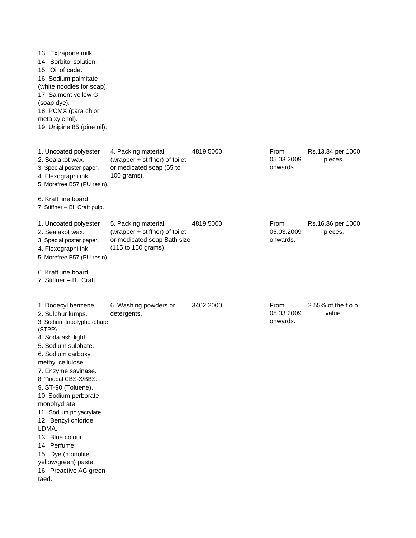13. Extrapone milk. 14. Sorbitol solution. 15. Oil of cade. 17. Saiment yellow G (soap dye). 18. PCMX (para chlor meta xylenol). 19. Unipine 85 (pine oil). 1. Uncoated polyester 4. Packing material 4819.5000 2. Sealakot wax. 3. Special poster paper. 4. Flexographi ink. 5. Morefree B57 (PU resin). 6. Kraft line board. 7. Stiffner – Bl. Craft pulp. 1. Uncoated polyester 5. Packing material 4819.5000 2. Sealakot wax. 3. Special poster paper. 4. Flexographi ink. 5. Morefree B57 (PU resin). 6. Kraft line board. 7. Stiffner – Bl. Craft 1. Dodecyl benzene. 6. Washing powders or 3402.2000 2. Sulphur lumps. 3. Sodium tripolyphosphate (STPP). 4. Soda ash light. 5. Sodium sulphate. 6. Sodium carboxy methyl cellulose. 7. Enzyme savinase. 8. Tinopal CBS-X/BBS. 9. ST-90 (Toluene). 10. Sodium perborate monohydrate. 11. Sodium polyacrylate. 12. Benzyl chloride LDMA. 13. Blue colour. 14. Perfume. 15. Dye (monolite yellow/green) paste. 16. Preactive AC green taed. 4. Packing material (wrapper + stiffner) of toilet or medicated soap (65 to 100 grams). detergents. From 05.03.2009 onwards. 2.55% of the f.o.b. value. Rs.13.84 per 1000 pieces. Rs.16.86 per 1000 pieces. From 05.03.2009 onwards. From 05.03.2009 onwards. 5. Packing material (wrapper + stiffner) of toilet or medicated soap Bath size (115 to 150 grams). 16. Sodium palmitate (white noodles for soap).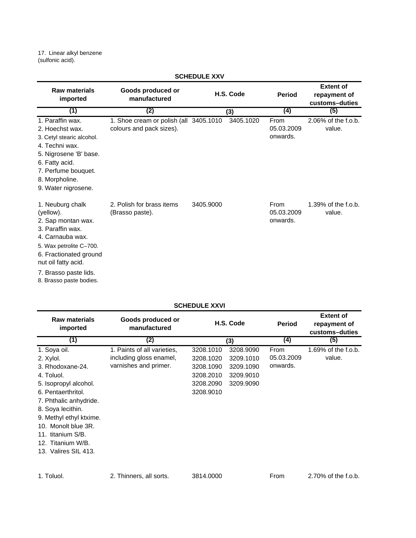17. Linear alkyl benzene (sulfonic acid).

| <b>Raw materials</b><br>imported                                                                                                                                                                                            | Goods produced or<br>manufactured                                  | H.S. Code | <b>Period</b>                  | <b>Extent of</b><br>repayment of<br>customs-duties |
|-----------------------------------------------------------------------------------------------------------------------------------------------------------------------------------------------------------------------------|--------------------------------------------------------------------|-----------|--------------------------------|----------------------------------------------------|
| (1)                                                                                                                                                                                                                         | (2)                                                                | (3)       | (4)                            | (5)                                                |
| 1. Paraffin wax.<br>2. Hoechst wax.<br>3. Cetyl stearic alcohol.<br>4. Techni wax.<br>5. Nigrosene 'B' base.<br>6. Fatty acid.<br>7. Perfume bouquet.<br>8. Morpholine.<br>9. Water nigrosene.                              | 1. Shoe cream or polish (all 3405.1010<br>colours and pack sizes). | 3405.1020 | From<br>05.03.2009<br>onwards. | 2.06% of the f.o.b.<br>value.                      |
| 1. Neuburg chalk<br>(yellow).<br>2. Sap montan wax.<br>3. Paraffin wax.<br>4. Carnauba wax.<br>5. Wax petrolite C-700.<br>6. Fractionated ground<br>nut oil fatty acid.<br>7. Brasso paste lids.<br>8. Brasso paste bodies. | 2. Polish for brass items<br>(Brasso paste).                       | 3405.9000 | From<br>05.03.2009<br>onwards. | 1.39% of the f.o.b.<br>value.                      |

## **SCHEDULE XXV**

## **SCHEDULE XXVI**

| <b>Raw materials</b><br>imported | Goods produced or<br>manufactured | H.S. Code |           | <b>Period</b> | <b>Extent of</b><br>repayment of<br>customs-duties |
|----------------------------------|-----------------------------------|-----------|-----------|---------------|----------------------------------------------------|
| (1)                              | (2)                               |           | (3)       | (4)           | (5)                                                |
| 1. Soya oil.                     | 1. Paints of all varieties,       | 3208.1010 | 3208.9090 | From          | 1.69% of the f.o.b.                                |
| 2. Xylol.                        | including gloss enamel,           | 3208.1020 | 3209.1010 | 05.03.2009    | value.                                             |
| 3. Rhodoxane-24.                 | varnishes and primer.             | 3208.1090 | 3209.1090 | onwards.      |                                                    |
| 4. Toluol.                       |                                   | 3208.2010 | 3209.9010 |               |                                                    |
| 5. Isopropyl alcohol.            |                                   | 3208.2090 | 3209.9090 |               |                                                    |
| 6. Pentaerthritol.               |                                   | 3208.9010 |           |               |                                                    |
| 7. Phthalic anhydride.           |                                   |           |           |               |                                                    |
| 8. Soya lecithin.                |                                   |           |           |               |                                                    |
| 9. Methyl ethyl ktxime.          |                                   |           |           |               |                                                    |
| 10. Monolt blue 3R.              |                                   |           |           |               |                                                    |
| 11. titanium S/B.                |                                   |           |           |               |                                                    |
| 12. Titanium W/B.                |                                   |           |           |               |                                                    |
| 13. Valires SIL 413.             |                                   |           |           |               |                                                    |
|                                  |                                   |           |           |               |                                                    |

1. Toluol. 2. Thinners, all sorts. 3814.0000 From 2.70% of the f.o.b.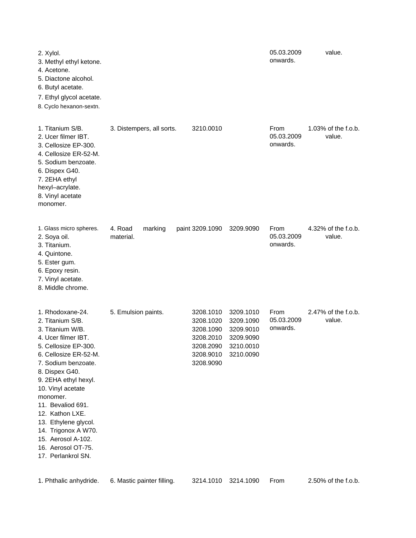| 2. Xylol.<br>3. Methyl ethyl ketone.<br>4. Acetone.<br>5. Diactone alcohol.<br>6. Butyl acetate.<br>7. Ethyl glycol acetate.<br>8. Cyclo hexanon-sextn.                                                                                                                                                                                                                                     |                                 |                                                                                         |                                                                            | 05.03.2009<br>onwards.         | value.                        |
|---------------------------------------------------------------------------------------------------------------------------------------------------------------------------------------------------------------------------------------------------------------------------------------------------------------------------------------------------------------------------------------------|---------------------------------|-----------------------------------------------------------------------------------------|----------------------------------------------------------------------------|--------------------------------|-------------------------------|
| 1. Titanium S/B.<br>2. Ucer filmer IBT.<br>3. Cellosize EP-300.<br>4. Cellosize ER-52-M.<br>5. Sodium benzoate.<br>6. Dispex G40.<br>7. 2EHA ethyl<br>hexyl-acrylate.<br>8. Vinyl acetate<br>monomer.                                                                                                                                                                                       | 3. Distempers, all sorts.       | 3210.0010                                                                               |                                                                            | From<br>05.03.2009<br>onwards. | 1.03% of the f.o.b.<br>value. |
| 1. Glass micro spheres.<br>2. Soya oil.<br>3. Titanium.<br>4. Quintone.<br>5. Ester gum.<br>6. Epoxy resin.<br>7. Vinyl acetate.<br>8. Middle chrome.                                                                                                                                                                                                                                       | 4. Road<br>marking<br>material. | paint 3209.1090                                                                         | 3209.9090                                                                  | From<br>05.03.2009<br>onwards. | 4.32% of the f.o.b.<br>value. |
| 1. Rhodoxane-24.<br>2. Titanium S/B.<br>3. Titanium W/B.<br>4. Ucer filmer IBT.<br>5. Cellosize EP-300.<br>6. Cellosize ER-52-M.<br>7. Sodium benzoate.<br>8. Dispex G40.<br>9. 2EHA ethyl hexyl.<br>10. Vinyl acetate<br>monomer.<br>11. Bevaliod 691.<br>12. Kathon LXE.<br>13. Ethylene glycol.<br>14. Trigonox A W70.<br>15. Aerosol A-102.<br>16. Aerosol OT-75.<br>17. Perlankrol SN. | 5. Emulsion paints.             | 3208.1010<br>3208.1020<br>3208.1090<br>3208.2010<br>3208.2090<br>3208.9010<br>3208.9090 | 3209.1010<br>3209.1090<br>3209.9010<br>3209.9090<br>3210.0010<br>3210.0090 | From<br>05.03.2009<br>onwards. | 2.47% of the f.o.b.<br>value. |

| 1. Phthalic anhydride. 6. Mastic painter filling. |  |  | 3214.1010 3214.1090  From |  | 2.50% of the f.o.b. |
|---------------------------------------------------|--|--|---------------------------|--|---------------------|
|---------------------------------------------------|--|--|---------------------------|--|---------------------|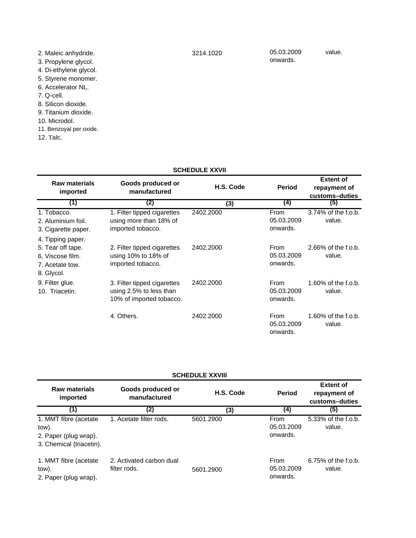## **SCHEDULE XXVII**

| <b>Raw materials</b><br>imported                                                            | Goods produced or<br>manufactured                                                  | H.S. Code | Period                         | <b>Extent of</b><br>repayment of<br>customs-duties |
|---------------------------------------------------------------------------------------------|------------------------------------------------------------------------------------|-----------|--------------------------------|----------------------------------------------------|
| (1)                                                                                         | (2)                                                                                | (3)       | $\left(4\right)$               | (5)                                                |
| 1. Tobacco.<br>2. Aluminium foil.<br>3. Cigarette paper.                                    | 1. Filter tipped cigarettes<br>using more than 18% of<br>imported tobacco.         | 2402.2000 | From<br>05.03.2009<br>onwards. | 3.74% of the f.o.b.<br>value.                      |
| 4. Tipping paper.<br>5. Tear off tape.<br>6. Viscose film.<br>7. Acetate tow.<br>8. Glycol. | 2. Filter tipped cigarettes<br>using 10% to 18% of<br>imported tobacco.            | 2402.2000 | From<br>05.03.2009<br>onwards. | 2.66% of the f.o.b.<br>value.                      |
| 9. Filter glue.<br>10. Triacetin.                                                           | 3. Filter tipped cigarettes<br>using 2.5% to less than<br>10% of imported tobacco. | 2402.2000 | From<br>05.03.2009<br>onwards. | 1.60% of the f.o.b.<br>value.                      |
|                                                                                             | 4. Others.                                                                         | 2402.2000 | From<br>05.03.2009<br>onwards. | 1.60% of the f.o.b.<br>value.                      |

| <b>SCHEDULE XXVIII</b>                                                               |                                          |           |                                |                                                    |  |
|--------------------------------------------------------------------------------------|------------------------------------------|-----------|--------------------------------|----------------------------------------------------|--|
| <b>Raw materials</b><br>imported                                                     | Goods produced or<br>manufactured        | H.S. Code | <b>Period</b>                  | <b>Extent of</b><br>repayment of<br>customs-duties |  |
| (1)                                                                                  | (2)                                      | (3)       | (4)                            | (5)                                                |  |
| 1. MMT fibre (acetate)<br>tow).<br>2. Paper (plug wrap).<br>3. Chemical (triacetin). | 1. Acetate filter rods.                  | 5601.2900 | From<br>05.03.2009<br>onwards. | 5.33% of the f.o.b.<br>value.                      |  |
| 1. MMT fibre (acetate)<br>tow).<br>2. Paper (plug wrap).                             | 2. Activated carbon dual<br>filter rods. | 5601.2900 | From<br>05.03.2009<br>onwards. | 6.75% of the f.o.b.<br>value.                      |  |

3214.1020

05.03.2009 onwards.

value.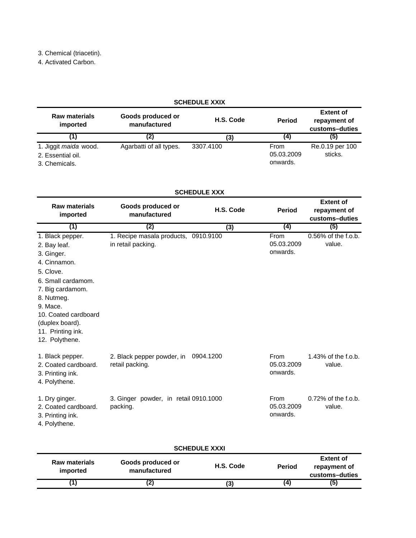3. Chemical (triacetin).

4. Activated Carbon.

| <b>SCHEDULE XXIX</b>             |                                   |           |               |                                                    |  |
|----------------------------------|-----------------------------------|-----------|---------------|----------------------------------------------------|--|
| <b>Raw materials</b><br>imported | Goods produced or<br>manufactured | H.S. Code | <b>Period</b> | <b>Extent of</b><br>repayment of<br>customs-duties |  |
|                                  | (2)                               | (3)       | (4)           | (5)                                                |  |
| 1. Jiggit maida wood.            | Agarbatti of all types.           | 3307.4100 | <b>From</b>   | Re.0.19 per 100                                    |  |
| 2. Essential oil.                |                                   |           | 05.03.2009    | sticks.                                            |  |
| 3. Chemicals.                    |                                   |           | onwards.      |                                                    |  |

## **SCHEDULE XXX**

| <b>Raw materials</b><br>imported                                                                                                                                                                                                  | Goods produced or<br>manufactured                          | H.S. Code | <b>Period</b>                         | <b>Extent of</b><br>repayment of<br>customs-duties |
|-----------------------------------------------------------------------------------------------------------------------------------------------------------------------------------------------------------------------------------|------------------------------------------------------------|-----------|---------------------------------------|----------------------------------------------------|
| (1)                                                                                                                                                                                                                               | (2)                                                        | (3)       | (4)                                   | (5)                                                |
| 1. Black pepper.<br>2. Bay leaf.<br>3. Ginger.<br>4. Cinnamon.<br>5. Clove.<br>6. Small cardamom.<br>7. Big cardamom.<br>8. Nutmeg.<br>9. Mace.<br>10. Coated cardboard<br>(duplex board).<br>11. Printing ink.<br>12. Polythene. | 1. Recipe masala products, 0910.9100<br>in retail packing. |           | From<br>05.03.2009<br>onwards.        | $0.56\%$ of the f.o.b.<br>value.                   |
| 1. Black pepper.<br>2. Coated cardboard.<br>3. Printing ink.<br>4. Polythene.                                                                                                                                                     | 2. Black pepper powder, in<br>retail packing.              | 0904.1200 | From<br>05.03.2009<br>onwards.        | 1.43% of the f.o.b.<br>value.                      |
| 1. Dry ginger.<br>2. Coated cardboard.<br>3. Printing ink.<br>4. Polythene.                                                                                                                                                       | 3. Ginger powder, in retail 0910.1000<br>packing.          |           | <b>From</b><br>05.03.2009<br>onwards. | $0.72\%$ of the f.o.b.<br>value.                   |

| <b>SCHEDULE XXXI</b>             |                                                                 |    |     |     |  |  |
|----------------------------------|-----------------------------------------------------------------|----|-----|-----|--|--|
| <b>Raw materials</b><br>imported | Goods produced or<br>H.S. Code<br><b>Period</b><br>manufactured |    |     |     |  |  |
|                                  | Œ,                                                              | (3 | (4) | (5) |  |  |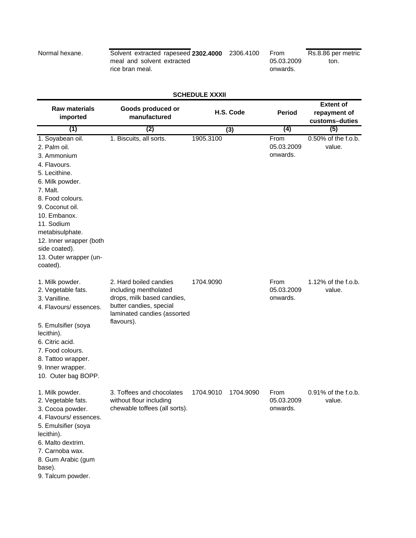Normal hexane. **230 Solvent extracted rapeseed 2302.4000** 2306.4100 meal and solvent extracted rice bran meal.

From 05.03.2009 onwards. Rs.8.86 per metric ton.

## **SCHEDULE XXXII**

| <b>Raw materials</b><br>imported                                                                                                                                                                                                                                                          | Goods produced or<br>manufactured                                                                                                                     | H.S. Code<br><b>Period</b> |                                | <b>Extent of</b><br>repayment of<br>customs-duties |
|-------------------------------------------------------------------------------------------------------------------------------------------------------------------------------------------------------------------------------------------------------------------------------------------|-------------------------------------------------------------------------------------------------------------------------------------------------------|----------------------------|--------------------------------|----------------------------------------------------|
| (1)                                                                                                                                                                                                                                                                                       | (2)                                                                                                                                                   | (3)                        | $\left(4\right)$               | (5)                                                |
| 1. Soyabean oil.<br>2. Palm oil.<br>3. Ammonium<br>4. Flavours.<br>5. Lecithine.<br>6. Milk powder.<br>7. Malt.<br>8. Food colours.<br>9. Coconut oil.<br>10. Embanox.<br>11. Sodium<br>metabisulphate.<br>12. Inner wrapper (both<br>side coated).<br>13. Outer wrapper (un-<br>coated). | 1. Biscuits, all sorts.                                                                                                                               | 1905.3100                  | From<br>05.03.2009<br>onwards. | 0.50% of the f.o.b.<br>value.                      |
| 1. Milk powder.<br>2. Vegetable fats.<br>3. Vanilline.<br>4. Flavours/essences.<br>5. Emulsifier (soya<br>lecithin).<br>6. Citric acid.<br>7. Food colours.<br>8. Tattoo wrapper.<br>9. Inner wrapper.<br>10. Outer bag BOPP.                                                             | 2. Hard boiled candies<br>including mentholated<br>drops, milk based candies,<br>butter candies, special<br>laminated candies (assorted<br>flavours). | 1704.9090                  | From<br>05.03.2009<br>onwards. | 1.12% of the f.o.b.<br>value.                      |
| 1. Milk powder.<br>2. Vegetable fats.<br>3. Cocoa powder.<br>4. Flavours/ essences.<br>5. Emulsifier (soya<br>lecithin).<br>6. Malto dextrim.<br>7. Carnoba wax.<br>8. Gum Arabic (gum<br>base).<br>9. Talcum powder.                                                                     | 3. Toffees and chocolates<br>without flour including<br>chewable toffees (all sorts).                                                                 | 1704.9010<br>1704.9090     | From<br>05.03.2009<br>onwards. | 0.91% of the f.o.b.<br>value.                      |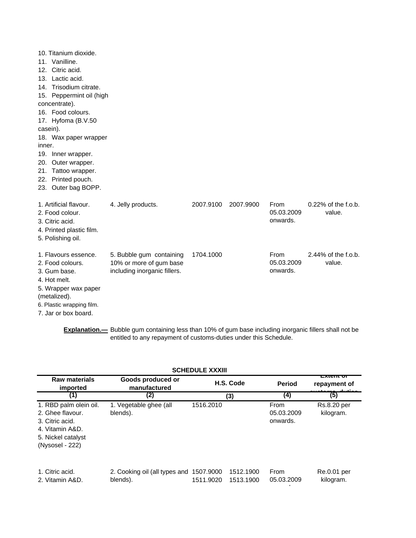| 10. Titanium dioxide.<br>11. Vanilline.<br>Citric acid.<br>12.<br>13. Lactic acid.<br>14. Trisodium citrate.<br>15. Peppermint oil (high<br>concentrate).<br>16. Food colours.<br>17. Hyfoma (B.V.50<br>casein).<br>18. Wax paper wrapper<br>inner. |                                                                                     |           |           |                                |                                  |
|-----------------------------------------------------------------------------------------------------------------------------------------------------------------------------------------------------------------------------------------------------|-------------------------------------------------------------------------------------|-----------|-----------|--------------------------------|----------------------------------|
| 19. Inner wrapper.<br>20. Outer wrapper.<br>Tattoo wrapper.<br>21.<br>22. Printed pouch.                                                                                                                                                            |                                                                                     |           |           |                                |                                  |
| 23. Outer bag BOPP.                                                                                                                                                                                                                                 |                                                                                     |           |           |                                |                                  |
| 1. Artificial flavour.<br>2. Food colour.<br>3. Citric acid.<br>4. Printed plastic film.<br>5. Polishing oil.                                                                                                                                       | 4. Jelly products.                                                                  | 2007.9100 | 2007.9900 | From<br>05.03.2009<br>onwards. | $0.22\%$ of the f.o.b.<br>value. |
| 1. Flavours essence.<br>2. Food colours.<br>3. Gum base.<br>4. Hot melt.<br>5. Wrapper wax paper<br>(metalized).<br>6. Plastic wrapping film.<br>7. Jar or box board.                                                                               | 5. Bubble gum containing<br>10% or more of gum base<br>including inorganic fillers. | 1704.1000 |           | From<br>05.03.2009<br>onwards. | 2.44% of the f.o.b.<br>value.    |

**Explanation.—** Bubble gum containing less than 10% of gum base including inorganic fillers shall not be entitled to any repayment of customs-duties under this Schedule.

|                                                                                                                           |                                                     | <b>SCHEDULE XXXIII</b> |                        |                                |                          |
|---------------------------------------------------------------------------------------------------------------------------|-----------------------------------------------------|------------------------|------------------------|--------------------------------|--------------------------|
| <b>Raw materials</b><br>imported                                                                                          | Goods produced or<br>manufactured                   |                        | H.S. Code              | <b>Period</b>                  | ⊏∧кансог<br>repayment of |
| (1)                                                                                                                       | (2)                                                 |                        | (3)                    | (4)                            | (5)                      |
| 1. RBD palm olein oil.<br>2. Ghee flavour.<br>3. Citric acid.<br>4. Vitamin A&D.<br>5. Nickel catalyst<br>(Nysosel - 222) | 1. Vegetable ghee (all<br>blends).                  | 1516.2010              |                        | From<br>05.03.2009<br>onwards. | Rs.8.20 per<br>kilogram. |
| 1. Citric acid.<br>2. Vitamin A&D.                                                                                        | 2. Cooking oil (all types and 1507.9000<br>blends). | 1511.9020              | 1512.1900<br>1513.1900 | From<br>05.03.2009             | Re.0.01 per<br>kilogram. |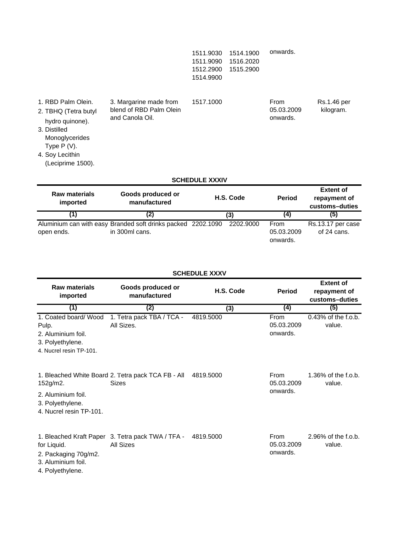| 1511.9030 | 1514.1900           | onwards. |
|-----------|---------------------|----------|
|           | 1511.9090 1516.2020 |          |
|           | 1512.2900 1515.2900 |          |
| 1514.9900 |                     |          |
|           |                     |          |

| 1. RBD Palm Olein.<br>2. TBHQ (Tetra butyl<br>hydro quinone).<br>3. Distilled<br>Monoglycerides<br>Type $P(V)$ . | 3. Margarine made from<br>blend of RBD Palm Olein<br>and Canola Oil. | 1517.1000             | From<br>05.03.2009<br>onwards. | Rs.1.46 per<br>kilogram.                           |
|------------------------------------------------------------------------------------------------------------------|----------------------------------------------------------------------|-----------------------|--------------------------------|----------------------------------------------------|
| 4. Soy Lecithin<br>(Leciprime 1500).                                                                             |                                                                      |                       |                                |                                                    |
|                                                                                                                  |                                                                      | <b>SCHEDULE XXXIV</b> |                                |                                                    |
| <b>Raw materials</b><br>imported                                                                                 | Goods produced or<br>manufactured                                    | H.S. Code             | <b>Period</b>                  | <b>Extent of</b><br>repayment of<br>customs-duties |

|            |                                                                                          |     |                                | uusiums-uuuts                    |
|------------|------------------------------------------------------------------------------------------|-----|--------------------------------|----------------------------------|
|            | (Z)                                                                                      | (3) | (4                             | (5)                              |
| open ends. | Aluminium can with easy Branded soft drinks packed 2202.1090 2202.9000<br>in 300ml cans. |     | From<br>05.03.2009<br>onwards. | Rs.13.17 per case<br>of 24 cans. |

| <b>SCHEDULE XXXV</b> |  |
|----------------------|--|
|----------------------|--|

| <b>Raw materials</b><br>imported                                                                    | Goods produced or<br>manufactured                                  | H.S. Code | <b>Period</b>                  | <b>Extent of</b><br>repayment of<br>customs-duties |
|-----------------------------------------------------------------------------------------------------|--------------------------------------------------------------------|-----------|--------------------------------|----------------------------------------------------|
| (1)                                                                                                 | (2)                                                                | (3)       | (4)                            | (5)                                                |
| 1. Coated board/ Wood<br>Pulp.<br>2. Aluminium foil.<br>3. Polyethylene.<br>4. Nucrel resin TP-101. | 1. Tetra pack TBA / TCA -<br>All Sizes.                            | 4819.5000 | From<br>05.03.2009<br>onwards. | 0.43% of the f.o.b.<br>value.                      |
| 152g/m2.<br>2. Aluminium foil.<br>3. Polyethylene.<br>4. Nucrel resin TP-101.                       | 1. Bleached White Board 2. Tetra pack TCA FB - All<br><b>Sizes</b> | 4819.5000 | From<br>05.03.2009<br>onwards. | $1.36\%$ of the f.o.b.<br>value.                   |
| for Liquid.<br>2. Packaging 70g/m2.<br>3. Aluminium foil.<br>4. Polyethylene.                       | 1. Bleached Kraft Paper 3. Tetra pack TWA / TFA -<br>All Sizes     | 4819.5000 | From<br>05.03.2009<br>onwards. | $2.96\%$ of the f.o.b.<br>value.                   |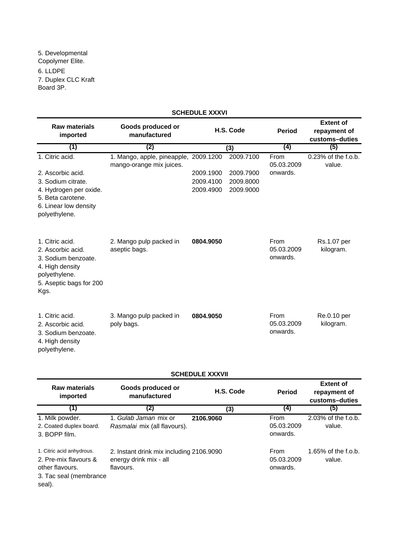5. Developmental Copolymer Elite. 6. LLDPE 7. Duplex CLC Kraft Board 3P.

#### **Raw materials imported Goods produced or manufactured Period Extent of repayment of customs–duties (1) (2) (4) (5)** 1. Citric acid. **2009.** 1. Mango, apple, pineapple, 2009.1200 2009.7100 From 0.23% of the f.o.b. value. 2. Ascorbic acid. 2009.1900 2009.7900 3. Sodium citrate. 2009.4100 2009.8000 4. Hydrogen per oxide. 2009.4900 2009.9000 5. Beta carotene. 6. Linear low density polyethylene. 1. Citric acid. **0804.9050** 2. Mango pulp packed in 2. Ascorbic acid. 3. Sodium benzoate. 4. High density polyethylene. 5. Aseptic bags for 200 Kgs. 1. Citric acid. **0804.9050** 3. Mango pulp packed in 2. Ascorbic acid. 3. Sodium benzoate. 4. High density polyethylene. Re.0.10 per kilogram. aseptic bags. mango-orange mix juices. Rs.1.07 per kilogram. From 05.03.2009 onwards. poly bags. From 05.03.2009 onwards. **(3)** From 05.03.2009 onwards. **SCHEDULE XXXVI H.S. Code**

## **SCHEDULE XXXVII**

| <b>Raw materials</b><br>imported                                                                          | Goods produced or<br>manufactured                                               | H.S. Code | <b>Period</b>                  | <b>Extent of</b><br>repayment of<br>customs-duties |
|-----------------------------------------------------------------------------------------------------------|---------------------------------------------------------------------------------|-----------|--------------------------------|----------------------------------------------------|
| (1)                                                                                                       | (2)                                                                             | (3)       | (4)                            | (5)                                                |
| 1. Milk powder.<br>2. Coated duplex board.<br>3. BOPP film.                                               | 1. Gulab Jaman mix or<br>Rasmalai mix (all flavours).                           | 2106.9060 | From<br>05.03.2009<br>onwards. | 2.03% of the f.o.b.<br>value.                      |
| 1. Citric acid anhydrous.<br>2. Pre-mix flavours &<br>other flavours.<br>3. Tac seal (membrance<br>seal). | 2. Instant drink mix including 2106.9090<br>energy drink mix - all<br>flavours. |           | From<br>05.03.2009<br>onwards. | 1.65% of the f.o.b.<br>value.                      |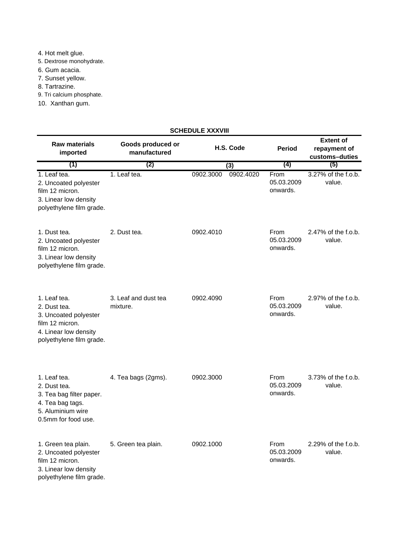- 4. Hot melt glue.
- 5. Dextrose monohydrate.
- 6. Gum acacia.
- 7. Sunset yellow.
- 8. Tartrazine.
- 9. Tri calcium phosphate.
- 10. Xanthan gum.

## **SCHEDULE XXXVIII**

| <b>Raw materials</b><br>imported                                                                                              | Goods produced or<br>manufactured | H.S. Code              | <b>Period</b>                  | <b>Extent of</b><br>repayment of<br>customs-duties |
|-------------------------------------------------------------------------------------------------------------------------------|-----------------------------------|------------------------|--------------------------------|----------------------------------------------------|
| (1)                                                                                                                           | (2)                               | (3)                    | (4)                            | (5)                                                |
| 1. Leaf tea.<br>2. Uncoated polyester<br>film 12 micron.<br>3. Linear low density<br>polyethylene film grade.                 | 1. Leaf tea.                      | 0902.4020<br>0902.3000 | From<br>05.03.2009<br>onwards. | 3.27% of the f.o.b.<br>value.                      |
| 1. Dust tea.<br>2. Uncoated polyester<br>film 12 micron.<br>3. Linear low density<br>polyethylene film grade.                 | 2. Dust tea.                      | 0902.4010              | From<br>05.03.2009<br>onwards. | 2.47% of the f.o.b.<br>value.                      |
| 1. Leaf tea.<br>2. Dust tea.<br>3. Uncoated polyester<br>film 12 micron.<br>4. Linear low density<br>polyethylene film grade. | 3. Leaf and dust tea<br>mixture.  | 0902.4090              | From<br>05.03.2009<br>onwards. | 2.97% of the f.o.b.<br>value.                      |
| 1. Leaf tea.<br>2. Dust tea.<br>3. Tea bag filter paper.<br>4. Tea bag tags.<br>5. Aluminium wire<br>0.5mm for food use.      | 4. Tea bags (2gms).               | 0902.3000              | From<br>05.03.2009<br>onwards. | 3.73% of the f.o.b.<br>value.                      |
| 1. Green tea plain.<br>2. Uncoated polyester<br>film 12 micron.<br>3. Linear low density<br>polyethylene film grade.          | 5. Green tea plain.               | 0902.1000              | From<br>05.03.2009<br>onwards. | 2.29% of the f.o.b.<br>value.                      |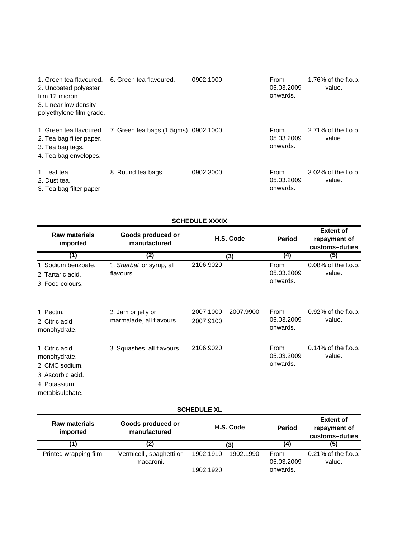| 1. Green tea flavoured. 6. Green tea flavoured.<br>2. Uncoated polyester<br>film 12 micron.<br>3. Linear low density<br>polyethylene film grade. |                                                               | 0902.1000 | From<br>05.03.2009<br>onwards. | 1.76% of the f.o.b.<br>value. |
|--------------------------------------------------------------------------------------------------------------------------------------------------|---------------------------------------------------------------|-----------|--------------------------------|-------------------------------|
| 2. Tea bag filter paper.<br>3. Tea bag tags.<br>4. Tea bag envelopes.                                                                            | 1. Green tea flavoured. 7. Green tea bags (1.5gms). 0902.1000 |           | From<br>05.03.2009<br>onwards. | 2.71% of the f.o.b.<br>value. |
| 1. Leaf tea.<br>2. Dust tea.<br>3. Tea bag filter paper.                                                                                         | 8. Round tea bags.                                            | 0902.3000 | From<br>05.03.2009<br>onwards. | 3.02% of the f.o.b.<br>value. |

|                                                                                                          |                                                | <b>SCHEDULE XXXIX</b>               |                                |                                                    |
|----------------------------------------------------------------------------------------------------------|------------------------------------------------|-------------------------------------|--------------------------------|----------------------------------------------------|
| <b>Raw materials</b><br>imported                                                                         | Goods produced or<br>manufactured              | H.S. Code                           | <b>Period</b>                  | <b>Extent of</b><br>repayment of<br>customs-duties |
| (1)                                                                                                      | (2)                                            | (3)                                 | (4)                            | (5)                                                |
| 1. Sodium benzoate.<br>2. Tartaric acid.<br>3. Food colours.                                             | 1. Sharbat or syrup, all<br>flavours.          | 2106.9020                           | From<br>05.03.2009<br>onwards. | $0.08\%$ of the f.o.b.<br>value.                   |
| 1. Pectin.<br>2. Citric acid<br>monohydrate.                                                             | 2. Jam or jelly or<br>marmalade, all flavours. | 2007.1000<br>2007.9900<br>2007.9100 | From<br>05.03.2009<br>onwards. | 0.92% of the f.o.b.<br>value.                      |
| 1. Citric acid<br>monohydrate.<br>2. CMC sodium.<br>3. Ascorbic acid.<br>4. Potassium<br>metabisulphate. | 3. Squashes, all flavours.                     | 2106.9020                           | From<br>05.03.2009<br>onwards. | $0.14\%$ of the f.o.b.<br>value.                   |

|                                  |                                   | <b>SCHEDULE XL</b>     |               |                                                    |
|----------------------------------|-----------------------------------|------------------------|---------------|----------------------------------------------------|
| <b>Raw materials</b><br>imported | Goods produced or<br>manufactured | H.S. Code              | <b>Period</b> | <b>Extent of</b><br>repayment of<br>customs-duties |
|                                  | (2)                               | (3)                    | (4)           | (5)                                                |
| Printed wrapping film.           | Vermicelli, spaghetti or          | 1902.1990<br>1902.1910 | From          | $0.21\%$ of the f.o.b.                             |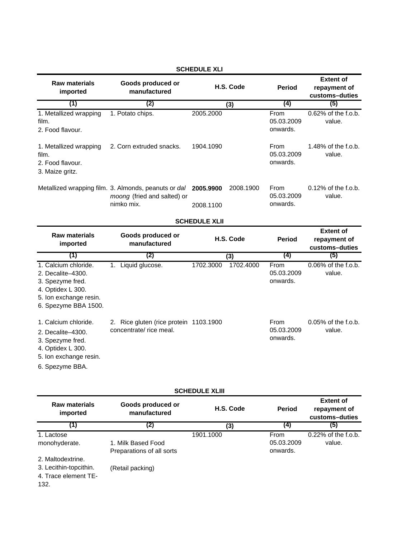| <b>Raw materials</b><br>imported                                                                                                     | Goods produced or<br>manufactured                                                                 | H.S. Code                           | <b>Period</b>                  | <b>Extent of</b><br>repayment of<br>customs-duties |
|--------------------------------------------------------------------------------------------------------------------------------------|---------------------------------------------------------------------------------------------------|-------------------------------------|--------------------------------|----------------------------------------------------|
| (1)                                                                                                                                  | (2)                                                                                               | (3)                                 | (4)                            | (5)                                                |
| 1. Metallized wrapping<br>film.<br>2. Food flavour.                                                                                  | 1. Potato chips.                                                                                  | 2005.2000                           | From<br>05.03.2009<br>onwards. | 0.62% of the f.o.b.<br>value.                      |
| 1. Metallized wrapping<br>film.<br>2. Food flavour.<br>3. Maize gritz.                                                               | 2. Corn extruded snacks.                                                                          | 1904.1090                           | From<br>05.03.2009<br>onwards. | 1.48% of the f.o.b.<br>value.                      |
|                                                                                                                                      | Metallized wrapping film. 3. Almonds, peanuts or dal<br>moong (fried and salted) or<br>nimko mix. | 2008.1900<br>2005.9900<br>2008.1100 | From<br>05.03.2009<br>onwards. | 0.12% of the f.o.b.<br>value.                      |
|                                                                                                                                      |                                                                                                   | <b>SCHEDULE XLII</b>                |                                |                                                    |
|                                                                                                                                      |                                                                                                   |                                     |                                |                                                    |
| <b>Raw materials</b><br>imported                                                                                                     | Goods produced or<br>manufactured                                                                 | H.S. Code                           | <b>Period</b>                  | <b>Extent of</b><br>repayment of<br>customs-duties |
| (1)                                                                                                                                  | (2)                                                                                               | (3)                                 | (4)                            | (5)                                                |
| 1. Calcium chloride.<br>2. Decalite-4300.<br>3. Spezyme fred.<br>4. Optidex L 300.<br>5. Ion exchange resin.<br>6. Spezyme BBA 1500. | 1. Liquid glucose.                                                                                | 1702.3000<br>1702.4000              | From<br>05.03.2009<br>onwards. | 0.06% of the f.o.b.<br>value.                      |

## **SCHEDULE XLI**

# **SCHEDULE XLIII**

| <b>Raw materials</b><br>imported | Goods produced or<br>manufactured | H.S. Code | <b>Period</b> | <b>Extent of</b><br>repayment of<br>customs-duties |
|----------------------------------|-----------------------------------|-----------|---------------|----------------------------------------------------|
| (1)                              | (2)                               | (3)       | (4)           | (5)                                                |
| 1. Lactose                       |                                   | 1901.1000 | From          | 0.22% of the f.o.b.                                |
| monohyderate.                    | 1. Milk Based Food                |           | 05.03.2009    | value.                                             |
|                                  | Preparations of all sorts         |           | onwards.      |                                                    |
| 2. Maltodextrine.                |                                   |           |               |                                                    |
| 3. Lecithin-topcithin.           | (Retail packing)                  |           |               |                                                    |
| 4. Trace element TE-             |                                   |           |               |                                                    |
| 132.                             |                                   |           |               |                                                    |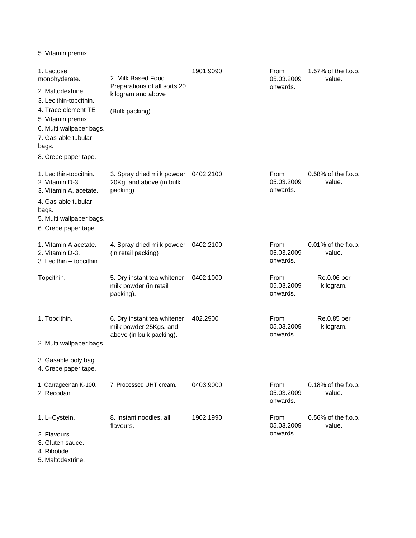5. Vitamin premix.

| 1. Lactose<br>monohyderate.                                                                                                                             | 2. Milk Based Food                                                                | 1901.9090 | From<br>05.03.2009             | 1.57% of the f.o.b.<br>value.    |
|---------------------------------------------------------------------------------------------------------------------------------------------------------|-----------------------------------------------------------------------------------|-----------|--------------------------------|----------------------------------|
| 2. Maltodextrine.<br>3. Lecithin-topcithin.                                                                                                             | Preparations of all sorts 20<br>kilogram and above                                |           | onwards.                       |                                  |
| 4. Trace element TE-<br>5. Vitamin premix.<br>6. Multi wallpaper bags.<br>7. Gas-able tubular                                                           | (Bulk packing)                                                                    |           |                                |                                  |
| bags.<br>8. Crepe paper tape.                                                                                                                           |                                                                                   |           |                                |                                  |
| 1. Lecithin-topcithin.<br>2. Vitamin D-3.<br>3. Vitamin A, acetate.<br>4. Gas-able tubular<br>bags.<br>5. Multi wallpaper bags.<br>6. Crepe paper tape. | 3. Spray dried milk powder<br>20Kg. and above (in bulk<br>packing)                | 0402.2100 | From<br>05.03.2009<br>onwards. | $0.58\%$ of the f.o.b.<br>value. |
| 1. Vitamin A acetate.<br>2. Vitamin D-3.<br>3. Lecithin - topcithin.                                                                                    | 4. Spray dried milk powder<br>(in retail packing)                                 | 0402.2100 | From<br>05.03.2009<br>onwards. | $0.01\%$ of the f.o.b.<br>value. |
| Topcithin.                                                                                                                                              | 5. Dry instant tea whitener<br>milk powder (in retail<br>packing).                | 0402.1000 | From<br>05.03.2009<br>onwards. | Re.0.06 per<br>kilogram.         |
| 1. Topcithin.                                                                                                                                           | 6. Dry instant tea whitener<br>milk powder 25Kgs. and<br>above (in bulk packing). | 402.2900  | From<br>05.03.2009<br>onwards. | Re.0.85 per<br>kilogram.         |
| 2. Multi wallpaper bags.                                                                                                                                |                                                                                   |           |                                |                                  |
| 3. Gasable poly bag.<br>4. Crepe paper tape.                                                                                                            |                                                                                   |           |                                |                                  |
| 1. Carrageenan K-100.<br>2. Recodan.                                                                                                                    | 7. Processed UHT cream.                                                           | 0403.9000 | From<br>05.03.2009<br>onwards. | $0.18\%$ of the f.o.b.<br>value. |
| 1. L-Cystein.                                                                                                                                           | 8. Instant noodles, all<br>flavours.                                              | 1902.1990 | From<br>05.03.2009             | $0.56\%$ of the f.o.b.<br>value. |
| 2. Flavours.<br>3. Gluten sauce.<br>4. Ribotide.<br>$M$ oltodovtrin                                                                                     |                                                                                   |           | onwards.                       |                                  |

5. Maltodextrine.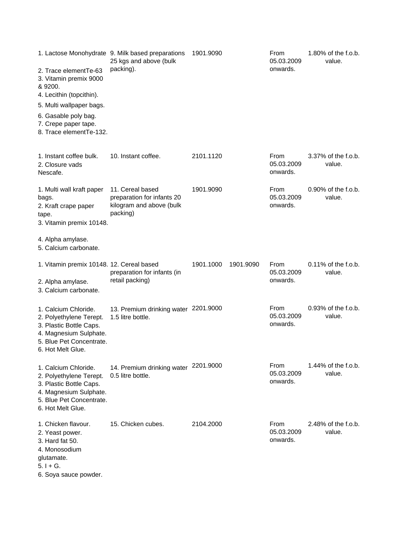| 2. Trace elementTe-63<br>3. Vitamin premix 9000<br>& 9200.<br>4. Lecithin (topcithin).<br>5. Multi wallpaper bags.<br>6. Gasable poly bag.<br>7. Crepe paper tape.<br>8. Trace elementTe-132. | 1. Lactose Monohydrate 9. Milk based preparations<br>25 kgs and above (bulk<br>packing). | 1901.9090              | From<br>05.03.2009<br>onwards. | 1.80% of the f.o.b.<br>value.    |
|-----------------------------------------------------------------------------------------------------------------------------------------------------------------------------------------------|------------------------------------------------------------------------------------------|------------------------|--------------------------------|----------------------------------|
| 1. Instant coffee bulk.<br>2. Closure vads<br>Nescafe.                                                                                                                                        | 10. Instant coffee.                                                                      | 2101.1120              | From<br>05.03.2009<br>onwards. | 3.37% of the f.o.b.<br>value.    |
| 1. Multi wall kraft paper<br>bags.<br>2. Kraft crape paper<br>tape.<br>3. Vitamin premix 10148.                                                                                               | 11. Cereal based<br>preparation for infants 20<br>kilogram and above (bulk<br>packing)   | 1901.9090              | From<br>05.03.2009<br>onwards. | $0.90\%$ of the f.o.b.<br>value. |
| 4. Alpha amylase.<br>5. Calcium carbonate.                                                                                                                                                    |                                                                                          |                        |                                |                                  |
| 1. Vitamin premix 10148. 12. Cereal based<br>2. Alpha amylase.<br>3. Calcium carbonate.                                                                                                       | preparation for infants (in<br>retail packing)                                           | 1901.1000<br>1901.9090 | From<br>05.03.2009<br>onwards. | $0.11\%$ of the f.o.b.<br>value. |
| 1. Calcium Chloride.<br>2. Polyethylene Terept.<br>3. Plastic Bottle Caps.<br>4. Magnesium Sulphate.<br>5. Blue Pet Concentrate.<br>6. Hot Melt Glue.                                         | 13. Premium drinking water 2201.9000<br>1.5 litre bottle.                                |                        | From<br>05.03.2009<br>onwards. | $0.93\%$ of the f.o.b.<br>value. |
| 1. Calcium Chloride.<br>2. Polyethylene Terept.<br>3. Plastic Bottle Caps.<br>4. Magnesium Sulphate.<br>5. Blue Pet Concentrate.<br>6. Hot Melt Glue.                                         | 14. Premium drinking water 2201.9000<br>0.5 litre bottle.                                |                        | From<br>05.03.2009<br>onwards. | $1.44\%$ of the f.o.b.<br>value. |
| 1. Chicken flavour.<br>2. Yeast power.<br>3. Hard fat 50.<br>4. Monosodium<br>glutamate.<br>$5.1 + G.$<br>6. Soya sauce powder.                                                               | 15. Chicken cubes.                                                                       | 2104.2000              | From<br>05.03.2009<br>onwards. | 2.48% of the f.o.b.<br>value.    |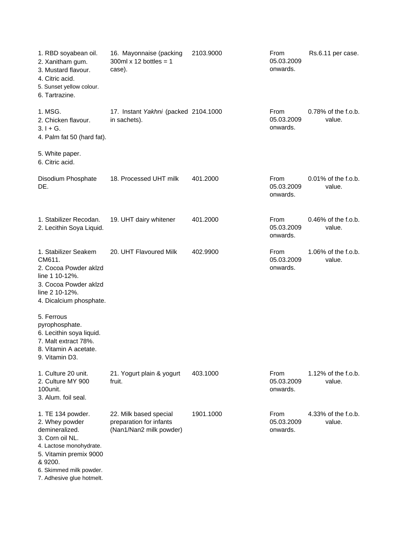| 1. RBD soyabean oil.<br>2. Xanitham gum.<br>3. Mustard flavour.<br>4. Citric acid.<br>5. Sunset yellow colour.<br>6. Tartrazine.                                                                 | 16. Mayonnaise (packing<br>300ml $x$ 12 bottles = 1<br>case).                | 2103.9000 | From<br>05.03.2009<br>onwards. | Rs.6.11 per case.                |
|--------------------------------------------------------------------------------------------------------------------------------------------------------------------------------------------------|------------------------------------------------------------------------------|-----------|--------------------------------|----------------------------------|
| 1. MSG.<br>2. Chicken flavour.<br>$3.1 + G.$<br>4. Palm fat 50 (hard fat).                                                                                                                       | 17. Instant Yakhni (packed 2104.1000<br>in sachets).                         |           | From<br>05.03.2009<br>onwards. | 0.78% of the f.o.b.<br>value.    |
| 5. White paper.<br>6. Citric acid.                                                                                                                                                               |                                                                              |           |                                |                                  |
| Disodium Phosphate<br>DE.                                                                                                                                                                        | 18. Processed UHT milk                                                       | 401.2000  | From<br>05.03.2009<br>onwards. | $0.01\%$ of the f.o.b.<br>value. |
| 1. Stabilizer Recodan.<br>2. Lecithin Soya Liquid.                                                                                                                                               | 19. UHT dairy whitener                                                       | 401.2000  | From<br>05.03.2009<br>onwards. | $0.46\%$ of the f.o.b.<br>value. |
| 1. Stabilizer Seakem<br>CM611.<br>2. Cocoa Powder aklzd<br>line 1 10-12%.<br>3. Cocoa Powder aklzd<br>line 2 10-12%.<br>4. Dicalcium phosphate.                                                  | 20. UHT Flavoured Milk                                                       | 402.9900  | From<br>05.03.2009<br>onwards. | 1.06% of the f.o.b.<br>value.    |
| 5. Ferrous<br>pyrophosphate.<br>6. Lecithin soya liquid.<br>7. Malt extract 78%.<br>8. Vitamin A acetate.<br>9. Vitamin D3.                                                                      |                                                                              |           |                                |                                  |
| 1. Culture 20 unit.<br>2. Culture MY 900<br>100unit.<br>3. Alum. foil seal.                                                                                                                      | 21. Yogurt plain & yogurt<br>fruit.                                          | 403.1000  | From<br>05.03.2009<br>onwards. | 1.12% of the f.o.b.<br>value.    |
| 1. TE 134 powder.<br>2. Whey powder<br>demineralized.<br>3. Corn oil NL.<br>4. Lactose monohydrate.<br>5. Vitamin premix 9000<br>& 9200.<br>6. Skimmed milk powder.<br>7. Adhesive glue hotmelt. | 22. Milk based special<br>preparation for infants<br>(Nan1/Nan2 milk powder) | 1901.1000 | From<br>05.03.2009<br>onwards. | 4.33% of the f.o.b.<br>value.    |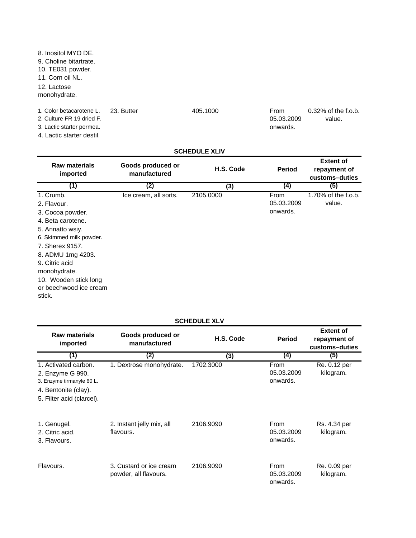8. Inositol MYO DE. 9. Choline bitartrate. 10. TE031 powder. 11. Corn oil NL. 12. Lactose monohydrate.

1. Color betacarotene L. 23. Butter 405.1000

2. Culture FR 19 dried F.

3. Lactic starter permea.

4. Lactic starter destil.

From 05.03.2009 onwards. 0.32% of the f.o.b. value.

#### **SCHEDULE XLIV**

| <b>Raw materials</b><br>imported | Goods produced or<br>manufactured | H.S. Code | <b>Period</b> | <b>Extent of</b><br>repayment of<br>customs-duties |
|----------------------------------|-----------------------------------|-----------|---------------|----------------------------------------------------|
| (1)                              | (2)                               | (3)       | (4)           | (5)                                                |
| 1. Crumb.                        | Ice cream, all sorts.             | 2105.0000 | From          | 1.70% of the f.o.b.                                |
| 2. Flavour.                      |                                   |           | 05.03.2009    | value.                                             |
| 3. Cocoa powder.                 |                                   |           | onwards.      |                                                    |
| 4. Beta carotene.                |                                   |           |               |                                                    |
| 5. Annatto wsiy.                 |                                   |           |               |                                                    |
| 6. Skimmed milk powder.          |                                   |           |               |                                                    |
| 7. Sherex 9157.                  |                                   |           |               |                                                    |
| 8. ADMU 1mg 4203.                |                                   |           |               |                                                    |
| 9. Citric acid                   |                                   |           |               |                                                    |
| monohydrate.                     |                                   |           |               |                                                    |
| 10. Wooden stick long            |                                   |           |               |                                                    |
| or beechwood ice cream           |                                   |           |               |                                                    |
| stick.                           |                                   |           |               |                                                    |
|                                  |                                   |           |               |                                                    |

#### **Raw materials imported Goods produced or manufactured Period Extent of repayment of customs–duties (1) (2) (4) (5)** 1. Activated carbon. 1. Dextrose monohydrate. 1702.3000 2. Enzyme G 990. 3. Enzyme tirmanyle 60 L. 4. Bentonite (clay). 5. Filter acid (clarcel). 1. Genugel. 2106.9090 2. Instant jelly mix, all 2. Citric acid. 3. Flavours. Flavours. 2106.9090 3. Custard or ice cream 2106.9090 powder, all flavours. From 05.03.2009 onwards. flavours. From 05.03.2009 onwards. **H.S. Code (3)** Rs. 4.34 per kilogram. Re. 0.09 per kilogram. Re. 0.12 per kilogram. From 05.03.2009 onwards.

**SCHEDULE XLV**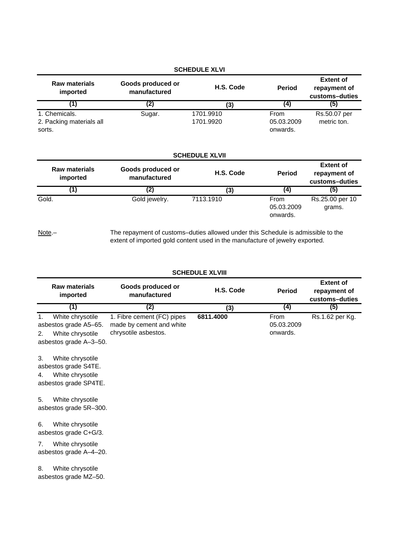|                                                     |                                                                                                                                                                  | <b>SCHEDULE XLVI</b>   |                                |                                                    |
|-----------------------------------------------------|------------------------------------------------------------------------------------------------------------------------------------------------------------------|------------------------|--------------------------------|----------------------------------------------------|
| <b>Raw materials</b><br>imported                    | Goods produced or<br>manufactured                                                                                                                                | H.S. Code              | <b>Period</b>                  | <b>Extent of</b><br>repayment of<br>customs-duties |
| (1)                                                 | (2)                                                                                                                                                              | (3)                    | $\left( 4\right)$              | (5)                                                |
| 1. Chemicals.<br>2. Packing materials all<br>sorts. | Sugar.                                                                                                                                                           | 1701.9910<br>1701.9920 | From<br>05.03.2009<br>onwards. | Rs.50.07 per<br>metric ton.                        |
|                                                     |                                                                                                                                                                  | <b>SCHEDULE XLVII</b>  |                                |                                                    |
| <b>Raw materials</b><br>imported                    | Goods produced or<br>manufactured                                                                                                                                | H.S. Code              | <b>Period</b>                  | <b>Extent of</b><br>repayment of<br>customs-duties |
| (1)                                                 | (2)                                                                                                                                                              | (3)                    | (4)                            | (5)                                                |
| Gold.                                               | Gold jewelry.                                                                                                                                                    | 7113.1910              | From<br>05.03.2009<br>onwards. | Rs.25.00 per 10<br>grams.                          |
| Note.-                                              | The repayment of customs-duties allowed under this Schedule is admissible to the<br>extent of imported gold content used in the manufacture of jewelry exported. |                        |                                |                                                    |

**Raw materials imported Goods produced or manufactured Period Period Period Extent of repayment of customs–duties (1) (2) (4) (5)** 1. White chrysotile asbestos grade A5–65. **6811.4000** From Rs.1.62 per Kg. 2. White chrysotile **H.S. Code** From 05.03.2009 onwards. 1. Fibre cement (FC) pipes made by cement and white chrysotile asbestos. **(3) SCHEDULE XLVIII**

asbestos grade A–3–50.

3. White chrysotile asbestos grade S4TE. 4. White chrysotile

asbestos grade SP4TE.

5. White chrysotile asbestos grade 5R–300.

6. White chrysotile asbestos grade C+G/3.

7. White chrysotile asbestos grade A–4–20.

8. White chrysotile asbestos grade MZ–50.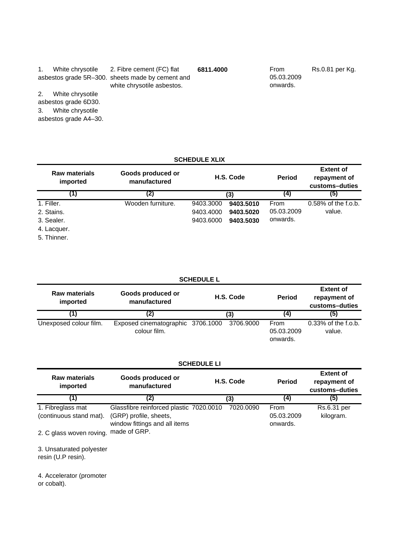|    |                       | White chrysotile 2. Fibre cement (FC) flat                                     | 6811.4000 | <b>From</b>            | Rs.0.81 per Kg. |
|----|-----------------------|--------------------------------------------------------------------------------|-----------|------------------------|-----------------|
|    |                       | asbestos grade 5R-300. sheets made by cement and<br>white chrysotile asbestos. |           | 05.03.2009<br>onwards. |                 |
|    |                       |                                                                                |           |                        |                 |
| 2. | White chrysotile      |                                                                                |           |                        |                 |
|    | asbestos grade 6D30.  |                                                                                |           |                        |                 |
| 3. | White chrysotile      |                                                                                |           |                        |                 |
|    | asbestos grade A4-30. |                                                                                |           |                        |                 |

### **SCHEDULE XLIX**

| <b>Raw materials</b><br>imported | Goods produced or<br>manufactured | H.S. Code<br>(3) |           | <b>Period</b> | <b>Extent of</b><br>repayment of<br>customs-duties |
|----------------------------------|-----------------------------------|------------------|-----------|---------------|----------------------------------------------------|
|                                  | (2)                               |                  |           | (4)           | (5)                                                |
| 1. Filler.                       | Wooden furniture.                 | 9403.3000        | 9403.5010 | From          | $0.58\%$ of the f.o.b.                             |
| 2. Stains.                       |                                   | 9403.4000        | 9403.5020 | 05.03.2009    | value.                                             |
| 3. Sealer.                       |                                   | 9403.6000        | 9403.5030 | onwards.      |                                                    |
| 4. Lacquer.                      |                                   |                  |           |               |                                                    |
| 5. Thinner.                      |                                   |                  |           |               |                                                    |

| <b>SCHEDULE L</b>                                                     |                                                   |           |  |                                |                                                    |  |  |
|-----------------------------------------------------------------------|---------------------------------------------------|-----------|--|--------------------------------|----------------------------------------------------|--|--|
| Goods produced or<br><b>Raw materials</b><br>manufactured<br>imported |                                                   | H.S. Code |  | <b>Period</b>                  | <b>Extent of</b><br>repayment of<br>customs-duties |  |  |
| [1]                                                                   | (2)                                               | (3)       |  | (4)                            | (5)                                                |  |  |
| Unexposed colour film.                                                | Exposed cinematographic 3706.1000<br>colour film. | 3706.9000 |  | From<br>05.03.2009<br>onwards. | $0.33\%$ of the f.o.b.<br>value.                   |  |  |

### **SCHEDULE LI**

| <b>Raw materials</b><br>imported      | Goods produced or<br>manufactured       | H.S. Code | <b>Period</b> | <b>Extent of</b><br>repayment of<br>customs-duties |
|---------------------------------------|-----------------------------------------|-----------|---------------|----------------------------------------------------|
|                                       | (2)                                     | (3)       | (4)           | (5)                                                |
| 1. Fibreglass mat                     | Glassfibre reinforced plastic 7020.0010 | 7020.0090 | From          | Rs.6.31 per                                        |
| (continuous stand mat).               | (GRP) profile, sheets,                  |           | 05.03.2009    | kilogram.                                          |
|                                       | window fittings and all items           |           | onwards.      |                                                    |
| 2. C glass woven roving. made of GRP. |                                         |           |               |                                                    |

3. Unsaturated polyester resin (U.P resin).

4. Accelerator (promoter or cobalt).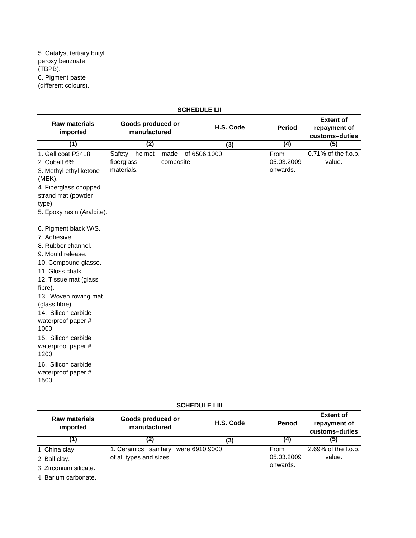| <b>SCHEDULE LII</b>                                                                                                                                                                                                                                                                                                                                                          |                                              |                   |              |           |                                |                                                    |  |
|------------------------------------------------------------------------------------------------------------------------------------------------------------------------------------------------------------------------------------------------------------------------------------------------------------------------------------------------------------------------------|----------------------------------------------|-------------------|--------------|-----------|--------------------------------|----------------------------------------------------|--|
| <b>Raw materials</b><br>imported                                                                                                                                                                                                                                                                                                                                             | Goods produced or<br>manufactured            |                   |              | H.S. Code | <b>Period</b>                  | <b>Extent of</b><br>repayment of<br>customs-duties |  |
| (1)                                                                                                                                                                                                                                                                                                                                                                          | (2)                                          |                   |              | (3)       | (4)                            | (5)                                                |  |
| 1. Gell coat P3418.<br>2. Cobalt 6%.<br>3. Methyl ethyl ketone<br>$(MEK)$ .<br>4. Fiberglass chopped<br>strand mat (powder<br>type).<br>5. Epoxy resin (Araldite).                                                                                                                                                                                                           | helmet<br>Safety<br>fiberglass<br>materials. | made<br>composite | of 6506.1000 |           | From<br>05.03.2009<br>onwards. | 0.71% of the f.o.b.<br>value.                      |  |
| 6. Pigment black W/S.<br>7. Adhesive.<br>8. Rubber channel.<br>9. Mould release.<br>10. Compound glasso.<br>11. Gloss chalk.<br>12. Tissue mat (glass<br>fibre).<br>13. Woven rowing mat<br>(glass fibre).<br>14. Silicon carbide<br>waterproof paper #<br>1000.<br>15. Silicon carbide<br>waterproof paper #<br>1200.<br>16. Silicon carbide<br>waterproof paper #<br>1500. |                                              |                   |              |           |                                |                                                    |  |

# **SCHEDULE LIII**

| <b>Raw materials</b><br>imported | Goods produced or<br>manufactured | H.S. Code      | <b>Period</b> | <b>Extent of</b><br>repayment of<br>customs-duties |
|----------------------------------|-----------------------------------|----------------|---------------|----------------------------------------------------|
|                                  | (2)                               | (3)            | (4)           | (5)                                                |
| 1. China clay.                   | 1. Ceramics sanitary              | ware 6910.9000 | From          | 2.69% of the f.o.b.                                |
| 2. Ball clay.                    | of all types and sizes.           |                | 05.03.2009    | value.                                             |
| 3. Zirconium silicate.           |                                   |                | onwards.      |                                                    |

4. Barium carbonate.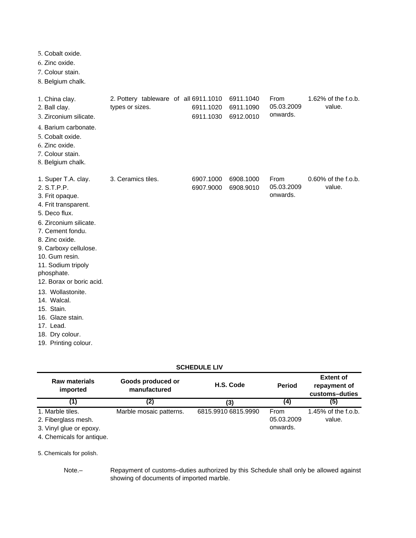- 6. Zinc oxide.
- 7. Colour stain.
- 8. Belgium chalk.

| 1. China clay.<br>2. Ball clay.<br>3. Zirconium silicate.                                                                                                                                                                                                                                                                                                                       | 2. Pottery tableware of all 6911.1010<br>types or sizes. | 6911.1020<br>6911.1030 | 6911.1040<br>6911.1090<br>6912.0010 | From<br>05.03.2009<br>onwards. | 1.62% of the f.o.b.<br>value.    |
|---------------------------------------------------------------------------------------------------------------------------------------------------------------------------------------------------------------------------------------------------------------------------------------------------------------------------------------------------------------------------------|----------------------------------------------------------|------------------------|-------------------------------------|--------------------------------|----------------------------------|
| 4. Barium carbonate.<br>5. Cobalt oxide.<br>6. Zinc oxide.<br>7. Colour stain.<br>8. Belgium chalk.                                                                                                                                                                                                                                                                             |                                                          |                        |                                     |                                |                                  |
| 1. Super T.A. clay.<br>2. S.T.P.P.<br>3. Frit opaque.<br>4. Frit transparent.<br>5. Deco flux.<br>6. Zirconium silicate.<br>7. Cement fondu.<br>8. Zinc oxide.<br>9. Carboxy cellulose.<br>10. Gum resin.<br>11. Sodium tripoly<br>phosphate.<br>12. Borax or boric acid.<br>13. Wollastonite.<br>14. Walcal.<br>15. Stain.<br>16. Glaze stain.<br>17. Lead.<br>18. Dry colour. | 3. Ceramics tiles.                                       | 6907.1000<br>6907.9000 | 6908.1000<br>6908.9010              | From<br>05.03.2009<br>onwards. | $0.60\%$ of the f.o.b.<br>value. |
| 19. Printing colour.                                                                                                                                                                                                                                                                                                                                                            |                                                          |                        |                                     |                                |                                  |

| <b>SCHEDULE LIV</b> |  |
|---------------------|--|
|---------------------|--|

| <b>Raw materials</b><br>imported | Goods produced or<br>manufactured | H.S. Code           | <b>Period</b> | <b>Extent of</b><br>repayment of<br>customs-duties |
|----------------------------------|-----------------------------------|---------------------|---------------|----------------------------------------------------|
| (1)                              | (2)                               | (3)                 | (4)           | (5)                                                |
| 1. Marble tiles.                 | Marble mosaic patterns.           | 6815.9910 6815.9990 | From          | 1.45% of the f.o.b.                                |
| 2. Fiberglass mesh.              |                                   |                     | 05.03.2009    | value.                                             |
| 3. Vinyl glue or epoxy.          |                                   |                     | onwards.      |                                                    |
| A. Okazainala fan antianus       |                                   |                     |               |                                                    |

4. Chemicals for antique.

5. Chemicals for polish.

Note.–

Repayment of customs–duties authorized by this Schedule shall only be allowed against showing of documents of imported marble.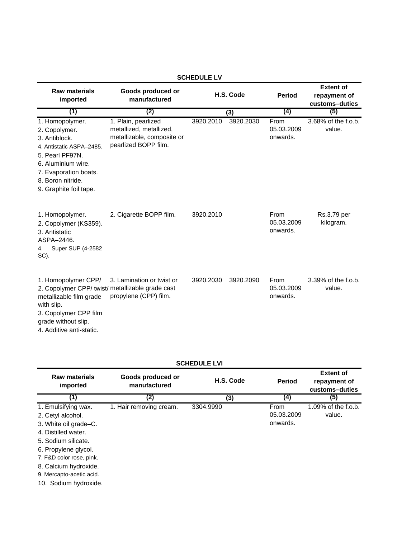| <b>Raw materials</b><br>imported                                                                                                                                                               | Goods produced or<br>manufactured                                                                    |           | H.S. Code | <b>Period</b>                  | <b>Extent of</b><br>repayment of<br>customs-duties |
|------------------------------------------------------------------------------------------------------------------------------------------------------------------------------------------------|------------------------------------------------------------------------------------------------------|-----------|-----------|--------------------------------|----------------------------------------------------|
| (1)                                                                                                                                                                                            | (2)                                                                                                  |           | (3)       | (4)                            | (5)                                                |
| 1. Homopolymer.<br>2. Copolymer.<br>3. Antiblock.<br>4. Antistatic ASPA-2485.<br>5. Pearl PF97N.<br>6. Aluminium wire.<br>7. Evaporation boats.<br>8. Boron nitride.<br>9. Graphite foil tape. | 1. Plain, pearlized<br>metallized, metallized,<br>metallizable, composite or<br>pearlized BOPP film. | 3920.2010 | 3920.2030 | From<br>05.03.2009<br>onwards. | 3.68% of the f.o.b.<br>value.                      |
| 1. Homopolymer.<br>2. Copolymer (KS359).<br>3. Antistatic<br>ASPA-2446.<br>Super SUP (4-2582<br>4.<br>SC).                                                                                     | 2. Cigarette BOPP film.                                                                              | 3920.2010 |           | From<br>05.03.2009<br>onwards. | Rs.3.79 per<br>kilogram.                           |
| 1. Homopolymer CPP/<br>2. Copolymer CPP/ twist/ metallizable grade cast<br>metallizable film grade<br>with slip.<br>3. Copolymer CPP film<br>grade without slip.<br>4. Additive anti-static.   | 3. Lamination or twist or<br>propylene (CPP) film.                                                   | 3920.2030 | 3920.2090 | From<br>05.03.2009<br>onwards. | 3.39% of the f.o.b.<br>value.                      |

#### **SCHEDULE LV**

| <b>SCHEDULE LVI</b> |  |
|---------------------|--|
|---------------------|--|

| Raw materials<br>imported                                                                                                                                                                                                                         | Goods produced or<br>manufactured | H.S. Code | <b>Period</b>                  | <b>Extent of</b><br>repayment of<br>customs-duties |
|---------------------------------------------------------------------------------------------------------------------------------------------------------------------------------------------------------------------------------------------------|-----------------------------------|-----------|--------------------------------|----------------------------------------------------|
| (1)                                                                                                                                                                                                                                               | (2)                               | (3)       | (4)                            | (5)                                                |
| 1. Emulsifying wax.<br>2. Cetyl alcohol.<br>3. White oil grade–C.<br>4. Distilled water.<br>5. Sodium silicate.<br>6. Propylene glycol.<br>7. F&D color rose, pink.<br>8. Calcium hydroxide.<br>9. Mercapto-acetic acid.<br>10. Sodium hydroxide. | 1. Hair removing cream.           | 3304.9990 | From<br>05.03.2009<br>onwards. | 1.09% of the f.o.b.<br>value.                      |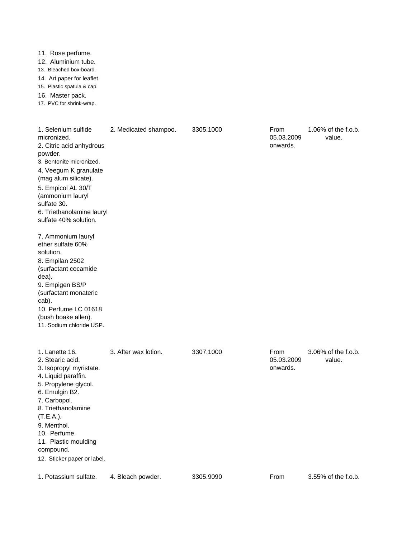11. Rose perfume.

12. Aluminium tube.

13. Bleached box-board.

14. Art paper for leaflet.

15. Plastic spatula & cap.

16. Master pack.

17. PVC for shrink-wrap.

| 1. Selenium sulfide<br>micronized.<br>2. Citric acid anhydrous<br>powder.<br>3. Bentonite micronized.<br>4. Veegum K granulate<br>(mag alum silicate).<br>5. Empicol AL 30/T<br>(ammonium lauryl<br>sulfate 30.<br>6. Triethanolamine lauryl<br>sulfate 40% solution.<br>7. Ammonium lauryl<br>ether sulfate 60%<br>solution.<br>8. Empilan 2502<br>(surfactant cocamide<br>dea).<br>9. Empigen BS/P<br>(surfactant monateric<br>cab).<br>10. Perfume LC 01618<br>(bush boake allen).<br>11. Sodium chloride USP. | 2. Medicated shampoo. | 3305.1000 | From<br>05.03.2009<br>onwards. | 1.06% of the f.o.b.<br>value. |
|-------------------------------------------------------------------------------------------------------------------------------------------------------------------------------------------------------------------------------------------------------------------------------------------------------------------------------------------------------------------------------------------------------------------------------------------------------------------------------------------------------------------|-----------------------|-----------|--------------------------------|-------------------------------|
| 1. Lanette 16.<br>2. Stearic acid.<br>3. Isopropyl myristate.<br>4. Liquid paraffin.<br>5. Propylene glycol.<br>6. Emulgin B2.<br>7. Carbopol.<br>8. Triethanolamine<br>$(T.E.A.)$ .<br>9. Menthol.<br>10. Perfume.<br>11. Plastic moulding<br>compound.<br>12. Sticker paper or label.                                                                                                                                                                                                                           | 3. After wax lotion.  | 3307.1000 | From<br>05.03.2009<br>onwards. | 3.06% of the f.o.b.<br>value. |
| 1. Potassium sulfate.                                                                                                                                                                                                                                                                                                                                                                                                                                                                                             | 4. Bleach powder.     | 3305.9090 | From                           | 3.55% of the f.o.b.           |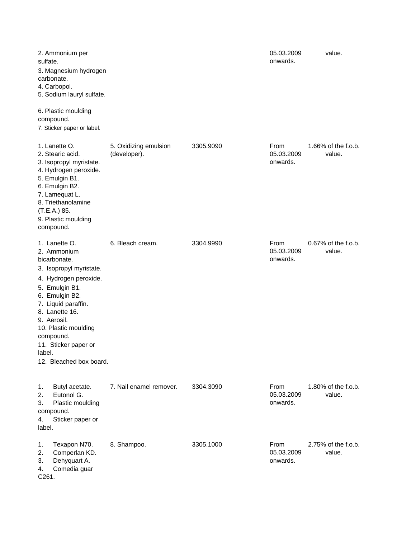| 2. Ammonium per<br>sulfate.<br>3. Magnesium hydrogen<br>carbonate.<br>4. Carbopol.<br>5. Sodium lauryl sulfate.                                                                                                                                                                                |                                       |           | 05.03.2009<br>onwards.         | value.                        |
|------------------------------------------------------------------------------------------------------------------------------------------------------------------------------------------------------------------------------------------------------------------------------------------------|---------------------------------------|-----------|--------------------------------|-------------------------------|
| 6. Plastic moulding<br>compound.<br>7. Sticker paper or label.                                                                                                                                                                                                                                 |                                       |           |                                |                               |
| 1. Lanette O.<br>2. Stearic acid.<br>3. Isopropyl myristate.<br>4. Hydrogen peroxide.<br>5. Emulgin B1.<br>6. Emulgin B2.<br>7. Lamequat L.<br>8. Triethanolamine<br>(T.E.A.) 85.<br>9. Plastic moulding<br>compound.                                                                          | 5. Oxidizing emulsion<br>(developer). | 3305.9090 | From<br>05.03.2009<br>onwards. | 1.66% of the f.o.b.<br>value. |
| 1. Lanette O.<br>2. Ammonium<br>bicarbonate.<br>3. Isopropyl myristate.<br>4. Hydrogen peroxide.<br>5. Emulgin B1.<br>6. Emulgin B2.<br>7. Liquid paraffin.<br>8. Lanette 16.<br>9. Aerosil.<br>10. Plastic moulding<br>compound.<br>11. Sticker paper or<br>label.<br>12. Bleached box board. | 6. Bleach cream.                      | 3304.9990 | From<br>05.03.2009<br>onwards. | 0.67% of the f.o.b.<br>value. |
| Butyl acetate.<br>1.<br>2.<br>Eutonol G.<br>3.<br>Plastic moulding<br>compound.<br>Sticker paper or<br>4.<br>label.                                                                                                                                                                            | 7. Nail enamel remover.               | 3304.3090 | From<br>05.03.2009<br>onwards. | 1.80% of the f.o.b.<br>value. |
| Texapon N70.<br>1.<br>2.<br>Comperlan KD.<br>Dehyquart A.<br>3.<br>Comedia guar<br>4.<br>C261.                                                                                                                                                                                                 | 8. Shampoo.                           | 3305.1000 | From<br>05.03.2009<br>onwards. | 2.75% of the f.o.b.<br>value. |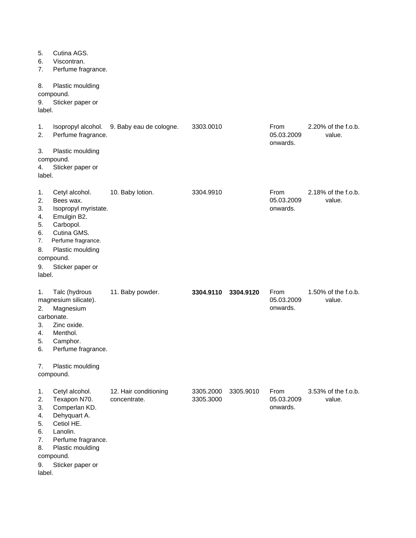| 5.<br>6.<br>7.<br>8.                                         | Cutina AGS.<br>Viscontran.<br>Perfume fragrance.<br>Plastic moulding                                                                                                      |                                       |                        |           |                                |                               |
|--------------------------------------------------------------|---------------------------------------------------------------------------------------------------------------------------------------------------------------------------|---------------------------------------|------------------------|-----------|--------------------------------|-------------------------------|
| 9.<br>label.                                                 | compound.<br>Sticker paper or                                                                                                                                             |                                       |                        |           |                                |                               |
| 1.<br>2.                                                     | Isopropyl alcohol.<br>Perfume fragrance.                                                                                                                                  | 9. Baby eau de cologne.               | 3303.0010              |           | From<br>05.03.2009<br>onwards. | 2.20% of the f.o.b.<br>value. |
| 3.<br>4.<br>label.                                           | Plastic moulding<br>compound.<br>Sticker paper or                                                                                                                         |                                       |                        |           |                                |                               |
| 1.<br>2.<br>3.<br>4.<br>5.<br>6.<br>7.<br>8.<br>9.<br>label. | Cetyl alcohol.<br>Bees wax.<br>Isopropyl myristate.<br>Emulgin B2.<br>Carbopol.<br>Cutina GMS.<br>Perfume fragrance.<br>Plastic moulding<br>compound.<br>Sticker paper or | 10. Baby lotion.                      | 3304.9910              |           | From<br>05.03.2009<br>onwards. | 2.18% of the f.o.b.<br>value. |
| 1.<br>2.<br>3.<br>4.<br>5.<br>6.                             | Talc (hydrous<br>magnesium silicate).<br>Magnesium<br>carbonate.<br>Zinc oxide.<br>Menthol.<br>Camphor.<br>Perfume fragrance.                                             | 11. Baby powder.                      | 3304.9110              | 3304.9120 | From<br>05.03.2009<br>onwards. | 1.50% of the f.o.b.<br>value. |
| 7.                                                           | Plastic moulding<br>compound.                                                                                                                                             |                                       |                        |           |                                |                               |
| 1.<br>2.<br>3.<br>4.<br>5.<br>6.<br>7.<br>8.<br>9.<br>label. | Cetyl alcohol.<br>Texapon N70.<br>Comperlan KD.<br>Dehyquart A.<br>Cetiol HE.<br>Lanolin.<br>Perfume fragrance.<br>Plastic moulding<br>compound.<br>Sticker paper or      | 12. Hair conditioning<br>concentrate. | 3305.2000<br>3305.3000 | 3305.9010 | From<br>05.03.2009<br>onwards. | 3.53% of the f.o.b.<br>value. |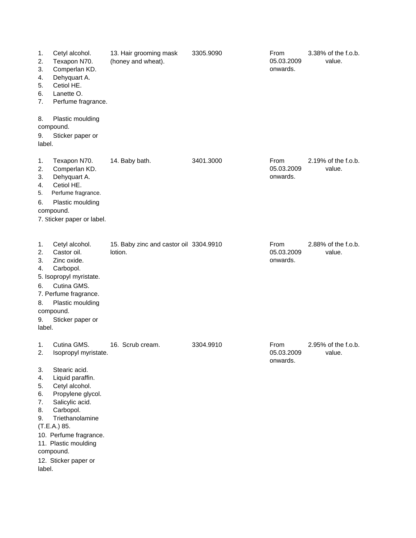| 1.<br>2.<br>3.<br>4.<br>5.<br>6.<br>7.<br>8.                 | Cetyl alcohol.<br>Texapon N70.<br>Comperlan KD.<br>Dehyquart A.<br>Cetiol HE.<br>Lanette O.<br>Perfume fragrance.<br>Plastic moulding                                                                                                                                     | 13. Hair grooming mask<br>(honey and wheat).      | 3305.9090 | From<br>05.03.2009<br>onwards.        | 3.38% of the f.o.b.<br>value. |
|--------------------------------------------------------------|---------------------------------------------------------------------------------------------------------------------------------------------------------------------------------------------------------------------------------------------------------------------------|---------------------------------------------------|-----------|---------------------------------------|-------------------------------|
| 9.<br>label.                                                 | compound.<br>Sticker paper or                                                                                                                                                                                                                                             |                                                   |           |                                       |                               |
| 1.<br>2.<br>3.<br>4.<br>5.<br>6.                             | Texapon N70.<br>Comperlan KD.<br>Dehyquart A.<br>Cetiol HE.<br>Perfume fragrance.<br>Plastic moulding<br>compound.<br>7. Sticker paper or label.                                                                                                                          | 14. Baby bath.                                    | 3401.3000 | <b>From</b><br>05.03.2009<br>onwards. | 2.19% of the f.o.b.<br>value. |
| 1.<br>2.<br>3.<br>4.<br>6.<br>8.<br>9.<br>label.             | Cetyl alcohol.<br>Castor oil.<br>Zinc oxide.<br>Carbopol.<br>5. Isopropyl myristate.<br>Cutina GMS.<br>7. Perfume fragrance.<br>Plastic moulding<br>compound.<br>Sticker paper or                                                                                         | 15. Baby zinc and castor oil 3304.9910<br>lotion. |           | From<br>05.03.2009<br>onwards.        | 2.88% of the f.o.b.<br>value. |
| 1.<br>2.<br>3.<br>4.<br>5.<br>6.<br>7.<br>8.<br>9.<br>label. | Cutina GMS.<br>Isopropyl myristate.<br>Stearic acid.<br>Liquid paraffin.<br>Cetyl alcohol.<br>Propylene glycol.<br>Salicylic acid.<br>Carbopol.<br>Triethanolamine<br>(T.E.A.) 85.<br>10. Perfume fragrance.<br>11. Plastic moulding<br>compound.<br>12. Sticker paper or | 16. Scrub cream.                                  | 3304.9910 | From<br>05.03.2009<br>onwards.        | 2.95% of the f.o.b.<br>value  |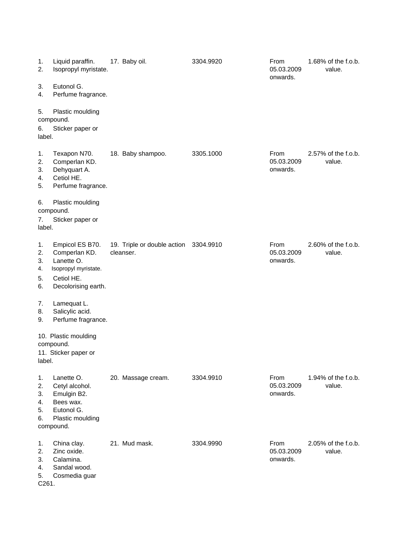| 1.<br>2.                            | Liquid paraffin.<br>Isopropyl myristate.                                                                    | 17. Baby oil.                            | 3304.9920 | From<br>05.03.2009<br>onwards. | 1.68% of the f.o.b.<br>value. |
|-------------------------------------|-------------------------------------------------------------------------------------------------------------|------------------------------------------|-----------|--------------------------------|-------------------------------|
| 3.<br>4.                            | Eutonol G.<br>Perfume fragrance.                                                                            |                                          |           |                                |                               |
| 5.<br>6.<br>label.                  | Plastic moulding<br>compound.<br>Sticker paper or                                                           |                                          |           |                                |                               |
| 1.<br>2.<br>3.<br>4.<br>5.          | Texapon N70.<br>Comperlan KD.<br>Dehyquart A.<br>Cetiol HE.<br>Perfume fragrance.                           | 18. Baby shampoo.                        | 3305.1000 | From<br>05.03.2009<br>onwards. | 2.57% of the f.o.b.<br>value. |
| 6.<br>7.<br>label.                  | Plastic moulding<br>compound.<br>Sticker paper or                                                           |                                          |           |                                |                               |
| 1.<br>2.<br>3.<br>4.<br>5.<br>6.    | Empicol ES B70.<br>Comperlan KD.<br>Lanette O.<br>Isopropyl myristate.<br>Cetiol HE.<br>Decolorising earth. | 19. Triple or double action<br>cleanser. | 3304.9910 | From<br>05.03.2009<br>onwards. | 2.60% of the f.o.b.<br>value. |
| 7.<br>8.<br>9.                      | Lamequat L.<br>Salicylic acid.<br>Perfume fragrance.                                                        |                                          |           |                                |                               |
| label.                              | 10. Plastic moulding<br>compound.<br>11. Sticker paper or                                                   |                                          |           |                                |                               |
| 1.<br>2.<br>3.<br>4.<br>5.<br>6.    | Lanette O.<br>Cetyl alcohol.<br>Emulgin B2.<br>Bees wax.<br>Eutonol G.<br>Plastic moulding<br>compound.     | 20. Massage cream.                       | 3304.9910 | From<br>05.03.2009<br>onwards. | 1.94% of the f.o.b.<br>value. |
| 1.<br>2.<br>3.<br>4.<br>5.<br>C261. | China clay.<br>Zinc oxide.<br>Calamina.<br>Sandal wood.<br>Cosmedia guar                                    | 21. Mud mask.                            | 3304.9990 | From<br>05.03.2009<br>onwards. | 2.05% of the f.o.b.<br>value. |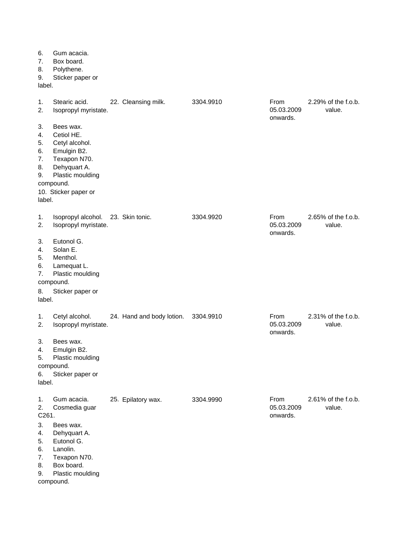| 6.<br>7.<br>8.<br>9.<br>label.                   | Gum acacia.<br>Box board.<br>Polythene.<br>Sticker paper or                                                                                       |                           |           |                                |                               |
|--------------------------------------------------|---------------------------------------------------------------------------------------------------------------------------------------------------|---------------------------|-----------|--------------------------------|-------------------------------|
| 1.<br>2.                                         | Stearic acid.<br>Isopropyl myristate.                                                                                                             | 22. Cleansing milk.       | 3304.9910 | From<br>05.03.2009<br>onwards. | 2.29% of the f.o.b.<br>value. |
| 3.<br>4.<br>5.<br>6.<br>7.<br>8.<br>9.<br>label. | Bees wax.<br>Cetiol HE.<br>Cetyl alcohol.<br>Emulgin B2.<br>Texapon N70.<br>Dehyquart A.<br>Plastic moulding<br>compound.<br>10. Sticker paper or |                           |           |                                |                               |
| 1.<br>2.                                         | Isopropyl alcohol.<br>Isopropyl myristate.                                                                                                        | 23. Skin tonic.           | 3304.9920 | From<br>05.03.2009<br>onwards. | 2.65% of the f.o.b.<br>value. |
| 3.<br>4.<br>5.<br>6.<br>7.                       | Eutonol G.<br>Solan E.<br>Menthol.<br>Lamequat L.<br>Plastic moulding<br>compound.                                                                |                           |           |                                |                               |
| 8.<br>label.                                     | Sticker paper or                                                                                                                                  |                           |           |                                |                               |
| 1.<br>2.                                         | Cetyl alcohol.<br>Isopropyl myristate.                                                                                                            | 24. Hand and body lotion. | 3304.9910 | From<br>05.03.2009<br>onwards. | 2.31% of the f.o.b.<br>value. |
| 3.<br>4.<br>5.<br>6.<br>label.                   | Bees wax.<br>Emulgin B2.<br>Plastic moulding<br>compound.<br>Sticker paper or                                                                     |                           |           |                                |                               |
| 1.<br>2.<br>C261.                                | Gum acacia.<br>Cosmedia guar                                                                                                                      | 25. Epilatory wax.        | 3304.9990 | From<br>05.03.2009<br>onwards. | 2.61% of the f.o.b.<br>value. |
| 3.<br>4.<br>5.<br>6.<br>7.<br>8.                 | Bees wax.<br>Dehyquart A.<br>Eutonol G.<br>Lanolin.<br>Texapon N70.<br>Box board.                                                                 |                           |           |                                |                               |

9. Plastic moulding compound.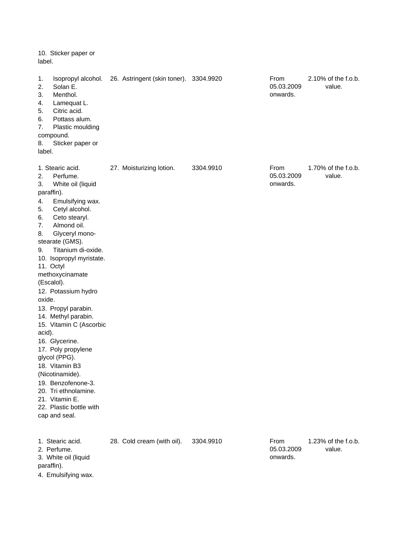10. Sticker paper or label.

| 1.<br>2.<br>3.<br>4.<br>5.<br>6.<br>7.<br>8.<br>label.                         | Isopropyl alcohol.<br>Solan E.<br>Menthol.<br>Lamequat L.<br>Citric acid.<br>Pottass alum.<br>Plastic moulding<br>compound.<br>Sticker paper or                                                                                                                                                                                                                                                                                                                                                                                                                        | 26. Astringent (skin toner). 3304.9920 |           | From<br>05.03.2009<br>onwards. | 2.10% of the f.o.b.<br>value. |
|--------------------------------------------------------------------------------|------------------------------------------------------------------------------------------------------------------------------------------------------------------------------------------------------------------------------------------------------------------------------------------------------------------------------------------------------------------------------------------------------------------------------------------------------------------------------------------------------------------------------------------------------------------------|----------------------------------------|-----------|--------------------------------|-------------------------------|
| 2.<br>3.<br>paraffin).<br>4.<br>5.<br>6.<br>7.<br>8.<br>9.<br>oxide.<br>acid). | 1. Stearic acid.<br>Perfume.<br>White oil (liquid<br>Emulsifying wax.<br>Cetyl alcohol.<br>Ceto stearyl.<br>Almond oil.<br>Glyceryl mono-<br>stearate (GMS).<br>Titanium di-oxide.<br>10. Isopropyl myristate.<br>11. Octyl<br>methoxycinamate<br>(Escalol).<br>12. Potassium hydro<br>13. Propyl parabin.<br>14. Methyl parabin.<br>15. Vitamin C (Ascorbic<br>16. Glycerine.<br>17. Poly propylene<br>glycol (PPG).<br>18. Vitamin B3<br>(Nicotinamide).<br>19. Benzofenone-3.<br>20. Tri ethnolamine.<br>21. Vitamin E.<br>22. Plastic bottle with<br>cap and seal. | 27. Moisturizing lotion.               | 3304.9910 | From<br>05.03.2009<br>onwards. | 1.70% of the f.o.b.<br>value. |
| paraffin).                                                                     | 1. Stearic acid.<br>2. Perfume.<br>3. White oil (liquid<br>4. Emulsifying wax.                                                                                                                                                                                                                                                                                                                                                                                                                                                                                         | 28. Cold cream (with oil).             | 3304.9910 | From<br>05.03.2009<br>onwards. | 1.23% of the f.o.b.<br>value. |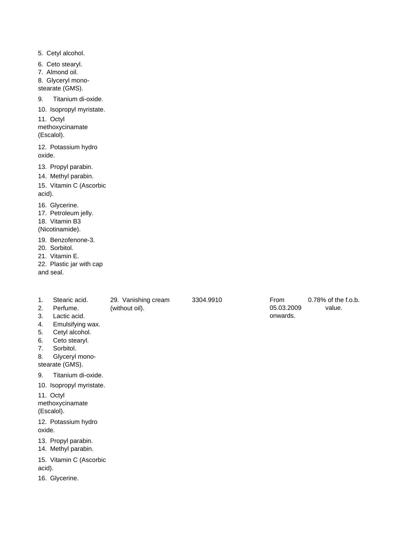5. Cetyl alcohol.

- 6. Ceto stearyl.
- 7. Almond oil.
- 8. Glyceryl mono-
- stearate (GMS).
- 9. Titanium di-oxide.
- 10. Isopropyl myristate.

11. Octyl methoxycinamate (Escalol).

12. Potassium hydro oxide.

- 13. Propyl parabin.
- 14. Methyl parabin.

15. Vitamin C (Ascorbic acid).

- 16. Glycerine.
- 17. Petroleum jelly.

18. Vitamin B3

(Nicotinamide).

19. Benzofenone-3.

- 20. Sorbitol.
- 21. Vitamin E.

22. Plastic jar with cap and seal.

- 
- 1. Stearic acid. 29. Vanishing cream 3304.9910

(without oil).

- 2. Perfume.
- 3. Lactic acid.
- 4. Emulsifying wax.
- 5. Cetyl alcohol.
- 6. Ceto stearyl.
- 7. Sorbitol.

8. Glyceryl mono-

stearate (GMS).

9. Titanium di-oxide.

10. Isopropyl myristate.

11. Octyl methoxycinamate (Escalol).

12. Potassium hydro oxide.

13. Propyl parabin.

14. Methyl parabin.

15. Vitamin C (Ascorbic acid).

16. Glycerine.

0.78% of the f.o.b. value. From 05.03.2009 onwards.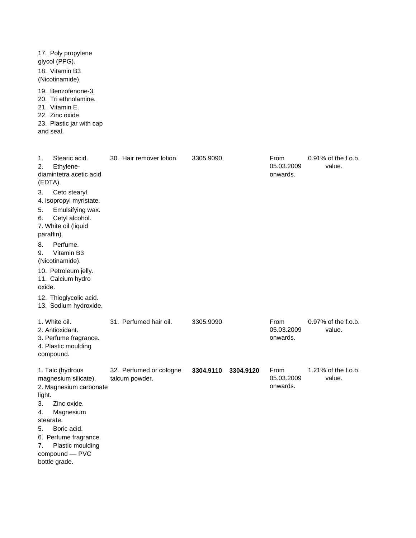| 17. Poly propylene<br>glycol (PPG).<br>18. Vitamin B3<br>(Nicotinamide).                                                                                                                                                                                                                                                                                                                  |                                           |                        |                                |                                  |
|-------------------------------------------------------------------------------------------------------------------------------------------------------------------------------------------------------------------------------------------------------------------------------------------------------------------------------------------------------------------------------------------|-------------------------------------------|------------------------|--------------------------------|----------------------------------|
| 19. Benzofenone-3.<br>20. Tri ethnolamine.<br>21. Vitamin E.<br>22. Zinc oxide.<br>23. Plastic jar with cap<br>and seal.                                                                                                                                                                                                                                                                  |                                           |                        |                                |                                  |
| Stearic acid.<br>1.<br>Ethylene-<br>2.<br>diamintetra acetic acid<br>(EDTA).<br>3.<br>Ceto stearyl.<br>4. Isopropyl myristate.<br>5.<br>Emulsifying wax.<br>6.<br>Cetyl alcohol.<br>7. White oil (liquid<br>paraffin).<br>8.<br>Perfume.<br>Vitamin B3<br>9.<br>(Nicotinamide).<br>10. Petroleum jelly.<br>11. Calcium hydro<br>oxide.<br>12. Thioglycolic acid.<br>13. Sodium hydroxide. | 30. Hair remover lotion.                  | 3305.9090              | From<br>05.03.2009<br>onwards. | $0.91\%$ of the f.o.b.<br>value. |
| 1. White oil.<br>2. Antioxidant.<br>3. Perfume fragrance.<br>4. Plastic moulding<br>compound.                                                                                                                                                                                                                                                                                             | 31. Perfumed hair oil.                    | 3305.9090              | From<br>05.03.2009<br>onwards. | 0.97% of the f.o.b.<br>value.    |
| 1. Talc (hydrous<br>magnesium silicate).<br>2. Magnesium carbonate<br>light.<br>Zinc oxide.<br>3.<br>4.<br>Magnesium<br>stearate.<br>5.<br>Boric acid.<br>6. Perfume fragrance.<br>Plastic moulding<br>7.<br>compound - PVC<br>bottle grade.                                                                                                                                              | 32. Perfumed or cologne<br>talcum powder. | 3304.9110<br>3304.9120 | From<br>05.03.2009<br>onwards. | 1.21% of the f.o.b.<br>value.    |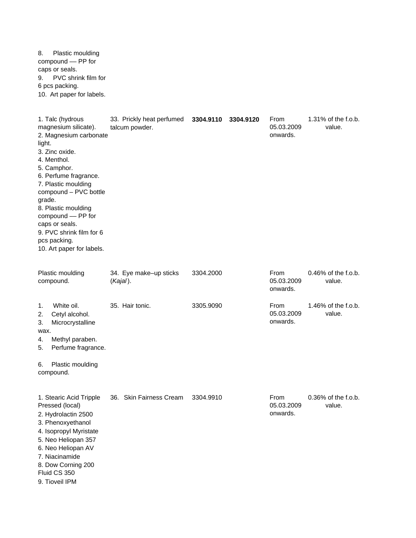8. Plastic moulding compound –– PP for caps or seals. 9. PVC shrink film for 6 pcs packing. 10. Art paper for labels.

| 1. Talc (hydrous<br>magnesium silicate).<br>2. Magnesium carbonate<br>light.<br>3. Zinc oxide.<br>4. Menthol.<br>5. Camphor.<br>6. Perfume fragrance.<br>7. Plastic moulding<br>compound - PVC bottle<br>grade.<br>8. Plastic moulding<br>compound - PP for<br>caps or seals.<br>9. PVC shrink film for 6<br>pcs packing.<br>10. Art paper for labels. | 33. Prickly heat perfumed<br>talcum powder. | 3304.9110<br>3304.9120 | From<br>05.03.2009<br>onwards. | 1.31% of the f.o.b.<br>value. |
|--------------------------------------------------------------------------------------------------------------------------------------------------------------------------------------------------------------------------------------------------------------------------------------------------------------------------------------------------------|---------------------------------------------|------------------------|--------------------------------|-------------------------------|
| Plastic moulding<br>compound.                                                                                                                                                                                                                                                                                                                          | 34. Eye make-up sticks<br>$(Kajal)$ .       | 3304.2000              | From<br>05.03.2009<br>onwards. | 0.46% of the f.o.b.<br>value. |
| White oil.<br>1.<br>Cetyl alcohol.<br>2.<br>Microcrystalline<br>3.<br>wax.<br>Methyl paraben.<br>4.<br>Perfume fragrance.<br>5.<br>6.<br>Plastic moulding<br>compound.                                                                                                                                                                                 | 35. Hair tonic.                             | 3305.9090              | From<br>05.03.2009<br>onwards. | 1.46% of the f.o.b.<br>value. |
| 1. Stearic Acid Tripple<br>Pressed (local)<br>2. Hydrolactin 2500<br>3. Phenoxyethanol<br>4. Isopropyl Myristate<br>5. Neo Heliopan 357<br>6. Neo Heliopan AV<br>7. Niacinamide<br>8. Dow Corning 200<br>Fluid CS 350<br>9. Tioveil IPM                                                                                                                | 36. Skin Fairness Cream                     | 3304.9910              | From<br>05.03.2009<br>onwards. | 0.36% of the f.o.b.<br>value. |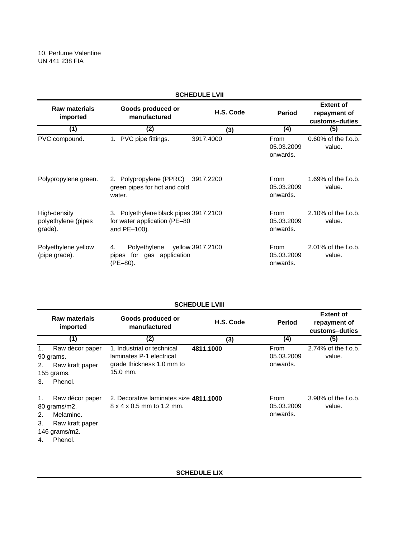| <b>SCHEDULE LVII</b>                           |                                                                                        |                  |                                |                                                    |  |
|------------------------------------------------|----------------------------------------------------------------------------------------|------------------|--------------------------------|----------------------------------------------------|--|
| <b>Raw materials</b><br>imported               | Goods produced or<br>manufactured                                                      | H.S. Code        | <b>Period</b>                  | <b>Extent of</b><br>repayment of<br>customs-duties |  |
| (1)                                            | (2)                                                                                    | (3)              | (4)                            | (5)                                                |  |
| PVC compound.                                  | 1. PVC pipe fittings.                                                                  | 3917.4000        | From<br>05.03.2009<br>onwards. | 0.60% of the f.o.b.<br>value.                      |  |
| Polypropylene green.                           | 2. Polypropylene (PPRC)<br>green pipes for hot and cold<br>water.                      | 3917.2200        | From<br>05.03.2009<br>onwards. | 1.69% of the f.o.b.<br>value.                      |  |
| High-density<br>polyethylene (pipes<br>grade). | 3. Polyethylene black pipes 3917.2100<br>for water application (PE-80)<br>and PE-100). |                  | From<br>05.03.2009<br>onwards. | 2.10% of the f.o.b.<br>value.                      |  |
| Polyethylene yellow<br>(pipe grade).           | Polyethylene<br>4.<br>pipes for gas application<br>(PE-80).                            | yellow 3917.2100 | From<br>05.03.2009<br>onwards. | 2.01% of the f.o.b.<br>value.                      |  |

## **SCHEDULE LVIII**

|                            | Raw materials<br>imported                                                                   | Goods produced or<br>manufactured                                                                 | H.S. Code | <b>Period</b>                         | <b>Extent of</b><br>repayment of<br>customs-duties |
|----------------------------|---------------------------------------------------------------------------------------------|---------------------------------------------------------------------------------------------------|-----------|---------------------------------------|----------------------------------------------------|
|                            | (1)                                                                                         | (2)                                                                                               | (3)       | (4)                                   | (5)                                                |
| $\mathbf{1}$ .<br>2.<br>3. | Raw décor paper<br>90 grams.<br>Raw kraft paper<br>155 grams.<br>Phenol.                    | 1. Industrial or technical<br>laminates P-1 electrical<br>grade thickness 1.0 mm to<br>$15.0$ mm. | 4811.1000 | From<br>05.03.2009<br>onwards.        | 2.74% of the f.o.b.<br>value.                      |
| 1.<br>2.<br>3.<br>4.       | Raw décor paper<br>80 grams/m2.<br>Melamine.<br>Raw kraft paper<br>146 grams/m2.<br>Phenol. | 2. Decorative laminates size 4811.1000<br>8 x 4 x 0.5 mm to 1.2 mm.                               |           | <b>From</b><br>05.03.2009<br>onwards. | 3.98% of the f.o.b.<br>value.                      |

**SCHEDULE LIX**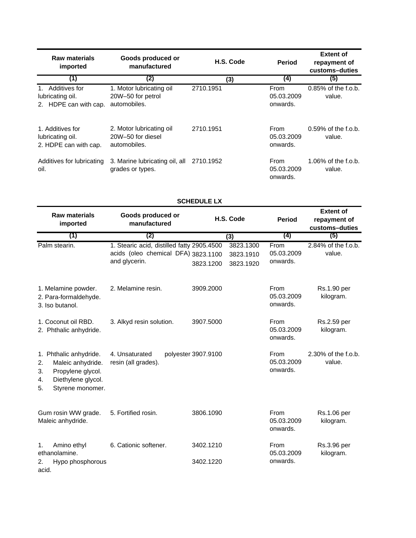| <b>Raw materials</b><br>imported                              | Goods produced or<br>manufactured                             | H.S. Code | <b>Period</b>                  | <b>Extent of</b><br>repayment of<br>customs-duties |
|---------------------------------------------------------------|---------------------------------------------------------------|-----------|--------------------------------|----------------------------------------------------|
| (1)                                                           | (2)                                                           | (3)       | (4)                            | (5)                                                |
| Additives for<br>lubricating oil.<br>2. HDPE can with cap.    | 1. Motor lubricating oil<br>20W-50 for petrol<br>automobiles. | 2710.1951 | From<br>05.03.2009<br>onwards. | $0.85\%$ of the f.o.b.<br>value.                   |
| 1. Additives for<br>lubricating oil.<br>2. HDPE can with cap. | 2. Motor lubricating oil<br>20W-50 for diesel<br>automobiles. | 2710.1951 | From<br>05.03.2009<br>onwards. | $0.59\%$ of the f.o.b.<br>value.                   |
| Additives for lubricating<br>oil.                             | 3. Marine lubricating oil, all<br>grades or types.            | 2710.1952 | From<br>05.03.2009<br>onwards. | 1.06% of the f.o.b.<br>value.                      |

| <b>Raw materials</b><br>imported                                                                                                   | Goods produced or<br>manufactured                                                                  | H.S. Code                                        | <b>Period</b>                  | <b>Extent of</b><br>repayment of<br>customs-duties |
|------------------------------------------------------------------------------------------------------------------------------------|----------------------------------------------------------------------------------------------------|--------------------------------------------------|--------------------------------|----------------------------------------------------|
| (1)                                                                                                                                | (2)                                                                                                | (3)                                              | (4)                            | (5)                                                |
| Palm stearin.                                                                                                                      | 1. Stearic acid, distilled fatty 2905.4500<br>acids (oleo chemical DFA) 3823.1100<br>and glycerin. | 3823.1300<br>3823.1910<br>3823.1200<br>3823.1920 | From<br>05.03.2009<br>onwards. | 2.84% of the f.o.b.<br>value.                      |
| 1. Melamine powder.<br>2. Para-formaldehyde.<br>3. Iso butanol.                                                                    | 2. Melamine resin.                                                                                 | 3909.2000                                        | From<br>05.03.2009<br>onwards. | Rs.1.90 per<br>kilogram.                           |
| 1. Coconut oil RBD.<br>2. Phthalic anhydride.                                                                                      | 3. Alkyd resin solution.                                                                           | 3907.5000                                        | From<br>05.03.2009<br>onwards. | Rs.2.59 per<br>kilogram.                           |
| 1. Phthalic anhydride.<br>2.<br>Maleic anhydride.<br>Propylene glycol.<br>3.<br>Diethylene glycol.<br>4.<br>Styrene monomer.<br>5. | 4. Unsaturated<br>resin (all grades).                                                              | polyester 3907.9100                              | From<br>05.03.2009<br>onwards. | 2.30% of the f.o.b.<br>value.                      |
| Gum rosin WW grade.<br>Maleic anhydride.                                                                                           | 5. Fortified rosin.                                                                                | 3806.1090                                        | From<br>05.03.2009<br>onwards. | Rs.1.06 per<br>kilogram.                           |
| Amino ethyl<br>1.<br>ethanolamine.                                                                                                 | 6. Cationic softener.                                                                              | 3402.1210                                        | From<br>05.03.2009             | Rs.3.96 per<br>kilogram.                           |
| Hypo phosphorous<br>2.                                                                                                             |                                                                                                    | 3402.1220                                        | onwards.                       |                                                    |

acid.

# **SCHEDULE LX**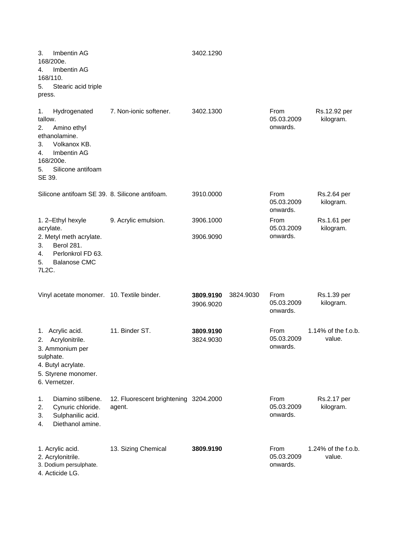| Imbentin AG<br>3.<br>168/200e.<br>Imbentin AG<br>4.<br>168/110.<br>5.<br>Stearic acid triple<br>press.                                                           |                                                 | 3402.1290              |           |                                |                                  |
|------------------------------------------------------------------------------------------------------------------------------------------------------------------|-------------------------------------------------|------------------------|-----------|--------------------------------|----------------------------------|
| 1.<br>Hydrogenated<br>tallow.<br>2.<br>Amino ethyl<br>ethanolamine.<br>Volkanox KB.<br>3.<br>Imbentin AG<br>4.<br>168/200e.<br>Silicone antifoam<br>5.<br>SE 39. | 7. Non-ionic softener.                          | 3402.1300              |           | From<br>05.03.2009<br>onwards. | Rs.12.92 per<br>kilogram.        |
| Silicone antifoam SE 39. 8. Silicone antifoam.                                                                                                                   |                                                 | 3910.0000              |           | From<br>05.03.2009<br>onwards. | Rs.2.64 per<br>kilogram.         |
| 1. 2-Ethyl hexyle<br>acrylate.<br>2. Metyl meth acrylate.<br>Berol 281.<br>3.<br>Perlonkrol FD 63.<br>4.<br><b>Balanose CMC</b><br>5.<br>7L2C.                   | 9. Acrylic emulsion.                            | 3906.1000<br>3906.9090 |           | From<br>05.03.2009<br>onwards. | Rs.1.61 per<br>kilogram.         |
| Vinyl acetate monomer. 10. Textile binder.                                                                                                                       |                                                 | 3809.9190<br>3906.9020 | 3824.9030 | From<br>05.03.2009<br>onwards. | Rs.1.39 per<br>kilogram.         |
| Acrylic acid.<br>1.<br>Acrylonitrile.<br>2.<br>3. Ammonium per<br>sulphate.<br>4. Butyl acrylate.<br>5. Styrene monomer.<br>6. Vernetzer.                        | 11. Binder ST.                                  | 3809.9190<br>3824.9030 |           | From<br>05.03.2009<br>onwards. | $1.14\%$ of the f.o.b.<br>value. |
| 1.<br>Diamino stilbene.<br>2.<br>Cynuric chloride.<br>Sulphanilic acid.<br>3.<br>Diethanol amine.<br>4.                                                          | 12. Fluorescent brightening 3204.2000<br>agent. |                        |           | From<br>05.03.2009<br>onwards. | Rs.2.17 per<br>kilogram.         |
| 1. Acrylic acid.<br>2. Acrylonitrile.<br>3. Dodium persulphate.<br>4. Acticide LG.                                                                               | 13. Sizing Chemical                             | 3809.9190              |           | From<br>05.03.2009<br>onwards. | 1.24% of the f.o.b.<br>value.    |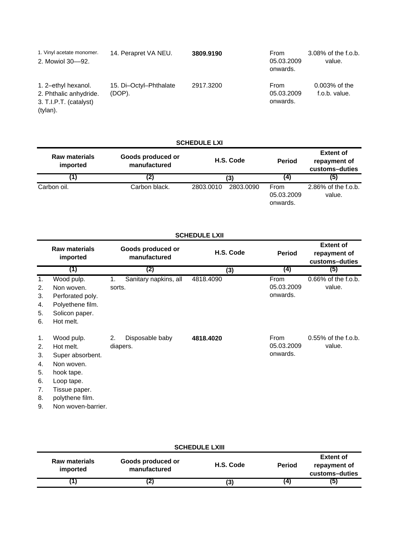| 1. Vinyl acetate monomer.<br>2. Mowiol 30-92.                                       | 14. Perapret VA NEU.             | 3809.9190 | <b>From</b><br>05.03.2009<br>onwards. | 3.08% of the f.o.b.<br>value.     |
|-------------------------------------------------------------------------------------|----------------------------------|-----------|---------------------------------------|-----------------------------------|
| 1. 2-ethyl hexanol.<br>2. Phthalic anhydride.<br>3. T.I.P.T. (catalyst)<br>(tylan). | 15. Di-Octyl-Phthalate<br>(DOP). | 2917.3200 | From<br>05.03.2009<br>onwards.        | $0.003\%$ of the<br>f.o.b. value. |

# **SCHEDULE LXI**

| <b>Raw materials</b><br>imported | Goods produced or<br>manufactured | H.S. Code              | <b>Period</b>                  | <b>Extent of</b><br>repayment of<br>customs-duties |
|----------------------------------|-----------------------------------|------------------------|--------------------------------|----------------------------------------------------|
|                                  | (2)                               | (3)                    | (4)                            | (5)                                                |
| Carbon oil.                      | Carbon black.                     | 2803.0090<br>2803.0010 | From<br>05.03.2009<br>onwards. | 2.86% of the f.o.b.<br>value.                      |

|    | <b>SCHEDULE LXII</b>             |        |                                   |           |               |                                                    |  |  |
|----|----------------------------------|--------|-----------------------------------|-----------|---------------|----------------------------------------------------|--|--|
|    | <b>Raw materials</b><br>imported |        | Goods produced or<br>manufactured | H.S. Code | <b>Period</b> | <b>Extent of</b><br>repayment of<br>customs-duties |  |  |
|    | (1)                              |        | (2)                               | (3)       | (4)           | (5)                                                |  |  |
| 1. | Wood pulp.                       | 1.     | Sanitary napkins, all             | 4818.4090 | From          | $0.66\%$ of the f.o.b.                             |  |  |
| 2. | Non woven.                       | sorts. |                                   |           | 05.03.2009    | value.                                             |  |  |
| 3. | Perforated poly.                 |        |                                   |           | onwards.      |                                                    |  |  |
| 4. | Polyethene film.                 |        |                                   |           |               |                                                    |  |  |
| 5. | Solicon paper.                   |        |                                   |           |               |                                                    |  |  |
| 6. | Hot melt.                        |        |                                   |           |               |                                                    |  |  |
| 1. | Wood pulp.                       | 2.     | Disposable baby                   | 4818.4020 | From          | $0.55\%$ of the f.o.b.                             |  |  |
| 2. | Hot melt.                        |        | diapers.                          |           | 05.03.2009    | value.                                             |  |  |
| 3. | Super absorbent.                 |        |                                   |           | onwards.      |                                                    |  |  |
| 4. | Non woven.                       |        |                                   |           |               |                                                    |  |  |
| 5. | hook tape.                       |        |                                   |           |               |                                                    |  |  |
| 6. | Loop tape.                       |        |                                   |           |               |                                                    |  |  |
| 7. | Tissue paper.                    |        |                                   |           |               |                                                    |  |  |
| 8. | polythene film.                  |        |                                   |           |               |                                                    |  |  |
| 9. | Non woven-barrier.               |        |                                   |           |               |                                                    |  |  |

| <b>SCHEDULE LXIII</b>            |                                   |           |               |                                                    |  |  |
|----------------------------------|-----------------------------------|-----------|---------------|----------------------------------------------------|--|--|
| <b>Raw materials</b><br>imported | Goods produced or<br>manufactured | H.S. Code | <b>Period</b> | <b>Extent of</b><br>repayment of<br>customs-duties |  |  |
|                                  | 4J                                | (3)       |               | (၁)                                                |  |  |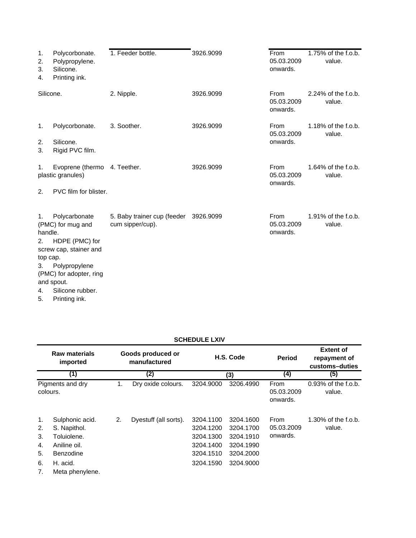| 1.<br>2.<br>3.<br>4.                              | Polycorbonate.<br>Polypropylene.<br>Silicone.<br>Printing ink.                                                                                                                | 1. Feeder bottle.                                         | 3926.9099 | From<br>05.03.2009<br>onwards. | 1.75% of the f.o.b.<br>value.    |
|---------------------------------------------------|-------------------------------------------------------------------------------------------------------------------------------------------------------------------------------|-----------------------------------------------------------|-----------|--------------------------------|----------------------------------|
| Silicone.                                         |                                                                                                                                                                               | 2. Nipple.                                                | 3926.9099 | From<br>05.03.2009<br>onwards. | 2.24% of the f.o.b.<br>value.    |
| 1.<br>2.<br>3.                                    | Polycorbonate.<br>Silicone.<br>Rigid PVC film.                                                                                                                                | 3. Soother.                                               | 3926.9099 | From<br>05.03.2009<br>onwards. | $1.18\%$ of the f.o.b.<br>value. |
| 1.<br>2.                                          | Evoprene (thermo 4. Teether.<br>plastic granules)<br>PVC film for blister.                                                                                                    |                                                           | 3926.9099 | From<br>05.03.2009<br>onwards. | $1.64\%$ of the f.o.b.<br>value. |
| 1.<br>handle.<br>2.<br>top cap.<br>3.<br>4.<br>5. | Polycarbonate<br>(PMC) for mug and<br>HDPE (PMC) for<br>screw cap, stainer and<br>Polypropylene<br>(PMC) for adopter, ring<br>and spout.<br>Silicone rubber.<br>Printing ink. | 5. Baby trainer cup (feeder 3926.9099<br>cum sipper/cup). |           | From<br>05.03.2009<br>onwards. | $1.91\%$ of the f.o.b.<br>value. |

| <b>SCHEDULE LXIV</b> |  |
|----------------------|--|
|                      |  |

|                                        | <b>Raw materials</b><br>imported                                                                           |    | Goods produced or<br>manufactured |                                                                            | H.S. Code                                                                  | <b>Period</b>                  | <b>Extent of</b><br>repayment of<br>customs-duties |
|----------------------------------------|------------------------------------------------------------------------------------------------------------|----|-----------------------------------|----------------------------------------------------------------------------|----------------------------------------------------------------------------|--------------------------------|----------------------------------------------------|
|                                        | (1)                                                                                                        |    | (2)                               |                                                                            | (3)                                                                        | (4)                            | (5)                                                |
| colours.                               | Pigments and dry                                                                                           | 1. | Dry oxide colours.                | 3204.9000                                                                  | 3206.4990                                                                  | From<br>05.03.2009<br>onwards. | $0.93\%$ of the f.o.b.<br>value.                   |
| 1.<br>2.<br>3.<br>4.<br>5.<br>6.<br>7. | Sulphonic acid.<br>S. Napithol.<br>Toluiolene.<br>Aniline oil.<br>Benzodine<br>H. acid.<br>Meta phenylene. | 2. | Dyestuff (all sorts).             | 3204.1100<br>3204.1200<br>3204.1300<br>3204.1400<br>3204.1510<br>3204.1590 | 3204.1600<br>3204.1700<br>3204.1910<br>3204.1990<br>3204.2000<br>3204.9000 | From<br>05.03.2009<br>onwards. | 1.30% of the f.o.b.<br>value.                      |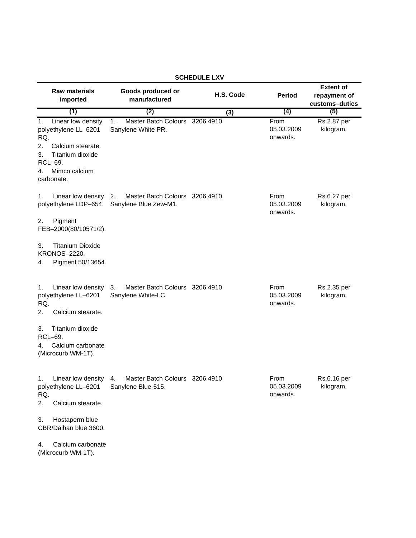| <b>SCHEDULE LXV</b>                                                                                                                                          |                                                               |           |                                |                                                    |  |  |
|--------------------------------------------------------------------------------------------------------------------------------------------------------------|---------------------------------------------------------------|-----------|--------------------------------|----------------------------------------------------|--|--|
| <b>Raw materials</b><br>imported                                                                                                                             | Goods produced or<br>manufactured                             | H.S. Code | <b>Period</b>                  | <b>Extent of</b><br>repayment of<br>customs-duties |  |  |
| (1)                                                                                                                                                          | (2)                                                           | (3)       | (4)                            | (5)                                                |  |  |
| Linear low density<br>1.<br>polyethylene LL-6201<br>RQ.<br>2.<br>Calcium stearate.<br>Titanium dioxide<br>3.<br>RCL-69.<br>Mimco calcium<br>4.<br>carbonate. | 1.<br>Master Batch Colours 3206.4910<br>Sanylene White PR.    |           | From<br>05.03.2009<br>onwards. | Rs.2.87 per<br>kilogram.                           |  |  |
| Linear low density<br>1.<br>polyethylene LDP-654.<br>Pigment<br>2.<br>FEB-2000(80/10571/2).                                                                  | Master Batch Colours 3206.4910<br>2.<br>Sanylene Blue Zew-M1. |           | From<br>05.03.2009<br>onwards. | Rs.6.27 per<br>kilogram.                           |  |  |
| <b>Titanium Dioxide</b><br>3.<br><b>KRONOS-2220.</b><br>Pigment 50/13654.<br>4.                                                                              |                                                               |           |                                |                                                    |  |  |
| Linear low density<br>1.<br>polyethylene LL-6201<br>RQ.<br>2.<br>Calcium stearate.                                                                           | Master Batch Colours 3206.4910<br>3.<br>Sanylene White-LC.    |           | From<br>05.03.2009<br>onwards. | Rs.2.35 per<br>kilogram.                           |  |  |
| Titanium dioxide<br>3.<br>RCL-69.<br>Calcium carbonate<br>4.<br>(Microcurb WM-1T).                                                                           |                                                               |           |                                |                                                    |  |  |
| Linear low density<br>1.<br>polyethylene LL-6201<br>RQ.<br>2.<br>Calcium stearate.                                                                           | Master Batch Colours 3206.4910<br>4.<br>Sanylene Blue-515.    |           | From<br>05.03.2009<br>onwards. | Rs.6.16 per<br>kilogram.                           |  |  |
| Hostaperm blue<br>3.<br>CBR/Daihan blue 3600.                                                                                                                |                                                               |           |                                |                                                    |  |  |
| Calcium carbonate<br>4.<br>(Microcurb WM-1T).                                                                                                                |                                                               |           |                                |                                                    |  |  |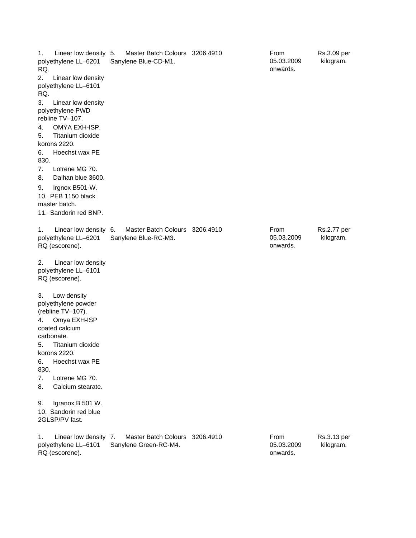1. Linear low density 5. polyethylene LL–6201 RQ. 5. Master Batch Colours 3206.4910 2. Linear low density polyethylene LL–6101 RQ. 3. Linear low density polyethylene PWD rebline TV–107. 4. OMYA EXH-ISP. 5. Titanium dioxide korons 2220. 6. Hoechst wax PE 830. 7. Lotrene MG 70. 8. Daihan blue 3600. 9. Irgnox B501-W. 10. PEB 1150 black master batch. 11. Sandorin red BNP. 1. Linear low density polyethylene LL–6201 RQ (escorene). 6. Master Batch Colours 3206.4910 2. Linear low density polyethylene LL–6101 RQ (escorene). 3. Low density polyethylene powder (rebline TV–107). 4. Omya EXH-ISP coated calcium carbonate. 5. Titanium dioxide korons 2220. 6. Hoechst wax PE 830. 7. Lotrene MG 70. 8. Calcium stearate. 9. Igranox B 501 W. 10. Sandorin red blue 2GLSP/PV fast. 1. Linear low density 7. polyethylene LL–6101 RQ (escorene). 7. Master Batch Colours 3206.4910 Rs.3.09 per kilogram. Sanylene Blue-CD-M1. From 05.03.2009 onwards. Rs.2.77 per kilogram. Rs.3.13 per kilogram. Sanylene Blue-RC-M3. From 05.03.2009 onwards. Sanylene Green-RC-M4. From 05.03.2009 onwards.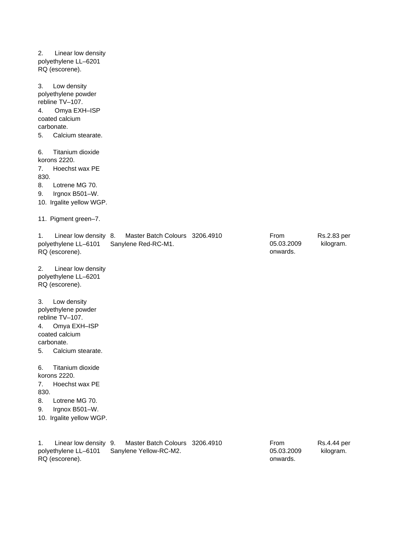2. Linear low density polyethylene LL–6201 RQ (escorene). 3. Low density polyethylene powder rebline TV–107. 4. Omya EXH–ISP coated calcium carbonate. 5. Calcium stearate. 6. Titanium dioxide korons 2220. 7. Hoechst wax PE 830. 8. Lotrene MG 70. 9. Irgnox B501–W. 10. Irgalite yellow WGP. 11. Pigment green–7. 1. Linear low density 8. polyethylene LL–6101 RQ (escorene). 8. Master Batch Colours 3206.4910 2. Linear low density polyethylene LL–6201 RQ (escorene). 3. Low density polyethylene powder rebline TV–107. 4. Omya EXH–ISP coated calcium carbonate. 5. Calcium stearate. 6. Titanium dioxide korons 2220. 7. Hoechst wax PE 830. 8. Lotrene MG 70. 9. Irgnox B501–W. 10. Irgalite yellow WGP. Rs.2.83 per kilogram. Sanylene Red-RC-M1. From 05.03.2009 onwards.

1. Linear low density polyethylene LL–6101 RQ (escorene). Master Batch Colours 3206,4910 Sanylene Yellow-RC-M2.

Rs.4.44 per kilogram. From 05.03.2009 onwards.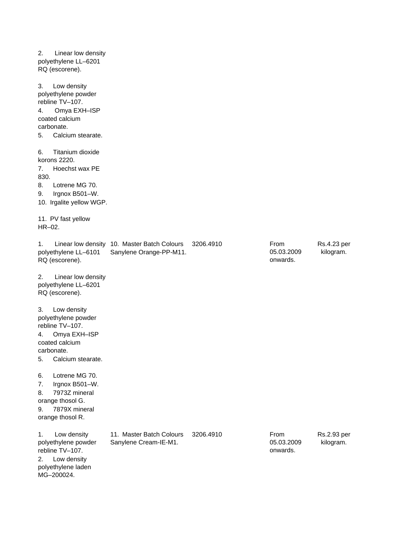2. Linear low density polyethylene LL–6201 RQ (escorene). 3. Low density polyethylene powder rebline TV–107. 4. Omya EXH–ISP coated calcium carbonate. 5. Calcium stearate. 6. Titanium dioxide korons 2220. 7. Hoechst wax PE 830. 8. Lotrene MG 70. 9. Irgnox B501–W. 10. Irgalite yellow WGP. 11. PV fast yellow HR–02. 1. Linear low density 10. Master Batch Colours polyethylene LL–6101 RQ (escorene). 3206.4910 Rs.4.23 per kilogram. 2. Linear low density polyethylene LL–6201 RQ (escorene). 3. Low density polyethylene powder rebline TV–107. 4. Omya EXH–ISP coated calcium carbonate. 5. Calcium stearate. 6. Lotrene MG 70. 7. Irgnox B501–W. 8. 7973Z mineral orange thosol G. 9. 7879X mineral orange thosol R. 1. Low density polyethylene powder rebline TV–107. 3206.4910 Rs.2.93 per kilogram. 2. Low density polyethylene laden MG–200024. Sanylene Orange-PP-M11. From 05.03.2009 onwards. 11. Master Batch Colours Sanylene Cream-IE-M1. From 05.03.2009 onwards.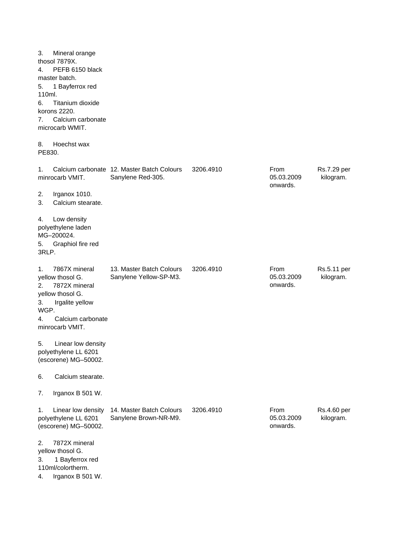| 3.<br>4.<br>5.<br>110ml.<br>6.<br>7.<br>8. | Mineral orange<br>thosol 7879X.<br>PEFB 6150 black<br>master batch.<br>1 Bayferrox red<br>Titanium dioxide<br>korons 2220.<br>Calcium carbonate<br>microcarb WMIT.<br>Hoechst wax |                                                                 |           |                                |                          |
|--------------------------------------------|-----------------------------------------------------------------------------------------------------------------------------------------------------------------------------------|-----------------------------------------------------------------|-----------|--------------------------------|--------------------------|
| PE830.                                     |                                                                                                                                                                                   |                                                                 |           |                                |                          |
| 1.                                         | minrocarb VMIT.                                                                                                                                                                   | Calcium carbonate 12. Master Batch Colours<br>Sanylene Red-305. | 3206.4910 | From<br>05.03.2009<br>onwards. | Rs.7.29 per<br>kilogram. |
| 2.<br>3.                                   | Irganox 1010.<br>Calcium stearate.                                                                                                                                                |                                                                 |           |                                |                          |
| 4.<br>5.<br>3RLP.                          | Low density<br>polyethylene laden<br>MG-200024.<br>Graphiol fire red                                                                                                              |                                                                 |           |                                |                          |
| 1.<br>2.<br>3.<br>WGP.<br>4.               | 7867X mineral<br>yellow thosol G.<br>7872X mineral<br>yellow thosol G.<br>Irgalite yellow<br>Calcium carbonate<br>minrocarb VMIT.                                                 | 13. Master Batch Colours<br>Sanylene Yellow-SP-M3.              | 3206.4910 | From<br>05.03.2009<br>onwards. | Rs.5.11 per<br>kilogram. |
| 5.                                         | Linear low density<br>polyethylene LL 6201<br>(escorene) MG-50002.                                                                                                                |                                                                 |           |                                |                          |
| 6.                                         | Calcium stearate.                                                                                                                                                                 |                                                                 |           |                                |                          |
| 7.                                         | Irganox B 501 W.                                                                                                                                                                  |                                                                 |           |                                |                          |
| 1.                                         | Linear low density<br>polyethylene LL 6201<br>(escorene) MG-50002.                                                                                                                | 14. Master Batch Colours<br>Sanylene Brown-NR-M9.               | 3206.4910 | From<br>05.03.2009<br>onwards. | Rs.4.60 per<br>kilogram. |
| 2.<br>3.<br>4.                             | 7872X mineral<br>yellow thosol G.<br>1 Bayferrox red<br>110ml/colortherm.<br>Irganox B 501 W.                                                                                     |                                                                 |           |                                |                          |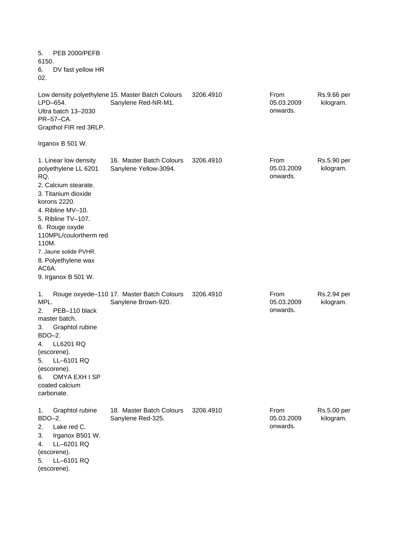5. PEB 2000/PEFB 6150. 6. DV fast yellow HR 02. Low density polyethylene 15. Master Batch Colours LPD–654. 3206.4910 Rs.9.66 per kilogram. Ultra batch 13–2030 PR–57–CA. Grapthol FIR red 3RLP. Irganox B 501 W. 1. Linear low density polyethylene LL 6201 RQ. 3206.4910 **From** Rs.5.90 per kilogram. 2. Calcium stearate. 3. Titanium dioxide korons 2220. 4. Ribline MV–10. 5. Ribline TV–107. 6. Rouge oxyde 110MPL/coulortherm red 110M. 7. Jaune solide PVHR. 8. Polyethylene wax AC6A. 9. Irganox B 501 W. 1. Rouge oxyede–110 17. Master Batch Colours MPL. 3206.4910 Rs.2.94 per kilogram. 2. PEB–110 black master batch. 3. Graphtol rubine BDO–2. 4. LL6201 RQ (escorene). 5. LL–6101 RQ (escorene). 6. OMYA EXH I SP coated calcium carbonate. 1. Graphtol rubine BDO–2. 3206.4910 Rs.5.00 per kilogram. 2. Lake red C. 3. Irganox B501 W. 4. LL–6201 RQ (escorene). 5. LL–6101 RQ (escorene). 18. Master Batch Colours Sanylene Red-325. From 05.03.2009 onwards. 16. Master Batch Colours Sanylene Yellow-3094. From 05.03.2009 onwards. Sanylene Brown-920. From 05.03.2009 onwards. Sanylene Red-NR-M1. From 05.03.2009 onwards.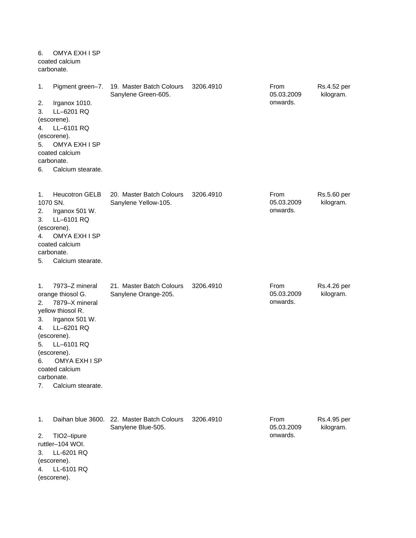| 6.                                     | OMYA EXH I SP<br>coated calcium<br>carbonate.                                                                                                                                                                                |                                                                  |           |                                |                          |
|----------------------------------------|------------------------------------------------------------------------------------------------------------------------------------------------------------------------------------------------------------------------------|------------------------------------------------------------------|-----------|--------------------------------|--------------------------|
| 1.<br>2.<br>3.<br>4.<br>5.<br>6.       | Pigment green-7.<br>Irganox 1010.<br>LL-6201 RQ<br>(escorene).<br>LL-6101 RQ<br>(escorene).<br>OMYA EXH I SP<br>coated calcium<br>carbonate.<br>Calcium stearate.                                                            | 19. Master Batch Colours<br>Sanylene Green-605.                  | 3206.4910 | From<br>05.03.2009<br>onwards. | Rs.4.52 per<br>kilogram. |
| 1.<br>2.<br>3.<br>4.<br>5.             | <b>Heucotron GELB</b><br>1070 SN.<br>Irganox 501 W.<br>LL-6101 RQ<br>(escorene).<br>OMYA EXH I SP<br>coated calcium<br>carbonate.<br>Calcium stearate.                                                                       | 20. Master Batch Colours<br>Sanylene Yellow-105.                 | 3206.4910 | From<br>05.03.2009<br>onwards. | Rs.5.60 per<br>kilogram. |
| 1.<br>2.<br>3.<br>4.<br>5.<br>6.<br>7. | 7973-Z mineral<br>orange thiosol G.<br>7879-X mineral<br>yellow thiosol R.<br>Irganox 501 W.<br>LL-6201 RQ<br>(escorene).<br>LL-6101 RQ<br>(escorene).<br>OMYA EXH I SP<br>coated calcium<br>carbonate.<br>Calcium stearate. | 21. Master Batch Colours<br>Sanylene Orange-205.                 | 3206.4910 | From<br>05.03.2009<br>onwards. | Rs.4.26 per<br>kilogram. |
| 1.<br>2.<br>3.<br>4.                   | TIO2-tipure<br>ruttler-104 WOI.<br>LL-6201 RQ<br>(escorene).<br>LL-6101 RQ<br>(escorene).                                                                                                                                    | Daihan blue 3600. 22. Master Batch Colours<br>Sanylene Blue-505. | 3206.4910 | From<br>05.03.2009<br>onwards. | Rs.4.95 per<br>kilogram. |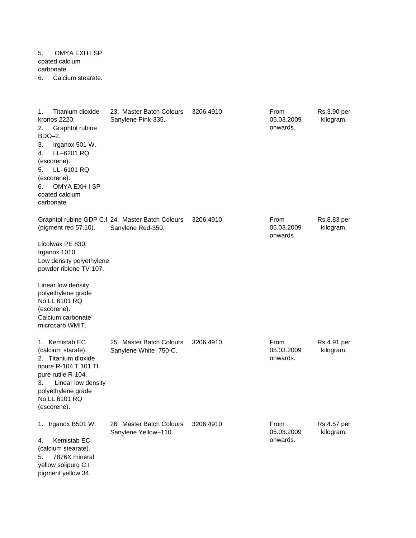5. OMYA EXH I SP coated calcium carbonate. 6. Calcium stearate.

pigment yellow 34.

1. Titanium dioxide kronos 2220. 3206.4910 **From** Rs.3.90 per kilogram. 2. Graphtol rubine BDO–2. 3. Irganox 501 W. 4. LL–6201 RQ (escorene). 5. LL–6101 RQ (escorene). 6. OMYA EXH I SP coated calcium carbonate. Graphtol rubine GDP C.I 24. Master Batch Colours (pigment red 57.10). 3206.4910 Rs.8.83 per kilogram. Licolwax PE 830. Irganox 1010. Low density polyethylene powder riblene TV-107. Linear low density polyethylene grade No.LL 6101 RQ (escorene). Calcium carbonate microcarb WMIT. 1. Kemistab EC (calcium starate). 3206.4910 **From** Rs.4.91 per kilogram. 2. Titanium dioxide tipure R-104 T 101 TI pure rutile R-104. 3. Linear low density polyethylene grade No.LL 6101 RQ (escorene). 1. Irganox B501 W. 26. Master Batch Colours 3206.4910 From Rs.4.57 per kilogram. 4. Kemistab EC (calcium stearate). 5. 7876X mineral yellow solipurg C.I 25. Master Batch Colours Sanylene White–750-C. From 05.03.2009 onwards. Sanylene Yellow–110. From 05.03.2009 onwards. 23. Master Batch Colours Sanylene Pink-335. From 05.03.2009 onwards. From 05.03.2009 onwards. Sanylene Red-350.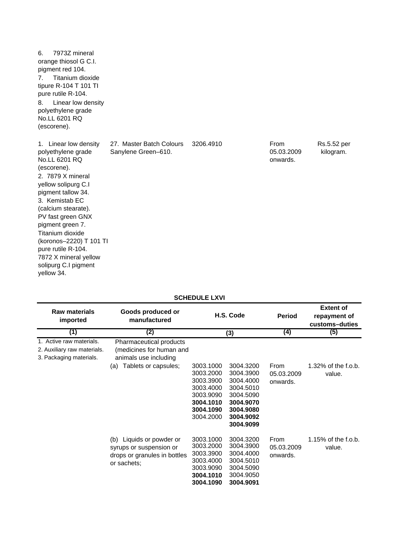| 7973Z mineral<br>6.<br>orange thiosol G C.I.<br>pigment red 104.<br>Titanium dioxide<br>$7_{\scriptscriptstyle{\sim}}$<br>tipure R-104 T 101 TI<br>pure rutile R-104.<br>Linear low density<br>8.<br>polyethylene grade<br>No.LL 6201 RQ<br>(escorene).                                                                                                             |                                                 |           |                                |                          |
|---------------------------------------------------------------------------------------------------------------------------------------------------------------------------------------------------------------------------------------------------------------------------------------------------------------------------------------------------------------------|-------------------------------------------------|-----------|--------------------------------|--------------------------|
| 1. Linear low density<br>polyethylene grade<br>No.LL 6201 RQ<br>(escorene).<br>2. 7879 X mineral<br>yellow solipurg C.I<br>pigment tallow 34.<br>3. Kemistab EC<br>(calcium stearate).<br>PV fast green GNX<br>pigment green 7.<br>Titanium dioxide<br>(koronos-2220) T 101 TI<br>pure rutile R-104.<br>7872 X mineral yellow<br>solipurg C.I pigment<br>vellow 34. | 27. Master Batch Colours<br>Sanylene Green-610. | 3206.4910 | From<br>05.03.2009<br>onwards. | Rs.5.52 per<br>kilogram. |

### **SCHEDULE LXVI**

| <b>Raw materials</b><br>imported                                                   | Goods produced or<br>manufactured                                                                  | H.S. Code                                                                                            |                                                                                                                   | <b>Period</b>                  | <b>Extent of</b><br>repayment of<br>customs-duties |
|------------------------------------------------------------------------------------|----------------------------------------------------------------------------------------------------|------------------------------------------------------------------------------------------------------|-------------------------------------------------------------------------------------------------------------------|--------------------------------|----------------------------------------------------|
| (1)                                                                                | (2)                                                                                                |                                                                                                      | (3)                                                                                                               | (4)                            | (5)                                                |
| 1. Active raw materials.<br>2. Auxiliary raw materials.<br>3. Packaging materials. | Pharmaceutical products<br>(medicines for human and<br>animals use including                       |                                                                                                      |                                                                                                                   |                                |                                                    |
|                                                                                    | Tablets or capsules;<br>(a)                                                                        | 3003.1000<br>3003.2000<br>3003.3900<br>3003.4000<br>3003.9090<br>3004.1010<br>3004.1090<br>3004.2000 | 3004.3200<br>3004.3900<br>3004.4000<br>3004.5010<br>3004.5090<br>3004.9070<br>3004.9080<br>3004.9092<br>3004.9099 | From<br>05.03.2009<br>onwards. | 1.32% of the f.o.b.<br>value.                      |
|                                                                                    | (b) Liquids or powder or<br>syrups or suspension or<br>drops or granules in bottles<br>or sachets; | 3003.1000<br>3003.2000<br>3003.3900<br>3003.4000<br>3003.9090<br>3004.1010<br>3004.1090              | 3004.3200<br>3004.3900<br>3004.4000<br>3004.5010<br>3004.5090<br>3004.9050<br>3004.9091                           | From<br>05.03.2009<br>onwards. | $1.15\%$ of the f.o.b.<br>value.                   |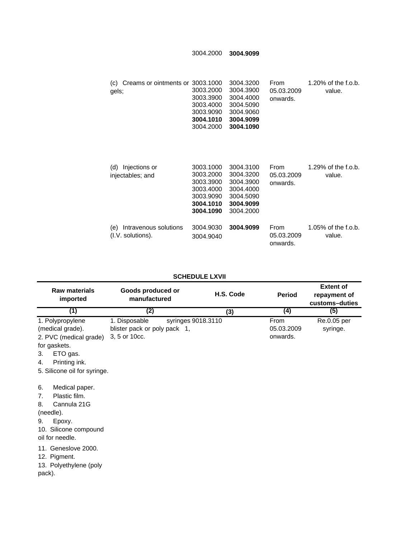3004.2000 **3004.9099**

3003.1000 3004.3200 (c) Creams or ointments or 3003.2000 3004.3900 3003.3900 3004.4000 3003.4000 3004.5090 3003.9090 **3004.1010 3004.9099** 3004.2000 **3004.1090** 1.20% of the f.o.b. value. gels; From 05.03.2009 onwards.

| Injections or<br>(d)<br>injectables; and          | 3003.1000<br>3003.2000<br>3003.3900<br>3003.4000<br>3003.9090<br>3004.1010<br>3004.1090 | 3004.3100<br>3004.3200<br>3004.3900<br>3004.4000<br>3004.5090<br>3004.9099<br>3004.2000 | From<br>05.03.2009<br>onwards. | 1.29% of the f.o.b.<br>value.    |
|---------------------------------------------------|-----------------------------------------------------------------------------------------|-----------------------------------------------------------------------------------------|--------------------------------|----------------------------------|
| Intravenous solutions<br>(e)<br>(I.V. solutions). | 3004.9030<br>3004.9040                                                                  | 3004.9099                                                                               | From<br>05.03.2009<br>onwards. | $1.05\%$ of the f.o.b.<br>value. |

#### **SCHEDULE LXVII**

| <b>Raw materials</b><br>imported                                                                                                                        | Goods produced or<br>manufactured                              | H.S. Code          | <b>Period</b>                  | <b>Extent of</b><br>repayment of<br>customs-duties |
|---------------------------------------------------------------------------------------------------------------------------------------------------------|----------------------------------------------------------------|--------------------|--------------------------------|----------------------------------------------------|
| (1)                                                                                                                                                     | (2)                                                            | (3)                | (4)                            | (5)                                                |
| 1. Polypropylene<br>(medical grade).<br>2. PVC (medical grade)<br>for gaskets.<br>ETO gas.<br>3.<br>Printing ink.<br>4.<br>5. Silicone oil for syringe. | 1. Disposable<br>blister pack or poly pack 1,<br>3, 5 or 10cc. | syringes 9018.3110 | From<br>05.03.2009<br>onwards. | Re.0.05 per<br>syringe.                            |
| Medical paper.<br>6.<br>Plastic film.<br>7.<br>Cannula 21G<br>8.<br>(needle).<br>Epoxy.<br>9.<br>10. Silicone compound<br>oil for needle.               |                                                                |                    |                                |                                                    |
| 11. Geneslove 2000.<br>12. Pigment.<br>13. Polyethylene (poly<br>pack).                                                                                 |                                                                |                    |                                |                                                    |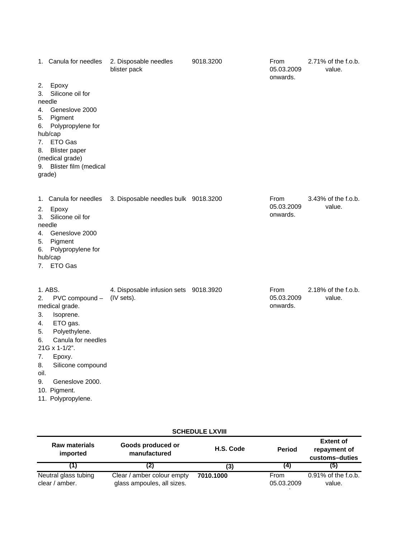|                                                      | 1. Canula for needles                                                                                                                                                                                                | 2. Disposable needles<br>blister pack               | 9018.3200 | From<br>05.03.2009<br>onwards. | 2.71% of the f.o.b.<br>value. |
|------------------------------------------------------|----------------------------------------------------------------------------------------------------------------------------------------------------------------------------------------------------------------------|-----------------------------------------------------|-----------|--------------------------------|-------------------------------|
| 2.<br>3.                                             | Epoxy<br>Silicone oil for<br>needle                                                                                                                                                                                  |                                                     |           |                                |                               |
| 4.<br>5.<br>6.<br>7.<br>8.<br>9.<br>grade)           | Geneslove 2000<br>Pigment<br>Polypropylene for<br>hub/cap<br>ETO Gas<br><b>Blister paper</b><br>(medical grade)<br>Blister film (medical                                                                             |                                                     |           |                                |                               |
| 2.<br>3.<br>4.<br>5.<br>6.<br>7.                     | 1. Canula for needles<br>Epoxy<br>Silicone oil for<br>needle<br>Geneslove 2000<br>Pigment<br>Polypropylene for<br>hub/cap<br>ETO Gas                                                                                 | 3. Disposable needles bulk 9018.3200                |           | From<br>05.03.2009<br>onwards. | 3.43% of the f.o.b.<br>value. |
| 2.<br>3.<br>4.<br>5.<br>6.<br>7.<br>8.<br>oil.<br>9. | 1. ABS.<br>PVC compound -<br>medical grade.<br>Isoprene.<br>ETO gas.<br>Polyethylene.<br>Canula for needles<br>21G x 1-1/2".<br>Epoxy.<br>Silicone compound<br>Geneslove 2000.<br>10. Pigment.<br>11. Polypropylene. | 4. Disposable infusion sets 9018.3920<br>(IV sets). |           | From<br>05.03.2009<br>onwards. | 2.18% of the f.o.b.<br>value. |

| <b>SCHEDULE LXVIII</b> |  |  |
|------------------------|--|--|
|                        |  |  |
|                        |  |  |

| <b>Raw materials</b><br>Goods produced or<br>manufactured<br>imported |                                                          | H.S. Code<br><b>Period</b> |                    | <b>Extent of</b><br>repayment of<br>customs-duties |
|-----------------------------------------------------------------------|----------------------------------------------------------|----------------------------|--------------------|----------------------------------------------------|
|                                                                       |                                                          | (3)                        | (4)                | (5)                                                |
| Neutral glass tubing<br>clear / amber.                                | Clear / amber colour empty<br>glass ampoules, all sizes. | 7010.1000                  | From<br>05.03.2009 | $0.91\%$ of the f.o.b.<br>value.                   |

d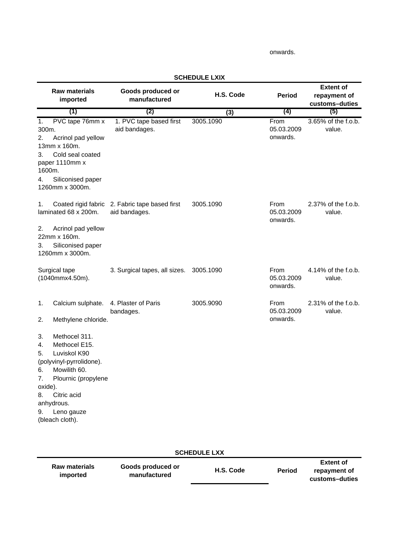#### onwards.

| <b>Raw materials</b><br>imported                                                                                                                                                                                  | Goods produced or<br>manufactured                               | H.S. Code | <b>Period</b>                  | <b>Extent of</b><br>repayment of<br>customs-duties |
|-------------------------------------------------------------------------------------------------------------------------------------------------------------------------------------------------------------------|-----------------------------------------------------------------|-----------|--------------------------------|----------------------------------------------------|
| (1)                                                                                                                                                                                                               | (2)                                                             | (3)       | (4)                            | (5)                                                |
| PVC tape 76mm x<br>1.<br>300m.<br>2.<br>Acrinol pad yellow<br>13mm x 160m.<br>Cold seal coated<br>3.<br>paper 1110mm x<br>1600m.                                                                                  | 1. PVC tape based first<br>aid bandages.                        | 3005.1090 | From<br>05.03.2009<br>onwards. | 3.65% of the f.o.b.<br>value.                      |
| Siliconised paper<br>4.<br>1260mm x 3000m.                                                                                                                                                                        |                                                                 |           |                                |                                                    |
| 1.<br>laminated 68 x 200m.                                                                                                                                                                                        | Coated rigid fabric 2. Fabric tape based first<br>aid bandages. | 3005.1090 | From<br>05.03.2009<br>onwards. | 2.37% of the f.o.b.<br>value.                      |
| Acrinol pad yellow<br>2.<br>22mm x 160m.<br>Siliconised paper<br>3.<br>1260mm x 3000m.                                                                                                                            |                                                                 |           |                                |                                                    |
| Surgical tape<br>(1040mmx4.50m).                                                                                                                                                                                  | 3. Surgical tapes, all sizes.                                   | 3005.1090 | From<br>05.03.2009<br>onwards. | 4.14% of the f.o.b.<br>value.                      |
| Calcium sulphate.<br>1.                                                                                                                                                                                           | 4. Plaster of Paris<br>bandages.                                | 3005.9090 | From<br>05.03.2009             | 2.31% of the f.o.b.<br>value.                      |
| Methylene chloride.<br>2.                                                                                                                                                                                         |                                                                 |           | onwards.                       |                                                    |
| Methocel 311.<br>3.<br>Methocel E15.<br>4.<br>Luviskol K90<br>5.<br>(polyvinyl-pyrrolidone).<br>Mowilith 60.<br>6.<br>Plournic (propylene<br>7.<br>oxide).<br>Citric acid<br>8.<br>anhydrous.<br>9.<br>Leno gauze |                                                                 |           |                                |                                                    |
| (bleach cloth).                                                                                                                                                                                                   |                                                                 |           |                                |                                                    |

#### **SCHEDULE LXIX**

| <b>SCHEDULE LXX</b>              |                                   |           |               |                                                    |  |
|----------------------------------|-----------------------------------|-----------|---------------|----------------------------------------------------|--|
| <b>Raw materials</b><br>imported | Goods produced or<br>manufactured | H.S. Code | <b>Period</b> | <b>Extent of</b><br>repayment of<br>customs-duties |  |
|                                  |                                   |           |               |                                                    |  |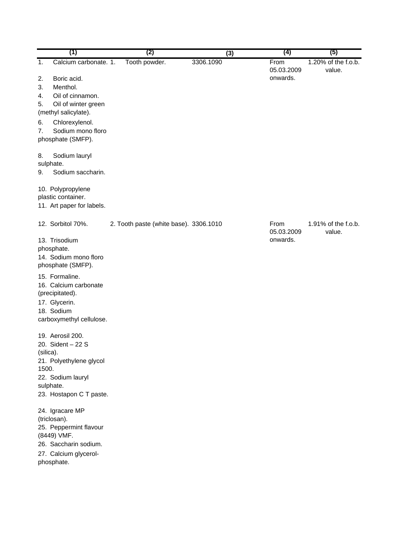|           | (1)                                        | (2)                                    |           | (3) | (4)                | (5)                           |
|-----------|--------------------------------------------|----------------------------------------|-----------|-----|--------------------|-------------------------------|
| 1.        | Calcium carbonate. 1.                      | Tooth powder.                          | 3306.1090 |     | From<br>05.03.2009 | 1.20% of the f.o.b.<br>value. |
| 2.        | Boric acid.                                |                                        |           |     | onwards.           |                               |
| 3.        | Menthol.                                   |                                        |           |     |                    |                               |
| 4.        | Oil of cinnamon.                           |                                        |           |     |                    |                               |
| 5.        | Oil of winter green                        |                                        |           |     |                    |                               |
|           | (methyl salicylate).                       |                                        |           |     |                    |                               |
| 6.        | Chlorexylenol.                             |                                        |           |     |                    |                               |
| 7.        | Sodium mono floro<br>phosphate (SMFP).     |                                        |           |     |                    |                               |
| 8.        | Sodium lauryl                              |                                        |           |     |                    |                               |
|           | sulphate.                                  |                                        |           |     |                    |                               |
| 9.        | Sodium saccharin.                          |                                        |           |     |                    |                               |
|           | 10. Polypropylene                          |                                        |           |     |                    |                               |
|           | plastic container.                         |                                        |           |     |                    |                               |
|           | 11. Art paper for labels.                  |                                        |           |     |                    |                               |
|           | 12. Sorbitol 70%.                          | 2. Tooth paste (white base). 3306.1010 |           |     | From<br>05.03.2009 | 1.91% of the f.o.b.<br>value. |
|           | 13. Trisodium                              |                                        |           |     | onwards.           |                               |
|           | phosphate.                                 |                                        |           |     |                    |                               |
|           | 14. Sodium mono floro<br>phosphate (SMFP). |                                        |           |     |                    |                               |
|           |                                            |                                        |           |     |                    |                               |
|           | 15. Formaline.<br>16. Calcium carbonate    |                                        |           |     |                    |                               |
|           | (precipitated).                            |                                        |           |     |                    |                               |
|           | 17. Glycerin.                              |                                        |           |     |                    |                               |
|           | 18. Sodium                                 |                                        |           |     |                    |                               |
|           | carboxymethyl cellulose.                   |                                        |           |     |                    |                               |
|           | 19. Aerosil 200.                           |                                        |           |     |                    |                               |
|           | 20. Sident - 22 S                          |                                        |           |     |                    |                               |
| (silica). | 21. Polyethylene glycol                    |                                        |           |     |                    |                               |
| 1500.     |                                            |                                        |           |     |                    |                               |
|           | 22. Sodium lauryl                          |                                        |           |     |                    |                               |
|           | sulphate.                                  |                                        |           |     |                    |                               |
|           | 23. Hostapon C T paste.                    |                                        |           |     |                    |                               |
|           | 24. Igracare MP                            |                                        |           |     |                    |                               |
|           | (triclosan).<br>25. Peppermint flavour     |                                        |           |     |                    |                               |
|           | (8449) VMF.                                |                                        |           |     |                    |                               |
|           | 26. Saccharin sodium.                      |                                        |           |     |                    |                               |
|           | 27. Calcium glycerol-                      |                                        |           |     |                    |                               |
|           | phosphate.                                 |                                        |           |     |                    |                               |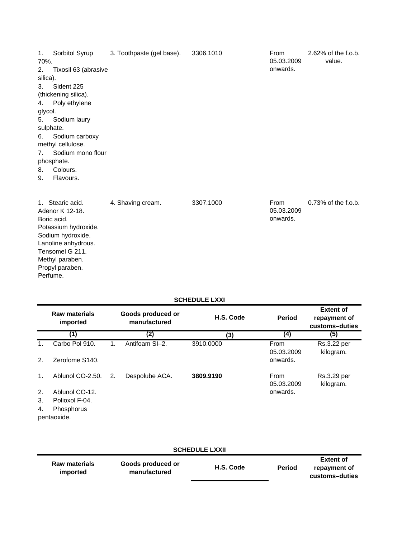| 1.<br>70%.              | Sorbitol Syrup       | 3. Toothpaste (gel base). | 3306.1010 | From<br>05.03.2009 | 2.62% of the f.o.b.<br>value. |
|-------------------------|----------------------|---------------------------|-----------|--------------------|-------------------------------|
| 2.                      | Tixosil 63 (abrasive |                           |           | onwards.           |                               |
| silica).                |                      |                           |           |                    |                               |
| 3.                      | Sident 225           |                           |           |                    |                               |
|                         | (thickening silica). |                           |           |                    |                               |
| 4.                      | Poly ethylene        |                           |           |                    |                               |
| glycol.                 |                      |                           |           |                    |                               |
| 5.                      | Sodium laury         |                           |           |                    |                               |
|                         | sulphate.            |                           |           |                    |                               |
| 6.                      | Sodium carboxy       |                           |           |                    |                               |
|                         | methyl cellulose.    |                           |           |                    |                               |
| 7.                      | Sodium mono flour    |                           |           |                    |                               |
|                         | phosphate.           |                           |           |                    |                               |
| 8.                      | Colours.             |                           |           |                    |                               |
| 9.                      | Flavours.            |                           |           |                    |                               |
|                         | 1. Stearic acid.     | 4. Shaving cream.         | 3307.1000 | From               | $0.73\%$ of the f.o.b.        |
|                         | Adenor K 12-18.      |                           |           | 05.03.2009         |                               |
| onwards.<br>Boric acid. |                      |                           |           |                    |                               |
|                         | Potassium hydroxide. |                           |           |                    |                               |
|                         | Sodium hydroxide.    |                           |           |                    |                               |
|                         | Lanoline anhydrous.  |                           |           |                    |                               |
|                         | Tensomel G 211.      |                           |           |                    |                               |
|                         | Methyl paraben.      |                           |           |                    |                               |

### **SCHEDULE LXXI**

Propyl paraben. Perfume.

|    | <b>Raw materials</b><br>imported |    | Goods produced or<br>manufactured | H.S. Code | <b>Period</b>      | <b>Extent of</b><br>repayment of<br>customs-duties |
|----|----------------------------------|----|-----------------------------------|-----------|--------------------|----------------------------------------------------|
|    | (1)                              |    | (2)                               | (3)       | (4)                | (5)                                                |
| 1. | Carbo Pol 910.                   | 1. | Antifoam SI-2.                    | 3910,0000 | From<br>05.03.2009 | Rs.3.22 per<br>kilogram.                           |
| 2. | Zerofome S140.                   |    |                                   |           | onwards.           |                                                    |
| 1. | Ablunol CO-2.50.                 | 2. | Despolube ACA.                    | 3809.9190 | From<br>05.03.2009 | Rs.3.29 per<br>kilogram.                           |
| 2. | Ablunol CO-12.                   |    |                                   |           | onwards.           |                                                    |
| 3. | Polioxol F-04.                   |    |                                   |           |                    |                                                    |
| 4. | Phosphorus<br>pentaoxide.        |    |                                   |           |                    |                                                    |

#### **Raw materials imported Goods produced or manufactured Period Extent of repayment of customs–duties SCHEDULE LXXII H.S. Code**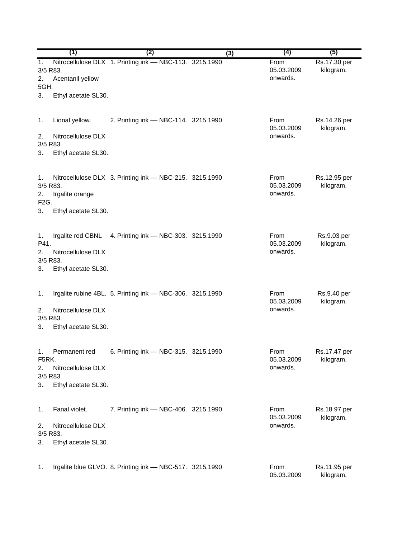|                                                 | (1)                                                            | (2)                                                       | (3) | (4)                            | (5)                       |
|-------------------------------------------------|----------------------------------------------------------------|-----------------------------------------------------------|-----|--------------------------------|---------------------------|
| 1.<br>3/5 R83.<br>2.<br>5GH.                    | Acentanil yellow                                               | Nitrocellulose DLX 1. Printing ink - NBC-113. 3215.1990   |     | From<br>05.03.2009<br>onwards. | Rs.17.30 per<br>kilogram. |
| 3.                                              | Ethyl acetate SL30.                                            |                                                           |     |                                |                           |
| 1.<br>2.<br>3/5 R83.<br>3.                      | Lional yellow.<br>Nitrocellulose DLX<br>Ethyl acetate SL30.    | 2. Printing ink - NBC-114. 3215.1990                      |     | From<br>05.03.2009<br>onwards. | Rs.14.26 per<br>kilogram. |
| 1.<br>3/5 R83.<br>2.<br>F <sub>2</sub> G.<br>3. | Irgalite orange<br>Ethyl acetate SL30.                         | Nitrocellulose DLX 3. Printing ink - NBC-215. 3215.1990   |     | From<br>05.03.2009<br>onwards. | Rs.12.95 per<br>kilogram. |
| 1.<br>P41.<br>2.<br>3/5 R83.<br>3.              | Irgalite red CBNL<br>Nitrocellulose DLX<br>Ethyl acetate SL30. | 4. Printing ink - NBC-303. 3215.1990                      |     | From<br>05.03.2009<br>onwards. | Rs.9.03 per<br>kilogram.  |
| 1.<br>2.<br>3/5 R83.<br>3.                      | Nitrocellulose DLX<br>Ethyl acetate SL30.                      | Irgalite rubine 4BL. 5. Printing ink - NBC-306. 3215.1990 |     | From<br>05.03.2009<br>onwards. | Rs.9.40 per<br>kilogram.  |
| 1.<br>F5RK.<br>2.<br>3/5 R83.<br>3.             | Permanent red<br>Nitrocellulose DLX<br>Ethyl acetate SL30.     | 6. Printing ink - NBC-315. 3215.1990                      |     | From<br>05.03.2009<br>onwards. | Rs.17.47 per<br>kilogram. |
| 1.<br>2.<br>3/5 R83.<br>3.                      | Fanal violet.<br>Nitrocellulose DLX<br>Ethyl acetate SL30.     | 7. Printing ink - NBC-406. 3215.1990                      |     | From<br>05.03.2009<br>onwards. | Rs.18.97 per<br>kilogram. |
| 1.                                              |                                                                | Irgalite blue GLVO. 8. Printing ink - NBC-517. 3215.1990  |     | From<br>05.03.2009             | Rs.11.95 per<br>kilogram. |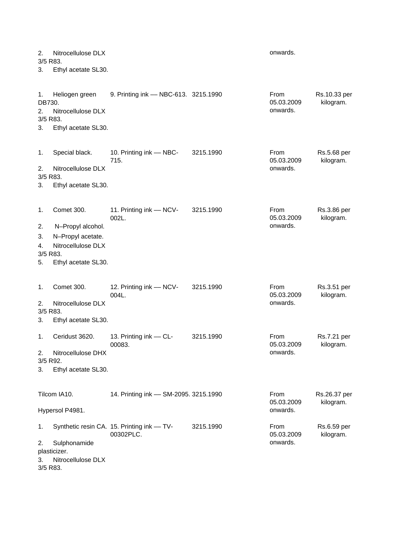| 2.<br>3/5 R83.                       | Nitrocellulose DLX           | onwards.                                                 |           |                                |                           |
|--------------------------------------|------------------------------|----------------------------------------------------------|-----------|--------------------------------|---------------------------|
| 3.                                   | Ethyl acetate SL30.          |                                                          |           |                                |                           |
| 1.<br>DB730.                         | Heliogen green               | 9. Printing ink - NBC-613. 3215.1990                     |           | From<br>05.03.2009             | Rs.10.33 per<br>kilogram. |
| 2.<br>3/5 R83.                       | Nitrocellulose DLX           |                                                          |           | onwards.                       |                           |
| 3.                                   | Ethyl acetate SL30.          |                                                          |           |                                |                           |
| 1.                                   | Special black.               | 10. Printing ink - NBC-<br>715.                          | 3215.1990 | From<br>05.03.2009<br>onwards. | Rs.5.68 per<br>kilogram.  |
| 2.<br>3/5 R83.                       | Nitrocellulose DLX           |                                                          |           |                                |                           |
| 3.                                   | Ethyl acetate SL30.          |                                                          |           |                                |                           |
| 1.                                   | Comet 300.                   | 11. Printing ink - NCV-<br>002L.                         | 3215.1990 | From<br>05.03.2009<br>onwards. | Rs.3.86 per<br>kilogram.  |
| 2.                                   | N-Propyl alcohol.            |                                                          |           |                                |                           |
| 3.                                   | N-Propyl acetate.            |                                                          |           |                                |                           |
| 4.                                   | Nitrocellulose DLX           |                                                          |           |                                |                           |
| 3/5 R83.<br>5.                       | Ethyl acetate SL30.          |                                                          |           |                                |                           |
| 1.                                   | Comet 300.                   | 12. Printing ink - NCV-<br>004L.                         | 3215.1990 | From<br>05.03.2009             | Rs.3.51 per<br>kilogram.  |
| Nitrocellulose DLX<br>2.<br>3/5 R83. |                              |                                                          |           | onwards.                       |                           |
| 3.                                   | Ethyl acetate SL30.          |                                                          |           |                                |                           |
| 1.                                   | Ceridust 3620.               | 13. Printing ink - CL-<br>00083.                         | 3215.1990 | From<br>05.03.2009<br>onwards. | Rs.7.21 per<br>kilogram.  |
| 2.<br>3/5 R92.                       | Nitrocellulose DHX           |                                                          |           |                                |                           |
| 3.                                   | Ethyl acetate SL30.          |                                                          |           |                                |                           |
|                                      | Tilcom IA10.                 | 14. Printing ink - SM-2095. 3215.1990                    |           | From<br>05.03.2009             | Rs.26.37 per<br>kilogram. |
| Hypersol P4981.                      |                              |                                                          |           | onwards.                       |                           |
| 1.                                   |                              | Synthetic resin CA. 15. Printing ink -- TV-<br>00302PLC. | 3215.1990 | From<br>05.03.2009             | Rs.6.59 per<br>kilogram.  |
| 2.                                   | Sulphonamide<br>plasticizer. |                                                          |           | onwards.                       |                           |
| 3.<br>3/5 R83.                       | Nitrocellulose DLX           |                                                          |           |                                |                           |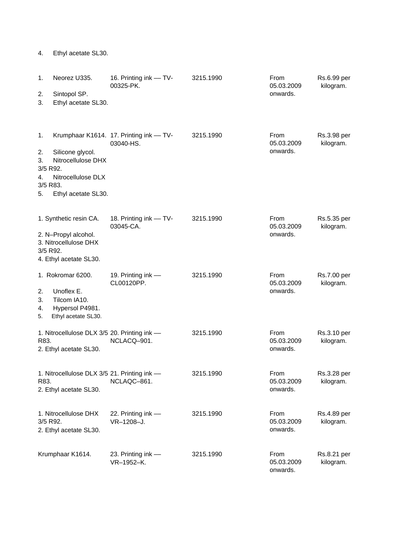| 1.             | Neorez U335.                                 | 16. Printing ink - TV-                               | 3215.1990 | From                   | Rs.6.99 per                     |
|----------------|----------------------------------------------|------------------------------------------------------|-----------|------------------------|---------------------------------|
|                |                                              | 00325-PK.                                            |           | 05.03.2009             | kilogram.                       |
| 2.<br>3.       | Sintopol SP.<br>Ethyl acetate SL30.          |                                                      |           | onwards.               |                                 |
|                |                                              |                                                      |           |                        |                                 |
|                |                                              |                                                      |           |                        |                                 |
| 1.             |                                              | Krumphaar K1614. 17. Printing ink - TV-<br>03040-HS. | 3215.1990 | From<br>05.03.2009     | Rs.3.98 per<br>kilogram.        |
| 2.             | Silicone glycol.                             |                                                      |           | onwards.               |                                 |
| 3.<br>3/5 R92. | Nitrocellulose DHX                           |                                                      |           |                        |                                 |
| 4.             | Nitrocellulose DLX                           |                                                      |           |                        |                                 |
| 3/5 R83.<br>5. |                                              |                                                      |           |                        |                                 |
|                | Ethyl acetate SL30.                          |                                                      |           |                        |                                 |
|                | 1. Synthetic resin CA.                       | 18. Printing ink - TV-<br>03045-CA.                  | 3215.1990 | From<br>05.03.2009     | Rs.5.35 per<br>kilogram.        |
|                | 2. N-Propyl alcohol.                         |                                                      |           | onwards.               |                                 |
| 3/5 R92.       | 3. Nitrocellulose DHX                        |                                                      |           |                        |                                 |
|                | 4. Ethyl acetate SL30.                       |                                                      |           |                        |                                 |
|                | 1. Rokromar 6200.                            | 19. Printing ink -<br>CL00120PP.                     | 3215.1990 | From<br>05.03.2009     | <b>Rs.7.00 per</b><br>kilogram. |
| 2.             | Unoflex E.                                   |                                                      |           | onwards.               |                                 |
| 3.<br>4.       | Tilcom IA10.<br>Hypersol P4981.              |                                                      |           |                        |                                 |
| 5.             | Ethyl acetate SL30.                          |                                                      |           |                        |                                 |
|                | 1. Nitrocellulose DLX 3/5 20. Printing ink - |                                                      | 3215.1990 | From                   | Rs.3.10 per                     |
| R83.           | 2. Ethyl acetate SL30.                       | NCLACQ-901.                                          |           | 05.03.2009<br>onwards. | kilogram.                       |
|                |                                              |                                                      |           |                        |                                 |
|                | 1. Nitrocellulose DLX 3/5 21. Printing ink - |                                                      | 3215.1990 | From                   | Rs.3.28 per                     |
| R83.           | 2. Ethyl acetate SL30.                       | NCLAQC-861.                                          |           | 05.03.2009<br>onwards. | kilogram.                       |
|                |                                              |                                                      |           |                        |                                 |
|                | 1. Nitrocellulose DHX                        | 22. Printing ink -                                   | 3215.1990 | From                   | Rs.4.89 per                     |
| 3/5 R92.       |                                              | VR-1208-J.                                           |           | 05.03.2009<br>onwards. | kilogram.                       |
|                | 2. Ethyl acetate SL30.                       |                                                      |           |                        |                                 |
|                | Krumphaar K1614.                             | 23. Printing ink -                                   | 3215.1990 | From                   | Rs.8.21 per                     |
|                |                                              | VR-1952-K.                                           |           | 05.03.2009<br>onwards. | kilogram.                       |

4. Ethyl acetate SL30.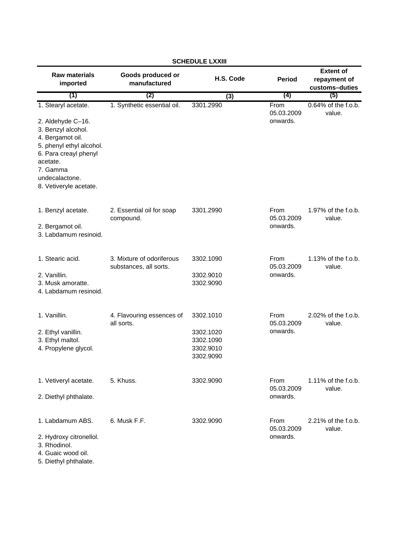| <b>Raw materials</b><br>imported                                                                                                         | Goods produced or<br>manufactured                   | H.S. Code                                                     | <b>Period</b>                  | <b>Extent of</b><br>repayment of<br>customs-duties |
|------------------------------------------------------------------------------------------------------------------------------------------|-----------------------------------------------------|---------------------------------------------------------------|--------------------------------|----------------------------------------------------|
| (1)                                                                                                                                      | (2)                                                 | (3)                                                           | (4)                            | (5)                                                |
| 1. Stearyl acetate.                                                                                                                      | 1. Synthetic essential oil.                         | 3301.2990                                                     | From<br>05.03.2009             | $0.64\%$ of the f.o.b.<br>value.                   |
| 2. Aldehyde C-16.<br>3. Benzyl alcohol.<br>4. Bergamot oil.<br>5. phenyl ethyl alcohol.<br>6. Para creayl phenyl<br>acetate.<br>7. Gamma |                                                     |                                                               | onwards.                       |                                                    |
| undecalactone.<br>8. Vetiveryle acetate.                                                                                                 |                                                     |                                                               |                                |                                                    |
| 1. Benzyl acetate.<br>2. Bergamot oil.<br>3. Labdamum resinoid.                                                                          | 2. Essential oil for soap<br>compound.              | 3301.2990                                                     | From<br>05.03.2009<br>onwards. | 1.97% of the f.o.b.<br>value.                      |
| 1. Stearic acid.<br>2. Vanillin.<br>3. Musk amoratte.<br>4. Labdamum resinoid.                                                           | 3. Mixture of odoriferous<br>substances, all sorts. | 3302.1090<br>3302.9010<br>3302.9090                           | From<br>05.03.2009<br>onwards. | 1.13% of the f.o.b.<br>value.                      |
| 1. Vanillin.<br>2. Ethyl vanillin.<br>3. Ethyl maltol.<br>4. Propylene glycol.                                                           | 4. Flavouring essences of<br>all sorts.             | 3302.1010<br>3302.1020<br>3302.1090<br>3302.9010<br>3302.9090 | From<br>05.03.2009<br>onwards. | 2.02% of the f.o.b.<br>value.                      |
| 1. Vetiveryl acetate.<br>2. Diethyl phthalate.                                                                                           | 5. Khuss.                                           | 3302.9090                                                     | From<br>05.03.2009<br>onwards. | $1.11\%$ of the f.o.b.<br>value.                   |
| 1. Labdamum ABS.<br>2. Hydroxy citronellol.<br>3. Rhodinol.<br>4. Guaic wood oil.<br>5. Diethyl phthalate.                               | 6. Musk F.F.                                        | 3302.9090                                                     | From<br>05.03.2009<br>onwards. | 2.21% of the f.o.b.<br>value.                      |

### **SCHEDULE LXXIII**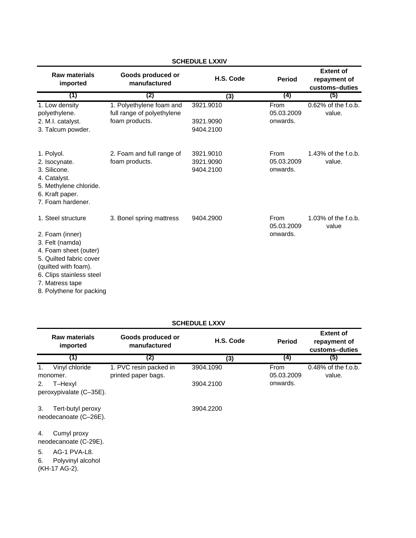| <b>SCHEDULE LXXIV</b>                                                                                                                                                                                           |                                                                          |                                     |                                       |                                                    |  |  |
|-----------------------------------------------------------------------------------------------------------------------------------------------------------------------------------------------------------------|--------------------------------------------------------------------------|-------------------------------------|---------------------------------------|----------------------------------------------------|--|--|
| <b>Raw materials</b><br>imported                                                                                                                                                                                | Goods produced or<br>manufactured                                        | H.S. Code                           | <b>Period</b>                         | <b>Extent of</b><br>repayment of<br>customs-duties |  |  |
| (1)                                                                                                                                                                                                             | (2)                                                                      | (3)                                 | (4)                                   | (5)                                                |  |  |
| 1. Low density<br>polyethylene.<br>2. M.I. catalyst.<br>3. Talcum powder.                                                                                                                                       | 1. Polyethylene foam and<br>full range of polyethylene<br>foam products. | 3921.9010<br>3921.9090<br>9404.2100 | From<br>05.03.2009<br>onwards.        | 0.62% of the f.o.b.<br>value.                      |  |  |
| 1. Polyol.<br>2. Isocynate.<br>3. Silicone.<br>4. Catalyst.<br>5. Methylene chloride.<br>6. Kraft paper.<br>7. Foam hardener.                                                                                   | 2. Foam and full range of<br>foam products.                              | 3921.9010<br>3921.9090<br>9404.2100 | <b>From</b><br>05.03.2009<br>onwards. | $1.43\%$ of the f.o.b.<br>value.                   |  |  |
| 1. Steel structure<br>2. Foam (inner)<br>3. Felt (namda)<br>4. Foam sheet (outer)<br>5. Quilted fabric cover<br>(quilted with foam).<br>6. Clips stainless steel<br>7. Matress tape<br>8. Polythene for packing | 3. Bonel spring mattress                                                 | 9404.2900                           | <b>From</b><br>05.03.2009<br>onwards. | 1.03% of the f.o.b.<br>value                       |  |  |

| <b>SCHEDULE LXXV</b> |  |
|----------------------|--|
|                      |  |

|          | Raw materials<br>imported                          | Goods produced or<br>manufactured             | H.S. Code | <b>Period</b>      | <b>Extent of</b><br>repayment of<br>customs-duties |
|----------|----------------------------------------------------|-----------------------------------------------|-----------|--------------------|----------------------------------------------------|
|          | (1)                                                | (2)                                           | (3)       | (4)                | (5)                                                |
| 1.       | Vinyl chloride<br>monomer.                         | 1. PVC resin packed in<br>printed paper bags. | 3904.1090 | From<br>05.03.2009 | $0.48\%$ of the f.o.b.<br>value.                   |
| 2.       | T-Hexyl                                            |                                               | 3904.2100 | onwards.           |                                                    |
|          | peroxypivalate (C-35E).                            |                                               |           |                    |                                                    |
| 3.       | Tert-butyl peroxy<br>neodecanoate (C-26E).         |                                               | 3904.2200 |                    |                                                    |
| 4.       | Cumyl proxy<br>neodecanoate (C-29E).               |                                               |           |                    |                                                    |
| 5.<br>6. | AG-1 PVA-L8.<br>Polyvinyl alcohol<br>(KH-17 AG-2). |                                               |           |                    |                                                    |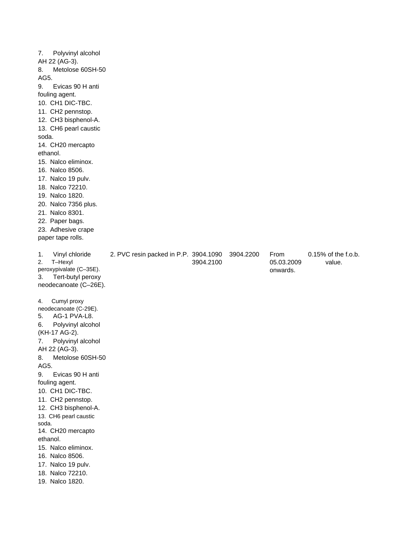| 7.<br>Polyvinyl alcohol<br>AH 22 (AG-3).<br>Metolose 60SH-50<br>8.<br>AG5.<br>9.<br>Evicas 90 H anti<br>fouling agent.<br>10. CH1 DIC-TBC.<br>11. CH2 pennstop.<br>12. CH3 bisphenol-A.<br>13. CH6 pearl caustic<br>soda.<br>14. CH20 mercapto<br>ethanol.<br>15. Nalco eliminox.<br>16. Nalco 8506.<br>17. Nalco 19 pulv.<br>18. Nalco 72210.<br>19. Nalco 1820.<br>20. Nalco 7356 plus.<br>21. Nalco 8301.<br>22. Paper bags.<br>23. Adhesive crape<br>paper tape rolls.        |                                       |           |           |                                |                                  |
|-----------------------------------------------------------------------------------------------------------------------------------------------------------------------------------------------------------------------------------------------------------------------------------------------------------------------------------------------------------------------------------------------------------------------------------------------------------------------------------|---------------------------------------|-----------|-----------|--------------------------------|----------------------------------|
| 1.<br>Vinyl chloride<br>2.<br>T-Hexyl<br>peroxypivalate (C-35E).<br>Tert-butyl peroxy<br>3.<br>neodecanoate (C-26E).                                                                                                                                                                                                                                                                                                                                                              | 2. PVC resin packed in P.P. 3904.1090 | 3904.2100 | 3904.2200 | From<br>05.03.2009<br>onwards. | $0.15\%$ of the f.o.b.<br>value. |
| Cumyl proxy<br>4.<br>neodecanoate (C-29E).<br>AG-1 PVA-L8.<br>5.<br>6.<br>Polyvinyl alcohol<br>(KH-17 AG-2).<br>7.<br>Polyvinyl alcohol<br>AH 22 (AG-3).<br>8.<br>Metolose 60SH-50<br>AG5.<br>9.<br>Evicas 90 H anti<br>fouling agent.<br>10. CH1 DIC-TBC.<br>11. CH2 pennstop.<br>12. CH3 bisphenol-A.<br>13. CH6 pearl caustic<br>soda.<br>14. CH20 mercapto<br>ethanol.<br>15. Nalco eliminox.<br>16. Nalco 8506.<br>17. Nalco 19 pulv.<br>18. Nalco 72210.<br>19. Nalco 1820. |                                       |           |           |                                |                                  |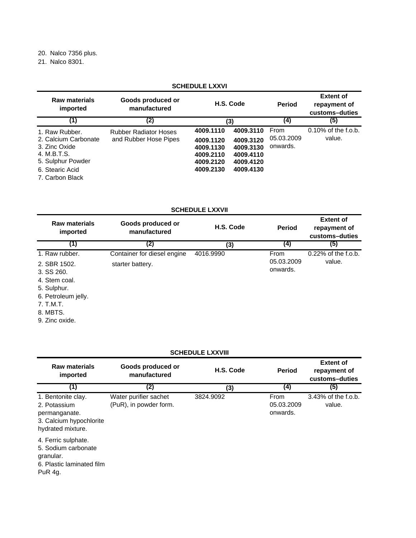20. Nalco 7356 plus.

21. Nalco 8301.

#### **SCHEDULE LXXVI**

| <b>Raw materials</b><br>imported                                                                                                  | Goods produced or<br>manufactured                     |                                                                            | H.S. Code                                                                  | <b>Period</b>                  | <b>Extent of</b><br>repayment of<br>customs-duties |
|-----------------------------------------------------------------------------------------------------------------------------------|-------------------------------------------------------|----------------------------------------------------------------------------|----------------------------------------------------------------------------|--------------------------------|----------------------------------------------------|
| (1)                                                                                                                               | (2)                                                   |                                                                            | (3)                                                                        | (4)                            | (5)                                                |
| 1. Raw Rubber.<br>2. Calcium Carbonate<br>3. Zinc Oxide<br>4. M.B.T.S.<br>5. Sulphur Powder<br>6. Stearic Acid<br>7. Carbon Black | <b>Rubber Radiator Hoses</b><br>and Rubber Hose Pipes | 4009.1110<br>4009.1120<br>4009.1130<br>4009.2110<br>4009.2120<br>4009.2130 | 4009.3110<br>4009.3120<br>4009.3130<br>4009.4110<br>4009.4120<br>4009.4130 | From<br>05.03.2009<br>onwards. | $0.10\%$ of the f.o.b.<br>value.                   |

## **SCHEDULE LXXVII**

| <b>Raw materials</b><br>imported                                                                                                 | Goods produced or<br>manufactured               | H.S. Code | <b>Period</b>                         | <b>Extent of</b><br>repayment of<br>customs-duties |
|----------------------------------------------------------------------------------------------------------------------------------|-------------------------------------------------|-----------|---------------------------------------|----------------------------------------------------|
| (1)                                                                                                                              | (2)                                             | (3)       | (4)                                   | (5)                                                |
| 1. Raw rubber.<br>2. SBR 1502.<br>$3.$ SS $260.$<br>4. Stem coal.<br>5. Sulphur.<br>6. Petroleum jelly.<br>7. T.M.T.<br>8. MBTS. | Container for diesel engine<br>starter battery. | 4016.9990 | <b>From</b><br>05.03.2009<br>onwards. | 0.22% of the f.o.b.<br>value.                      |

9. Zinc oxide.

#### **SCHEDULE LXXVIII**

| Raw materials<br>imported                                                                           | Goods produced or<br>manufactured               | H.S. Code | <b>Period</b>                  | <b>Extent of</b><br>repayment of<br>customs-duties |
|-----------------------------------------------------------------------------------------------------|-------------------------------------------------|-----------|--------------------------------|----------------------------------------------------|
| (1)                                                                                                 | (2)                                             | (3)       | (4)                            | (5)                                                |
| 1. Bentonite clay.<br>2. Potassium<br>permanganate.<br>3. Calcium hypochlorite<br>hydrated mixture. | Water purifier sachet<br>(PuR), in powder form. | 3824.9092 | From<br>05.03.2009<br>onwards. | 3.43% of the f.o.b.<br>value.                      |
| 4. Ferric sulphate.<br>5. Sodium carbonate<br>granular.<br>6. Plastic laminated film<br>PuR 4g.     |                                                 |           |                                |                                                    |